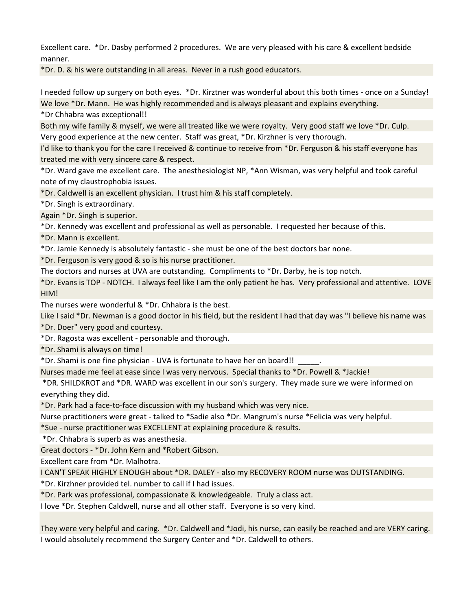Excellent care. \*Dr. Dasby performed 2 procedures. We are very pleased with his care & excellent bedside manner.

\*Dr. D. & his were outstanding in all areas. Never in a rush good educators.

I needed follow up surgery on both eyes. \*Dr. Kirztner was wonderful about this both times - once on a Sunday! We love \*Dr. Mann. He was highly recommended and is always pleasant and explains everything. \*Dr Chhabra was exceptional!!

Both my wife family & myself, we were all treated like we were royalty. Very good staff we love \*Dr. Culp. Very good experience at the new center. Staff was great, \*Dr. Kirzhner is very thorough.

I'd like to thank you for the care I received & continue to receive from \*Dr. Ferguson & his staff everyone has treated me with very sincere care & respect.

\*Dr. Ward gave me excellent care. The anesthesiologist NP, \*Ann Wisman, was very helpful and took careful note of my claustrophobia issues.

\*Dr. Caldwell is an excellent physician. I trust him & his staff completely.

\*Dr. Singh is extraordinary.

Again \*Dr. Singh is superior.

\*Dr. Kennedy was excellent and professional as well as personable. I requested her because of this.

\*Dr. Mann is excellent.

\*Dr. Jamie Kennedy is absolutely fantastic - she must be one of the best doctors bar none.

\*Dr. Ferguson is very good & so is his nurse practitioner.

The doctors and nurses at UVA are outstanding. Compliments to \*Dr. Darby, he is top notch.

\*Dr. Evans is TOP - NOTCH. I always feel like I am the only patient he has. Very professional and attentive. LOVE HIM!

The nurses were wonderful & \*Dr. Chhabra is the best.

Like I said \*Dr. Newman is a good doctor in his field, but the resident I had that day was "I believe his name was \*Dr. Doer" very good and courtesy.

\*Dr. Ragosta was excellent - personable and thorough.

\*Dr. Shami is always on time!

\*Dr. Shami is one fine physician - UVA is fortunate to have her on board!! \_\_\_\_\_.

Nurses made me feel at ease since I was very nervous. Special thanks to \*Dr. Powell & \*Jackie!

 \*DR. SHILDKROT and \*DR. WARD was excellent in our son's surgery. They made sure we were informed on everything they did.

\*Dr. Park had a face-to-face discussion with my husband which was very nice.

Nurse practitioners were great - talked to \*Sadie also \*Dr. Mangrum's nurse \*Felicia was very helpful.

\*Sue - nurse practitioner was EXCELLENT at explaining procedure & results.

\*Dr. Chhabra is superb as was anesthesia.

Great doctors - \*Dr. John Kern and \*Robert Gibson.

Excellent care from \*Dr. Malhotra.

I CAN'T SPEAK HIGHLY ENOUGH about \*DR. DALEY - also my RECOVERY ROOM nurse was OUTSTANDING.

\*Dr. Kirzhner provided tel. number to call if I had issues.

\*Dr. Park was professional, compassionate & knowledgeable. Truly a class act.

I love \*Dr. Stephen Caldwell, nurse and all other staff. Everyone is so very kind.

They were very helpful and caring. \*Dr. Caldwell and \*Jodi, his nurse, can easily be reached and are VERY caring. I would absolutely recommend the Surgery Center and \*Dr. Caldwell to others.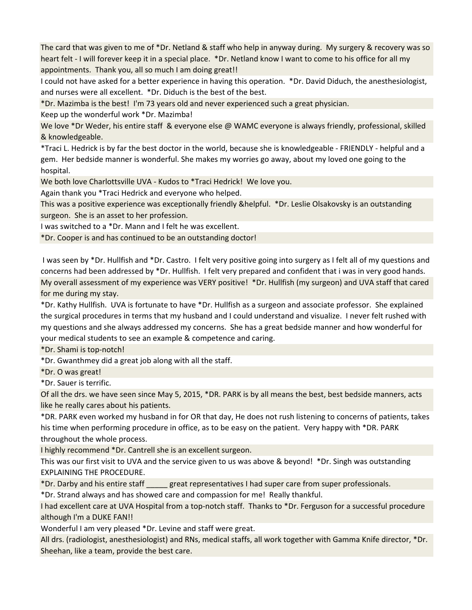The card that was given to me of \*Dr. Netland & staff who help in anyway during. My surgery & recovery was so heart felt - I will forever keep it in a special place. \*Dr. Netland know I want to come to his office for all my appointments. Thank you, all so much I am doing great!!

I could not have asked for a better experience in having this operation. \*Dr. David Diduch, the anesthesiologist, and nurses were all excellent. \*Dr. Diduch is the best of the best.

\*Dr. Mazimba is the best! I'm 73 years old and never experienced such a great physician.

Keep up the wonderful work \*Dr. Mazimba!

We love \*Dr Weder, his entire staff & everyone else @ WAMC everyone is always friendly, professional, skilled & knowledgeable.

\*Traci L. Hedrick is by far the best doctor in the world, because she is knowledgeable - FRIENDLY - helpful and a gem. Her bedside manner is wonderful. She makes my worries go away, about my loved one going to the hospital.

We both love Charlottsville UVA - Kudos to \*Traci Hedrick! We love you.

Again thank you \*Traci Hedrick and everyone who helped.

This was a positive experience was exceptionally friendly &helpful. \*Dr. Leslie Olsakovsky is an outstanding surgeon. She is an asset to her profession.

I was switched to a \*Dr. Mann and I felt he was excellent.

\*Dr. Cooper is and has continued to be an outstanding doctor!

 I was seen by \*Dr. Hullfish and \*Dr. Castro. I felt very positive going into surgery as I felt all of my questions and concerns had been addressed by \*Dr. Hullfish. I felt very prepared and confident that i was in very good hands. My overall assessment of my experience was VERY positive! \*Dr. Hullfish (my surgeon) and UVA staff that cared for me during my stay.

\*Dr. Kathy Hullfish. UVA is fortunate to have \*Dr. Hullfish as a surgeon and associate professor. She explained the surgical procedures in terms that my husband and I could understand and visualize. I never felt rushed with my questions and she always addressed my concerns. She has a great bedside manner and how wonderful for your medical students to see an example & competence and caring.

\*Dr. Shami is top-notch!

\*Dr. Gwanthmey did a great job along with all the staff.

\*Dr. O was great!

\*Dr. Sauer is terrific.

Of all the drs. we have seen since May 5, 2015, \*DR. PARK is by all means the best, best bedside manners, acts like he really cares about his patients.

\*DR. PARK even worked my husband in for OR that day, He does not rush listening to concerns of patients, takes his time when performing procedure in office, as to be easy on the patient. Very happy with \*DR. PARK throughout the whole process.

I highly recommend \*Dr. Cantrell she is an excellent surgeon.

This was our first visit to UVA and the service given to us was above & beyond! \*Dr. Singh was outstanding EXPLAINING THE PROCEDURE.

\*Dr. Darby and his entire staff \_\_\_\_\_ great representatives I had super care from super professionals.

\*Dr. Strand always and has showed care and compassion for me! Really thankful.

I had excellent care at UVA Hospital from a top-notch staff. Thanks to \*Dr. Ferguson for a successful procedure although I'm a DUKE FAN!!

Wonderful I am very pleased \*Dr. Levine and staff were great.

All drs. (radiologist, anesthesiologist) and RNs, medical staffs, all work together with Gamma Knife director, \*Dr. Sheehan, like a team, provide the best care.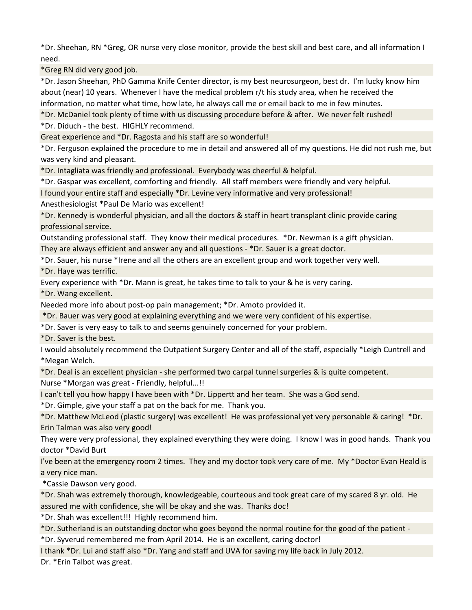\*Dr. Sheehan, RN \*Greg, OR nurse very close monitor, provide the best skill and best care, and all information I need.

\*Greg RN did very good job.

\*Dr. Jason Sheehan, PhD Gamma Knife Center director, is my best neurosurgeon, best dr. I'm lucky know him about (near) 10 years. Whenever I have the medical problem r/t his study area, when he received the information, no matter what time, how late, he always call me or email back to me in few minutes.

\*Dr. McDaniel took plenty of time with us discussing procedure before & after. We never felt rushed!

\*Dr. Diduch - the best. HIGHLY recommend.

Great experience and \*Dr. Ragosta and his staff are so wonderful!

\*Dr. Ferguson explained the procedure to me in detail and answered all of my questions. He did not rush me, but was very kind and pleasant.

\*Dr. Intagliata was friendly and professional. Everybody was cheerful & helpful.

\*Dr. Gaspar was excellent, comforting and friendly. All staff members were friendly and very helpful.

I found your entire staff and especially \*Dr. Levine very informative and very professional!

Anesthesiologist \*Paul De Mario was excellent!

\*Dr. Kennedy is wonderful physician, and all the doctors & staff in heart transplant clinic provide caring professional service.

Outstanding professional staff. They know their medical procedures. \*Dr. Newman is a gift physician.

They are always efficient and answer any and all questions - \*Dr. Sauer is a great doctor.

\*Dr. Sauer, his nurse \*Irene and all the others are an excellent group and work together very well.

\*Dr. Haye was terrific.

Every experience with \*Dr. Mann is great, he takes time to talk to your & he is very caring.

\*Dr. Wang excellent.

Needed more info about post-op pain management; \*Dr. Amoto provided it.

\*Dr. Bauer was very good at explaining everything and we were very confident of his expertise.

\*Dr. Saver is very easy to talk to and seems genuinely concerned for your problem.

\*Dr. Saver is the best.

I would absolutely recommend the Outpatient Surgery Center and all of the staff, especially \*Leigh Cuntrell and \*Megan Welch.

\*Dr. Deal is an excellent physician - she performed two carpal tunnel surgeries & is quite competent.

Nurse \*Morgan was great - Friendly, helpful...!!

I can't tell you how happy I have been with \*Dr. Lippertt and her team. She was a God send.

\*Dr. Gimple, give your staff a pat on the back for me. Thank you.

\*Dr. Matthew McLeod (plastic surgery) was excellent! He was professional yet very personable & caring! \*Dr. Erin Talman was also very good!

They were very professional, they explained everything they were doing. I know I was in good hands. Thank you doctor \*David Burt

I've been at the emergency room 2 times. They and my doctor took very care of me. My \*Doctor Evan Heald is a very nice man.

\*Cassie Dawson very good.

\*Dr. Shah was extremely thorough, knowledgeable, courteous and took great care of my scared 8 yr. old. He assured me with confidence, she will be okay and she was. Thanks doc!

\*Dr. Shah was excellent!!! Highly recommend him.

\*Dr. Sutherland is an outstanding doctor who goes beyond the normal routine for the good of the patient -

\*Dr. Syverud remembered me from April 2014. He is an excellent, caring doctor!

I thank \*Dr. Lui and staff also \*Dr. Yang and staff and UVA for saving my life back in July 2012.

Dr. \*Erin Talbot was great.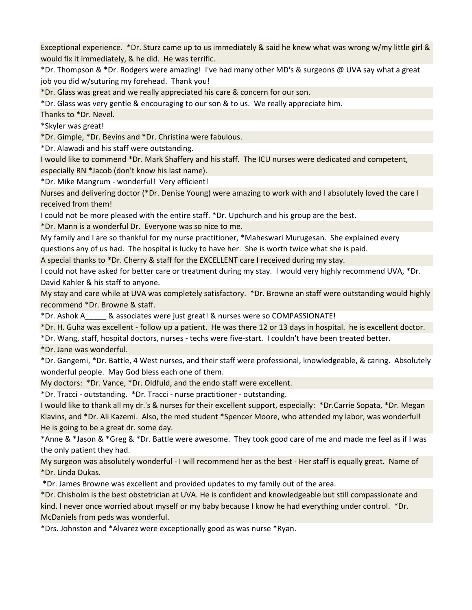Exceptional experience. \*Dr. Sturz came up to us immediately & said he knew what was wrong w/my little girl & would fix it immediately, & he did. He was terrific.

\*Dr. Thompson & \*Dr. Rodgers were amazing! I've had many other MD's & surgeons @ UVA say what a great job you did w/suturing my forehead. Thank you!

\*Dr. Glass was great and we really appreciated his care & concern for our son.

\*Dr. Glass was very gentle & encouraging to our son & to us. We really appreciate him.

Thanks to \*Dr. Nevel.

\*Skyler was great!

\*Dr. Gimple, \*Dr. Bevins and \*Dr. Christina were fabulous.

\*Dr. Alawadi and his staff were outstanding.

I would like to commend \*Dr. Mark Shaffery and his staff. The ICU nurses were dedicated and competent, especially RN \*Jacob (don't know his last name).

\*Dr. Mike Mangrum - wonderful! Very efficient!

Nurses and delivering doctor (\*Dr. Denise Young) were amazing to work with and I absolutely loved the care I received from them!

I could not be more pleased with the entire staff. \*Dr. Upchurch and his group are the best.

\*Dr. Mann is a wonderful Dr. Everyone was so nice to me.

My family and I are so thankful for my nurse practitioner, \*Maheswari Murugesan. She explained every questions any of us had. The hospital is lucky to have her. She is worth twice what she is paid.

A special thanks to \*Dr. Cherry & staff for the EXCELLENT care I received during my stay.

I could not have asked for better care or treatment during my stay. I would very highly recommend UVA, \*Dr. David Kahler & his staff to anyone.

My stay and care while at UVA was completely satisfactory. \*Dr. Browne an staff were outstanding would highly recommend \*Dr. Browne & staff.

\*Dr. Ashok A\_\_\_\_\_ & associates were just great! & nurses were so COMPASSIONATE!

\*Dr. H. Guha was excellent - follow up a patient. He was there 12 or 13 days in hospital. he is excellent doctor.

\*Dr. Wang, staff, hospital doctors, nurses - techs were five-start. I couldn't have been treated better.

\*Dr. Jane was wonderful.

\*Dr. Gangemi, \*Dr. Battle, 4 West nurses, and their staff were professional, knowledgeable, & caring. Absolutely wonderful people. May God bless each one of them.

My doctors: \*Dr. Vance, \*Dr. Oldfuld, and the endo staff were excellent.

\*Dr. Tracci - outstanding. \*Dr. Tracci - nurse practitioner - outstanding.

I would like to thank all my dr.'s & nurses for their excellent support, especially: \*Dr.Carrie Sopata, \*Dr. Megan Klavins, and \*Dr. Ali Kazemi. Also, the med student \*Spencer Moore, who attended my labor, was wonderful! He is going to be a great dr. some day.

\*Anne & \*Jason & \*Greg & \*Dr. Battle were awesome. They took good care of me and made me feel as if I was the only patient they had.

My surgeon was absolutely wonderful - I will recommend her as the best - Her staff is equally great. Name of \*Dr. Linda Dukas.

\*Dr. James Browne was excellent and provided updates to my family out of the area.

\*Dr. Chisholm is the best obstetrician at UVA. He is confident and knowledgeable but still compassionate and kind. I never once worried about myself or my baby because I know he had everything under control. \*Dr. McDaniels from peds was wonderful.

\*Drs. Johnston and \*Alvarez were exceptionally good as was nurse \*Ryan.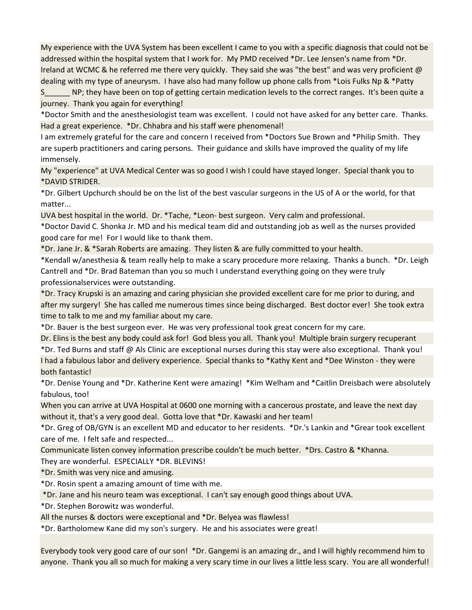My experience with the UVA System has been excellent I came to you with a specific diagnosis that could not be addressed within the hospital system that I work for. My PMD received \*Dr. Lee Jensen's name from \*Dr. Ireland at WCMC & he referred me there very quickly. They said she was "the best" and was very proficient @ dealing with my type of aneurysm. I have also had many follow up phone calls from \*Lois Fulks Np & \*Patty

S<sub>T</sub> NP; they have been on top of getting certain medication levels to the correct ranges. It's been quite a journey. Thank you again for everything!

\*Doctor Smith and the anesthesiologist team was excellent. I could not have asked for any better care. Thanks. Had a great experience. \*Dr. Chhabra and his staff were phenomenal!

I am extremely grateful for the care and concern I received from \*Doctors Sue Brown and \*Philip Smith. They are superb practitioners and caring persons. Their guidance and skills have improved the quality of my life immensely.

My "experience" at UVA Medical Center was so good I wish I could have stayed longer. Special thank you to \*DAVID STRIDER.

\*Dr. Gilbert Upchurch should be on the list of the best vascular surgeons in the US of A or the world, for that matter...

UVA best hospital in the world. Dr. \*Tache, \*Leon- best surgeon. Very calm and professional.

\*Doctor David C. Shonka Jr. MD and his medical team did and outstanding job as well as the nurses provided good care for me! For I would like to thank them.

\*Dr. Jane Jr. & \*Sarah Roberts are amazing. They listen & are fully committed to your health.

\*Kendall w/anesthesia & team really help to make a scary procedure more relaxing. Thanks a bunch. \*Dr. Leigh Cantrell and \*Dr. Brad Bateman than you so much I understand everything going on they were truly professionalservices were outstanding.

\*Dr. Tracy Krupski is an amazing and caring physician she provided excellent care for me prior to during, and after my surgery! She has called me numerous times since being discharged. Best doctor ever! She took extra time to talk to me and my familiar about my care.

\*Dr. Bauer is the best surgeon ever. He was very professional took great concern for my care.

Dr. Elins is the best any body could ask for! God bless you all. Thank you! Multiple brain surgery recuperant \*Dr. Ted Burns and staff @ Als Clinic are exceptional nurses during this stay were also exceptional. Thank you! I had a fabulous labor and delivery experience. Special thanks to \*Kathy Kent and \*Dee Winston - they were both fantastic!

\*Dr. Denise Young and \*Dr. Katherine Kent were amazing! \*Kim Welham and \*Caitlin Dreisbach were absolutely fabulous, too!

When you can arrive at UVA Hospital at 0600 one morning with a cancerous prostate, and leave the next day without it, that's a very good deal. Gotta love that \*Dr. Kawaski and her team!

\*Dr. Greg of OB/GYN is an excellent MD and educator to her residents. \*Dr.'s Lankin and \*Grear took excellent care of me. I felt safe and respected...

Communicate listen convey information prescribe couldn't be much better. \*Drs. Castro & \*Khanna.

They are wonderful. ESPECIALLY \*DR. BLEVINS!

\*Dr. Smith was very nice and amusing.

\*Dr. Rosin spent a amazing amount of time with me.

\*Dr. Jane and his neuro team was exceptional. I can't say enough good things about UVA.

\*Dr. Stephen Borowitz was wonderful.

All the nurses & doctors were exceptional and \*Dr. Belyea was flawless!

\*Dr. Bartholomew Kane did my son's surgery. He and his associates were great!

Everybody took very good care of our son! \*Dr. Gangemi is an amazing dr., and I will highly recommend him to anyone. Thank you all so much for making a very scary time in our lives a little less scary. You are all wonderful!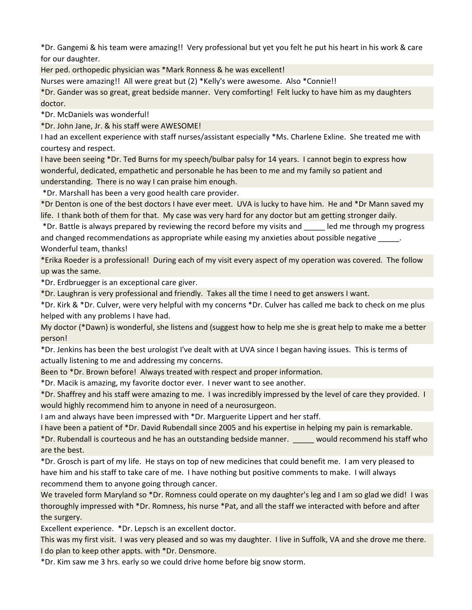\*Dr. Gangemi & his team were amazing!! Very professional but yet you felt he put his heart in his work & care for our daughter.

Her ped. orthopedic physician was \*Mark Ronness & he was excellent!

Nurses were amazing!! All were great but (2) \*Kelly's were awesome. Also \*Connie!!

\*Dr. Gander was so great, great bedside manner. Very comforting! Felt lucky to have him as my daughters doctor.

\*Dr. McDaniels was wonderful!

\*Dr. John Jane, Jr. & his staff were AWESOME!

I had an excellent experience with staff nurses/assistant especially \*Ms. Charlene Exline. She treated me with courtesy and respect.

I have been seeing \*Dr. Ted Burns for my speech/bulbar palsy for 14 years. I cannot begin to express how wonderful, dedicated, empathetic and personable he has been to me and my family so patient and understanding. There is no way I can praise him enough.

\*Dr. Marshall has been a very good health care provider.

\*Dr Denton is one of the best doctors I have ever meet. UVA is lucky to have him. He and \*Dr Mann saved my life. I thank both of them for that. My case was very hard for any doctor but am getting stronger daily.

 \*Dr. Battle is always prepared by reviewing the record before my visits and \_\_\_\_\_ led me through my progress and changed recommendations as appropriate while easing my anxieties about possible negative Wonderful team, thanks!

\*Erika Roeder is a professional! During each of my visit every aspect of my operation was covered. The follow up was the same.

\*Dr. Erdbruegger is an exceptional care giver.

\*Dr. Laughran is very professional and friendly. Takes all the time I need to get answers I want.

\*Dr. Kirk & \*Dr. Culver, were very helpful with my concerns \*Dr. Culver has called me back to check on me plus helped with any problems I have had.

My doctor (\*Dawn) is wonderful, she listens and (suggest how to help me she is great help to make me a better person!

\*Dr. Jenkins has been the best urologist I've dealt with at UVA since I began having issues. This is terms of actually listening to me and addressing my concerns.

Been to \*Dr. Brown before! Always treated with respect and proper information.

\*Dr. Macik is amazing, my favorite doctor ever. I never want to see another.

\*Dr. Shaffrey and his staff were amazing to me. I was incredibly impressed by the level of care they provided. I would highly recommend him to anyone in need of a neurosurgeon.

I am and always have been impressed with \*Dr. Marguerite Lippert and her staff.

I have been a patient of \*Dr. David Rubendall since 2005 and his expertise in helping my pain is remarkable.

\*Dr. Rubendall is courteous and he has an outstanding bedside manner. \_\_\_\_\_ would recommend his staff who are the best.

\*Dr. Grosch is part of my life. He stays on top of new medicines that could benefit me. I am very pleased to have him and his staff to take care of me. I have nothing but positive comments to make. I will always recommend them to anyone going through cancer.

We traveled form Maryland so \*Dr. Romness could operate on my daughter's leg and I am so glad we did! I was thoroughly impressed with \*Dr. Romness, his nurse \*Pat, and all the staff we interacted with before and after the surgery.

Excellent experience. \*Dr. Lepsch is an excellent doctor.

This was my first visit. I was very pleased and so was my daughter. I live in Suffolk, VA and she drove me there. I do plan to keep other appts. with \*Dr. Densmore.

\*Dr. Kim saw me 3 hrs. early so we could drive home before big snow storm.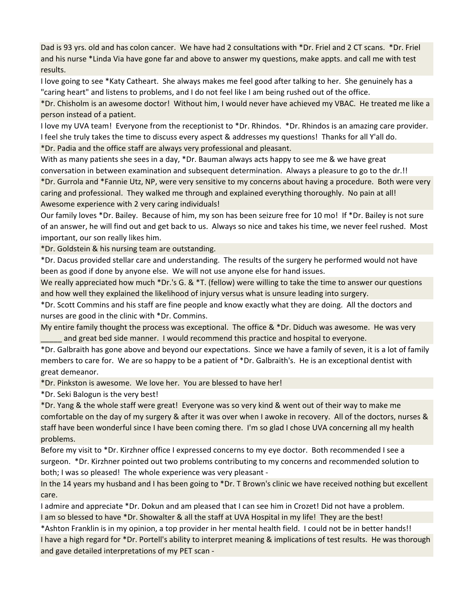Dad is 93 yrs. old and has colon cancer. We have had 2 consultations with \*Dr. Friel and 2 CT scans. \*Dr. Friel and his nurse \*Linda Via have gone far and above to answer my questions, make appts. and call me with test results.

I love going to see \*Katy Catheart. She always makes me feel good after talking to her. She genuinely has a "caring heart" and listens to problems, and I do not feel like I am being rushed out of the office.

\*Dr. Chisholm is an awesome doctor! Without him, I would never have achieved my VBAC. He treated me like a person instead of a patient.

I love my UVA team! Everyone from the receptionist to \*Dr. Rhindos. \*Dr. Rhindos is an amazing care provider. I feel she truly takes the time to discuss every aspect & addresses my questions! Thanks for all Y'all do. \*Dr. Padia and the office staff are always very professional and pleasant.

With as many patients she sees in a day, \*Dr. Bauman always acts happy to see me & we have great conversation in between examination and subsequent determination. Always a pleasure to go to the dr.!!

\*Dr. Gurrola and \*Fannie Utz, NP, were very sensitive to my concerns about having a procedure. Both were very caring and professional. They walked me through and explained everything thoroughly. No pain at all! Awesome experience with 2 very caring individuals!

Our family loves \*Dr. Bailey. Because of him, my son has been seizure free for 10 mo! If \*Dr. Bailey is not sure of an answer, he will find out and get back to us. Always so nice and takes his time, we never feel rushed. Most important, our son really likes him.

\*Dr. Goldstein & his nursing team are outstanding.

\*Dr. Dacus provided stellar care and understanding. The results of the surgery he performed would not have been as good if done by anyone else. We will not use anyone else for hand issues.

We really appreciated how much \*Dr.'s G. & \*T. (fellow) were willing to take the time to answer our questions and how well they explained the likelihood of injury versus what is unsure leading into surgery.

\*Dr. Scott Commins and his staff are fine people and know exactly what they are doing. All the doctors and nurses are good in the clinic with \*Dr. Commins.

My entire family thought the process was exceptional. The office  $\&$  \*Dr. Diduch was awesome. He was very and great bed side manner. I would recommend this practice and hospital to everyone.

\*Dr. Galbraith has gone above and beyond our expectations. Since we have a family of seven, it is a lot of family members to care for. We are so happy to be a patient of \*Dr. Galbraith's. He is an exceptional dentist with great demeanor.

\*Dr. Pinkston is awesome. We love her. You are blessed to have her!

\*Dr. Seki Balogun is the very best!

\*Dr. Yang & the whole staff were great! Everyone was so very kind & went out of their way to make me comfortable on the day of my surgery & after it was over when I awoke in recovery. All of the doctors, nurses & staff have been wonderful since I have been coming there. I'm so glad I chose UVA concerning all my health problems.

Before my visit to \*Dr. Kirzhner office I expressed concerns to my eye doctor. Both recommended I see a surgeon. \*Dr. Kirzhner pointed out two problems contributing to my concerns and recommended solution to both; I was so pleased! The whole experience was very pleasant -

In the 14 years my husband and I has been going to \*Dr. T Brown's clinic we have received nothing but excellent care.

I admire and appreciate \*Dr. Dokun and am pleased that I can see him in Crozet! Did not have a problem. I am so blessed to have \*Dr. Showalter & all the staff at UVA Hospital in my life! They are the best!

\*Ashton Franklin is in my opinion, a top provider in her mental health field. I could not be in better hands!! I have a high regard for \*Dr. Portell's ability to interpret meaning & implications of test results. He was thorough and gave detailed interpretations of my PET scan -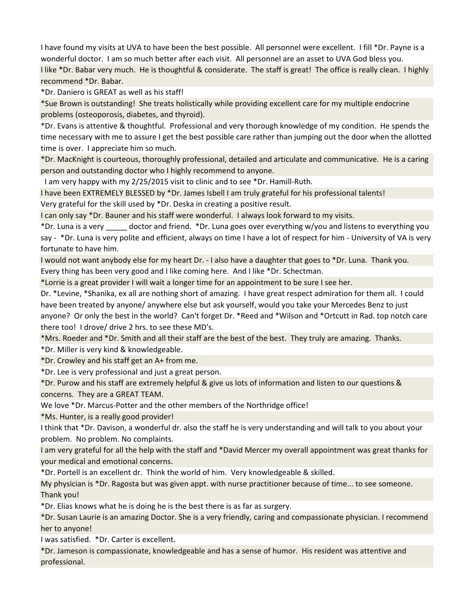I have found my visits at UVA to have been the best possible. All personnel were excellent. I fill \*Dr. Payne is a wonderful doctor. I am so much better after each visit. All personnel are an asset to UVA God bless you.

I like \*Dr. Babar very much. He is thoughtful & considerate. The staff is great! The office is really clean. I highly recommend \*Dr. Babar.

\*Dr. Daniero is GREAT as well as his staff!

\*Sue Brown is outstanding! She treats holistically while providing excellent care for my multiple endocrine problems (osteoporosis, diabetes, and thyroid).

\*Dr. Evans is attentive & thoughtful. Professional and very thorough knowledge of my condition. He spends the time necessary with me to assure I get the best possible care rather than jumping out the door when the allotted time is over. I appreciate him so much.

\*Dr. MacKnight is courteous, thoroughly professional, detailed and articulate and communicative. He is a caring person and outstanding doctor who I highly recommend to anyone.

I am very happy with my 2/25/2015 visit to clinic and to see \*Dr. Hamill-Ruth.

I have been EXTREMELY BLESSED by \*Dr. James Isbell I am truly grateful for his professional talents!

Very grateful for the skill used by \*Dr. Deska in creating a positive result.

I can only say \*Dr. Bauner and his staff were wonderful. I always look forward to my visits.

\*Dr. Luna is a very \_\_\_\_\_ doctor and friend. \*Dr. Luna goes over everything w/you and listens to everything you say - \*Dr. Luna is very polite and efficient, always on time I have a lot of respect for him - University of VA is very fortunate to have him.

I would not want anybody else for my heart Dr. - I also have a daughter that goes to \*Dr. Luna. Thank you. Every thing has been very good and I like coming here. And I like \*Dr. Schectman.

\*Lorrie is a great provider I will wait a longer time for an appointment to be sure I see her.

Dr. \*Levine, \*Shanika, ex all are nothing short of amazing. I have great respect admiration for them all. I could have been treated by anyone/ anywhere else but ask yourself, would you take your Mercedes Benz to just anyone? Or only the best in the world? Can't forget Dr. \*Reed and \*Wilson and \*Ortcutt in Rad. top notch care there too! I drove/ drive 2 hrs. to see these MD's.

\*Mrs. Roeder and \*Dr. Smith and all their staff are the best of the best. They truly are amazing. Thanks.

\*Dr. Miller is very kind & knowledgeable.

\*Dr. Crowley and his staff get an A+ from me.

\*Dr. Lee is very professional and just a great person.

\*Dr. Purow and his staff are extremely helpful & give us lots of information and listen to our questions & concerns. They are a GREAT TEAM.

We love \*Dr. Marcus-Potter and the other members of the Northridge office!

\*Ms. Hunter, is a really good provider!

I think that \*Dr. Davison, a wonderful dr. also the staff he is very understanding and will talk to you about your problem. No problem. No complaints.

I am very grateful for all the help with the staff and \*David Mercer my overall appointment was great thanks for your medical and emotional concerns.

\*Dr. Portell is an excellent dr. Think the world of him. Very knowledgeable & skilled.

My physician is \*Dr. Ragosta but was given appt. with nurse practitioner because of time... to see someone. Thank you!

\*Dr. Elias knows what he is doing he is the best there is as far as surgery.

\*Dr. Susan Laurie is an amazing Doctor. She is a very friendly, caring and compassionate physician. I recommend her to anyone!

I was satisfied. \*Dr. Carter is excellent.

\*Dr. Jameson is compassionate, knowledgeable and has a sense of humor. His resident was attentive and professional.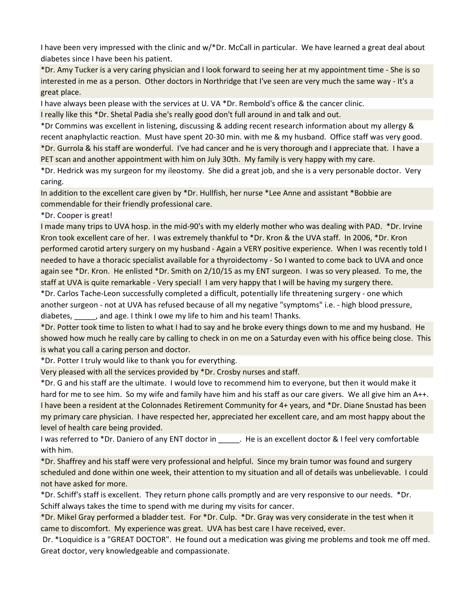I have been very impressed with the clinic and w/\*Dr. McCall in particular. We have learned a great deal about diabetes since I have been his patient.

\*Dr. Amy Tucker is a very caring physician and I look forward to seeing her at my appointment time - She is so interested in me as a person. Other doctors in Northridge that I've seen are very much the same way - It's a great place.

I have always been please with the services at U. VA \*Dr. Rembold's office & the cancer clinic.

I really like this \*Dr. Shetal Padia she's really good don't full around in and talk and out.

\*Dr Commins was excellent in listening, discussing & adding recent research information about my allergy & recent anaphylactic reaction. Must have spent 20-30 min. with me & my husband. Office staff was very good. \*Dr. Gurrola & his staff are wonderful. I've had cancer and he is very thorough and I appreciate that. I have a

PET scan and another appointment with him on July 30th. My family is very happy with my care.

\*Dr. Hedrick was my surgeon for my ileostomy. She did a great job, and she is a very personable doctor. Very caring.

In addition to the excellent care given by \*Dr. Hullfish, her nurse \*Lee Anne and assistant \*Bobbie are commendable for their friendly professional care.

\*Dr. Cooper is great!

I made many trips to UVA hosp. in the mid-90's with my elderly mother who was dealing with PAD. \*Dr. Irvine Kron took excellent care of her. I was extremely thankful to \*Dr. Kron & the UVA staff. In 2006, \*Dr. Kron performed carotid artery surgery on my husband - Again a VERY positive experience. When I was recently told I needed to have a thoracic specialist available for a thyroidectomy - So I wanted to come back to UVA and once again see \*Dr. Kron. He enlisted \*Dr. Smith on 2/10/15 as my ENT surgeon. I was so very pleased. To me, the staff at UVA is quite remarkable - Very special! I am very happy that I will be having my surgery there.

\*Dr. Carlos Tache-Leon successfully completed a difficult, potentially life threatening surgery - one which another surgeon - not at UVA has refused because of all my negative "symptoms" i.e. - high blood pressure, diabetes, \_\_\_\_\_, and age. I think I owe my life to him and his team! Thanks.

\*Dr. Potter took time to listen to what I had to say and he broke every things down to me and my husband. He showed how much he really care by calling to check in on me on a Saturday even with his office being close. This is what you call a caring person and doctor.

\*Dr. Potter I truly would like to thank you for everything.

Very pleased with all the services provided by \*Dr. Crosby nurses and staff.

\*Dr. G and his staff are the ultimate. I would love to recommend him to everyone, but then it would make it hard for me to see him. So my wife and family have him and his staff as our care givers. We all give him an A++. I have been a resident at the Colonnades Retirement Community for 4+ years, and \*Dr. Diane Snustad has been my primary care physician. I have respected her, appreciated her excellent care, and am most happy about the level of health care being provided.

I was referred to \*Dr. Daniero of any ENT doctor in \_\_\_\_\_\_. He is an excellent doctor & I feel very comfortable with him.

\*Dr. Shaffrey and his staff were very professional and helpful. Since my brain tumor was found and surgery scheduled and done within one week, their attention to my situation and all of details was unbelievable. I could not have asked for more.

\*Dr. Schiff's staff is excellent. They return phone calls promptly and are very responsive to our needs. \*Dr. Schiff always takes the time to spend with me during my visits for cancer.

\*Dr. Mikel Gray performed a bladder test. For \*Dr. Culp. \*Dr. Gray was very considerate in the test when it came to discomfort. My experience was great. UVA has best care I have received, ever.

 Dr. \*Loquidice is a "GREAT DOCTOR". He found out a medication was giving me problems and took me off med. Great doctor, very knowledgeable and compassionate.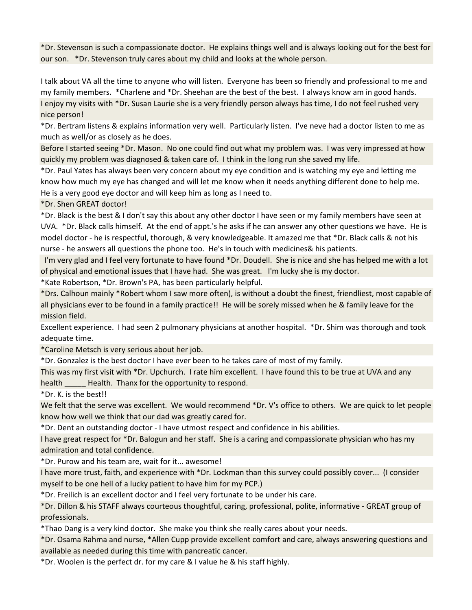\*Dr. Stevenson is such a compassionate doctor. He explains things well and is always looking out for the best for our son. \*Dr. Stevenson truly cares about my child and looks at the whole person.

I talk about VA all the time to anyone who will listen. Everyone has been so friendly and professional to me and my family members. \*Charlene and \*Dr. Sheehan are the best of the best. I always know am in good hands. I enjoy my visits with \*Dr. Susan Laurie she is a very friendly person always has time, I do not feel rushed very nice person!

\*Dr. Bertram listens & explains information very well. Particularly listen. I've neve had a doctor listen to me as much as well/or as closely as he does.

Before I started seeing \*Dr. Mason. No one could find out what my problem was. I was very impressed at how quickly my problem was diagnosed & taken care of. I think in the long run she saved my life.

\*Dr. Paul Yates has always been very concern about my eye condition and is watching my eye and letting me know how much my eye has changed and will let me know when it needs anything different done to help me. He is a very good eye doctor and will keep him as long as I need to.

\*Dr. Shen GREAT doctor!

\*Dr. Black is the best & I don't say this about any other doctor I have seen or my family members have seen at UVA. \*Dr. Black calls himself. At the end of appt.'s he asks if he can answer any other questions we have. He is model doctor - he is respectful, thorough, & very knowledgeable. It amazed me that \*Dr. Black calls & not his nurse - he answers all questions the phone too. He's in touch with medicines& his patients.

 I'm very glad and I feel very fortunate to have found \*Dr. Doudell. She is nice and she has helped me with a lot of physical and emotional issues that I have had. She was great. I'm lucky she is my doctor.

\*Kate Robertson, \*Dr. Brown's PA, has been particularly helpful.

\*Drs. Calhoun mainly \*Robert whom I saw more often), is without a doubt the finest, friendliest, most capable of all physicians ever to be found in a family practice!! He will be sorely missed when he & family leave for the mission field.

Excellent experience. I had seen 2 pulmonary physicians at another hospital. \*Dr. Shim was thorough and took adequate time.

\*Caroline Metsch is very serious about her job.

\*Dr. Gonzalez is the best doctor I have ever been to he takes care of most of my family.

This was my first visit with \*Dr. Upchurch. I rate him excellent. I have found this to be true at UVA and any health \_\_\_\_\_\_ Health. Thanx for the opportunity to respond.

\*Dr. K. is the best!!

We felt that the serve was excellent. We would recommend \*Dr. V's office to others. We are quick to let people know how well we think that our dad was greatly cared for.

\*Dr. Dent an outstanding doctor - I have utmost respect and confidence in his abilities.

I have great respect for \*Dr. Balogun and her staff. She is a caring and compassionate physician who has my admiration and total confidence.

\*Dr. Purow and his team are, wait for it... awesome!

I have more trust, faith, and experience with \*Dr. Lockman than this survey could possibly cover... (I consider myself to be one hell of a lucky patient to have him for my PCP.)

\*Dr. Freilich is an excellent doctor and I feel very fortunate to be under his care.

\*Dr. Dillon & his STAFF always courteous thoughtful, caring, professional, polite, informative - GREAT group of professionals.

\*Thao Dang is a very kind doctor. She make you think she really cares about your needs.

\*Dr. Osama Rahma and nurse, \*Allen Cupp provide excellent comfort and care, always answering questions and available as needed during this time with pancreatic cancer.

\*Dr. Woolen is the perfect dr. for my care & I value he & his staff highly.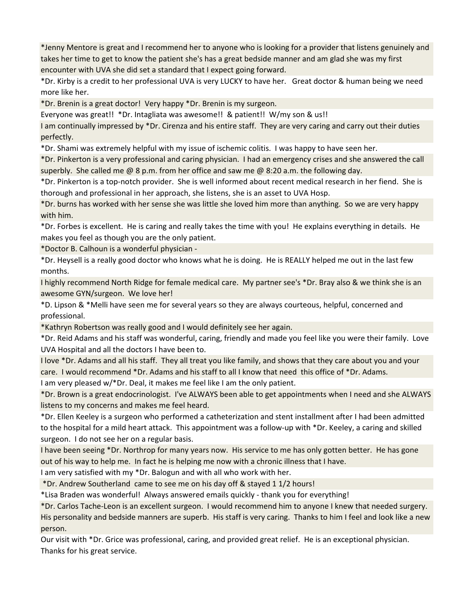\*Jenny Mentore is great and I recommend her to anyone who is looking for a provider that listens genuinely and takes her time to get to know the patient she's has a great bedside manner and am glad she was my first encounter with UVA she did set a standard that I expect going forward.

\*Dr. Kirby is a credit to her professional UVA is very LUCKY to have her. Great doctor & human being we need more like her.

\*Dr. Brenin is a great doctor! Very happy \*Dr. Brenin is my surgeon.

Everyone was great!! \*Dr. Intagliata was awesome!! & patient!! W/my son & us!!

I am continually impressed by \*Dr. Cirenza and his entire staff. They are very caring and carry out their duties perfectly.

\*Dr. Shami was extremely helpful with my issue of ischemic colitis. I was happy to have seen her.

\*Dr. Pinkerton is a very professional and caring physician. I had an emergency crises and she answered the call superbly. She called me @ 8 p.m. from her office and saw me @ 8:20 a.m. the following day.

\*Dr. Pinkerton is a top-notch provider. She is well informed about recent medical research in her fiend. She is thorough and professional in her approach, she listens, she is an asset to UVA Hosp.

\*Dr. burns has worked with her sense she was little she loved him more than anything. So we are very happy with him.

\*Dr. Forbes is excellent. He is caring and really takes the time with you! He explains everything in details. He makes you feel as though you are the only patient.

\*Doctor B. Calhoun is a wonderful physician -

\*Dr. Heysell is a really good doctor who knows what he is doing. He is REALLY helped me out in the last few months.

I highly recommend North Ridge for female medical care. My partner see's \*Dr. Bray also & we think she is an awesome GYN/surgeon. We love her!

\*D. Lipson & \*Melli have seen me for several years so they are always courteous, helpful, concerned and professional.

\*Kathryn Robertson was really good and I would definitely see her again.

\*Dr. Reid Adams and his staff was wonderful, caring, friendly and made you feel like you were their family. Love UVA Hospital and all the doctors I have been to.

I love \*Dr. Adams and all his staff. They all treat you like family, and shows that they care about you and your care. I would recommend \*Dr. Adams and his staff to all I know that need this office of \*Dr. Adams.

I am very pleased w/\*Dr. Deal, it makes me feel like I am the only patient.

\*Dr. Brown is a great endocrinologist. I've ALWAYS been able to get appointments when I need and she ALWAYS listens to my concerns and makes me feel heard.

\*Dr. Ellen Keeley is a surgeon who performed a catheterization and stent installment after I had been admitted to the hospital for a mild heart attack. This appointment was a follow-up with \*Dr. Keeley, a caring and skilled surgeon. I do not see her on a regular basis.

I have been seeing \*Dr. Northrop for many years now. His service to me has only gotten better. He has gone out of his way to help me. In fact he is helping me now with a chronic illness that I have.

I am very satisfied with my \*Dr. Balogun and with all who work with her.

\*Dr. Andrew Southerland came to see me on his day off & stayed 1 1/2 hours!

\*Lisa Braden was wonderful! Always answered emails quickly - thank you for everything!

\*Dr. Carlos Tache-Leon is an excellent surgeon. I would recommend him to anyone I knew that needed surgery. His personality and bedside manners are superb. His staff is very caring. Thanks to him I feel and look like a new person.

Our visit with \*Dr. Grice was professional, caring, and provided great relief. He is an exceptional physician. Thanks for his great service.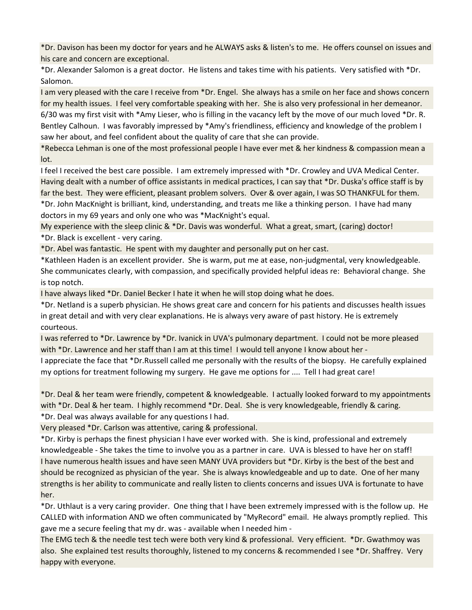\*Dr. Davison has been my doctor for years and he ALWAYS asks & listen's to me. He offers counsel on issues and his care and concern are exceptional.

\*Dr. Alexander Salomon is a great doctor. He listens and takes time with his patients. Very satisfied with \*Dr. Salomon.

I am very pleased with the care I receive from \*Dr. Engel. She always has a smile on her face and shows concern for my health issues. I feel very comfortable speaking with her. She is also very professional in her demeanor. 6/30 was my first visit with \*Amy Lieser, who is filling in the vacancy left by the move of our much loved \*Dr. R. Bentley Calhoun. I was favorably impressed by \*Amy's friendliness, efficiency and knowledge of the problem I saw her about, and feel confident about the quality of care that she can provide.

\*Rebecca Lehman is one of the most professional people I have ever met & her kindness & compassion mean a lot.

I feel I received the best care possible. I am extremely impressed with \*Dr. Crowley and UVA Medical Center. Having dealt with a number of office assistants in medical practices, I can say that \*Dr. Duska's office staff is by far the best. They were efficient, pleasant problem solvers. Over & over again, I was SO THANKFUL for them. \*Dr. John MacKnight is brilliant, kind, understanding, and treats me like a thinking person. I have had many

doctors in my 69 years and only one who was \*MacKnight's equal.

My experience with the sleep clinic & \*Dr. Davis was wonderful. What a great, smart, (caring) doctor! \*Dr. Black is excellent - very caring.

\*Dr. Abel was fantastic. He spent with my daughter and personally put on her cast.

\*Kathleen Haden is an excellent provider. She is warm, put me at ease, non-judgmental, very knowledgeable. She communicates clearly, with compassion, and specifically provided helpful ideas re: Behavioral change. She is top notch.

I have always liked \*Dr. Daniel Becker I hate it when he will stop doing what he does.

\*Dr. Netland is a superb physician. He shows great care and concern for his patients and discusses health issues in great detail and with very clear explanations. He is always very aware of past history. He is extremely courteous.

I was referred to \*Dr. Lawrence by \*Dr. Ivanick in UVA's pulmonary department. I could not be more pleased with \*Dr. Lawrence and her staff than I am at this time! I would tell anyone I know about her -

I appreciate the face that \*Dr.Russell called me personally with the results of the biopsy. He carefully explained my options for treatment following my surgery. He gave me options for .... Tell I had great care!

\*Dr. Deal & her team were friendly, competent & knowledgeable. I actually looked forward to my appointments with \*Dr. Deal & her team. I highly recommend \*Dr. Deal. She is very knowledgeable, friendly & caring. \*Dr. Deal was always available for any questions I had.

Very pleased \*Dr. Carlson was attentive, caring & professional.

\*Dr. Kirby is perhaps the finest physician I have ever worked with. She is kind, professional and extremely knowledgeable - She takes the time to involve you as a partner in care. UVA is blessed to have her on staff! I have numerous health issues and have seen MANY UVA providers but \*Dr. Kirby is the best of the best and should be recognized as physician of the year. She is always knowledgeable and up to date. One of her many strengths is her ability to communicate and really listen to clients concerns and issues UVA is fortunate to have her.

\*Dr. Uthlaut is a very caring provider. One thing that I have been extremely impressed with is the follow up. He CALLED with information AND we often communicated by "MyRecord" email. He always promptly replied. This gave me a secure feeling that my dr. was - available when I needed him -

The EMG tech & the needle test tech were both very kind & professional. Very efficient. \*Dr. Gwathmoy was also. She explained test results thoroughly, listened to my concerns & recommended I see \*Dr. Shaffrey. Very happy with everyone.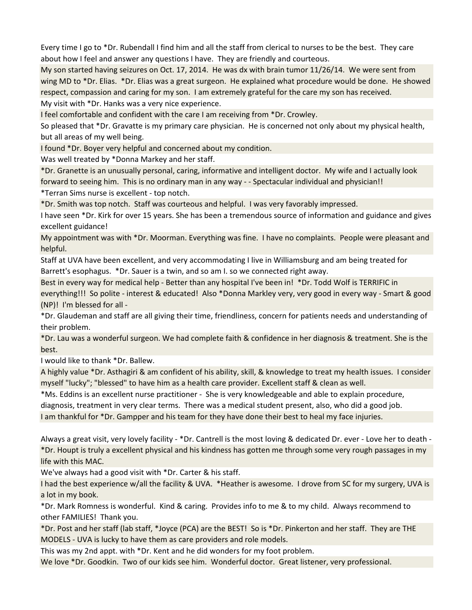Every time I go to \*Dr. Rubendall I find him and all the staff from clerical to nurses to be the best. They care about how I feel and answer any questions I have. They are friendly and courteous.

My son started having seizures on Oct. 17, 2014. He was dx with brain tumor 11/26/14. We were sent from wing MD to \*Dr. Elias. \*Dr. Elias was a great surgeon. He explained what procedure would be done. He showed respect, compassion and caring for my son. I am extremely grateful for the care my son has received.

My visit with \*Dr. Hanks was a very nice experience.

I feel comfortable and confident with the care I am receiving from \*Dr. Crowley.

So pleased that \*Dr. Gravatte is my primary care physician. He is concerned not only about my physical health, but all areas of my well being.

I found \*Dr. Boyer very helpful and concerned about my condition.

Was well treated by \*Donna Markey and her staff.

\*Dr. Granette is an unusually personal, caring, informative and intelligent doctor. My wife and I actually look forward to seeing him. This is no ordinary man in any way - - Spectacular individual and physician!!

\*Terran Sims nurse is excellent - top notch.

\*Dr. Smith was top notch. Staff was courteous and helpful. I was very favorably impressed.

I have seen \*Dr. Kirk for over 15 years. She has been a tremendous source of information and guidance and gives excellent guidance!

My appointment was with \*Dr. Moorman. Everything was fine. I have no complaints. People were pleasant and helpful.

Staff at UVA have been excellent, and very accommodating I live in Williamsburg and am being treated for Barrett's esophagus. \*Dr. Sauer is a twin, and so am I. so we connected right away.

Best in every way for medical help - Better than any hospital I've been in! \*Dr. Todd Wolf is TERRIFIC in everything!!! So polite - interest & educated! Also \*Donna Markley very, very good in every way - Smart & good (NP)! I'm blessed for all -

\*Dr. Glaudeman and staff are all giving their time, friendliness, concern for patients needs and understanding of their problem.

\*Dr. Lau was a wonderful surgeon. We had complete faith & confidence in her diagnosis & treatment. She is the best.

I would like to thank \*Dr. Ballew.

A highly value \*Dr. Asthagiri & am confident of his ability, skill, & knowledge to treat my health issues. I consider myself "lucky"; "blessed" to have him as a health care provider. Excellent staff & clean as well.

\*Ms. Eddins is an excellent nurse practitioner - She is very knowledgeable and able to explain procedure,

diagnosis, treatment in very clear terms. There was a medical student present, also, who did a good job.

I am thankful for \*Dr. Gampper and his team for they have done their best to heal my face injuries.

Always a great visit, very lovely facility - \*Dr. Cantrell is the most loving & dedicated Dr. ever - Love her to death - \*Dr. Houpt is truly a excellent physical and his kindness has gotten me through some very rough passages in my life with this MAC.

We've always had a good visit with \*Dr. Carter & his staff.

I had the best experience w/all the facility & UVA. \*Heather is awesome. I drove from SC for my surgery, UVA is a lot in my book.

\*Dr. Mark Romness is wonderful. Kind & caring. Provides info to me & to my child. Always recommend to other FAMILIES! Thank you.

\*Dr. Post and her staff (lab staff, \*Joyce (PCA) are the BEST! So is \*Dr. Pinkerton and her staff. They are THE MODELS - UVA is lucky to have them as care providers and role models.

This was my 2nd appt. with \*Dr. Kent and he did wonders for my foot problem.

We love \*Dr. Goodkin. Two of our kids see him. Wonderful doctor. Great listener, very professional.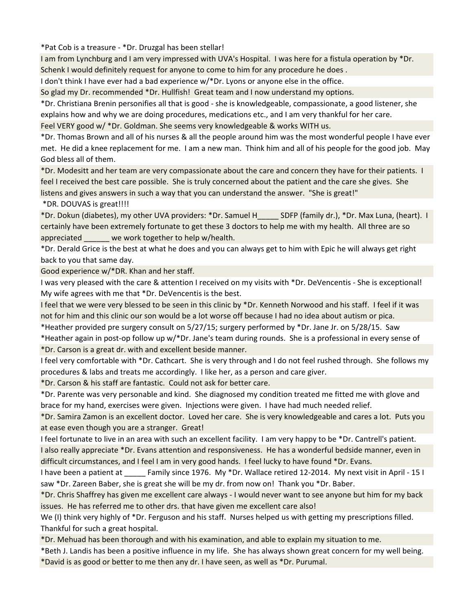\*Pat Cob is a treasure - \*Dr. Druzgal has been stellar!

I am from Lynchburg and I am very impressed with UVA's Hospital. I was here for a fistula operation by \*Dr. Schenk I would definitely request for anyone to come to him for any procedure he does .

I don't think I have ever had a bad experience w/\*Dr. Lyons or anyone else in the office.

So glad my Dr. recommended \*Dr. Hullfish! Great team and I now understand my options.

\*Dr. Christiana Brenin personifies all that is good - she is knowledgeable, compassionate, a good listener, she explains how and why we are doing procedures, medications etc., and I am very thankful for her care.

Feel VERY good w/ \*Dr. Goldman. She seems very knowledgeable & works WITH us.

\*Dr. Thomas Brown and all of his nurses & all the people around him was the most wonderful people I have ever met. He did a knee replacement for me. I am a new man. Think him and all of his people for the good job. May God bless all of them.

\*Dr. Modesitt and her team are very compassionate about the care and concern they have for their patients. I feel I received the best care possible. She is truly concerned about the patient and the care she gives. She listens and gives answers in such a way that you can understand the answer. "She is great!"

\*DR. DOUVAS is great!!!!

\*Dr. Dokun (diabetes), my other UVA providers: \*Dr. Samuel H\_\_\_\_\_ SDFP (family dr.), \*Dr. Max Luna, (heart). I certainly have been extremely fortunate to get these 3 doctors to help me with my health. All three are so appreciated \_\_\_\_\_\_ we work together to help w/health.

\*Dr. Derald Grice is the best at what he does and you can always get to him with Epic he will always get right back to you that same day.

Good experience w/\*DR. Khan and her staff.

I was very pleased with the care & attention I received on my visits with \*Dr. DeVencentis - She is exceptional! My wife agrees with me that \*Dr. DeVencentis is the best.

I feel that we were very blessed to be seen in this clinic by \*Dr. Kenneth Norwood and his staff. I feel if it was not for him and this clinic our son would be a lot worse off because I had no idea about autism or pica.

\*Heather provided pre surgery consult on 5/27/15; surgery performed by \*Dr. Jane Jr. on 5/28/15. Saw

\*Heather again in post-op follow up w/\*Dr. Jane's team during rounds. She is a professional in every sense of \*Dr. Carson is a great dr. with and excellent beside manner.

I feel very comfortable with \*Dr. Cathcart. She is very through and I do not feel rushed through. She follows my procedures & labs and treats me accordingly. I like her, as a person and care giver.

\*Dr. Carson & his staff are fantastic. Could not ask for better care.

\*Dr. Parente was very personable and kind. She diagnosed my condition treated me fitted me with glove and brace for my hand, exercises were given. Injections were given. I have had much needed relief.

\*Dr. Samira Zamon is an excellent doctor. Loved her care. She is very knowledgeable and cares a lot. Puts you at ease even though you are a stranger. Great!

I feel fortunate to live in an area with such an excellent facility. I am very happy to be \*Dr. Cantrell's patient. I also really appreciate \*Dr. Evans attention and responsiveness. He has a wonderful bedside manner, even in difficult circumstances, and I feel I am in very good hands. I feel lucky to have found \*Dr. Evans.

I have been a patient at \_\_\_\_\_ Family since 1976. My \*Dr. Wallace retired 12-2014. My next visit in April - 15 I saw \*Dr. Zareen Baber, she is great she will be my dr. from now on! Thank you \*Dr. Baber.

\*Dr. Chris Shaffrey has given me excellent care always - I would never want to see anyone but him for my back issues. He has referred me to other drs. that have given me excellent care also!

We (I) think very highly of \*Dr. Ferguson and his staff. Nurses helped us with getting my prescriptions filled. Thankful for such a great hospital.

\*Dr. Mehuad has been thorough and with his examination, and able to explain my situation to me.

\*Beth J. Landis has been a positive influence in my life. She has always shown great concern for my well being.

\*David is as good or better to me then any dr. I have seen, as well as \*Dr. Purumal.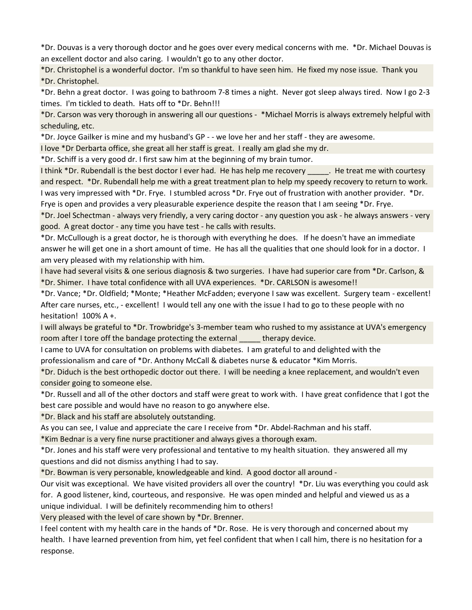\*Dr. Douvas is a very thorough doctor and he goes over every medical concerns with me. \*Dr. Michael Douvas is an excellent doctor and also caring. I wouldn't go to any other doctor.

\*Dr. Christophel is a wonderful doctor. I'm so thankful to have seen him. He fixed my nose issue. Thank you \*Dr. Christophel.

\*Dr. Behn a great doctor. I was going to bathroom 7-8 times a night. Never got sleep always tired. Now I go 2-3 times. I'm tickled to death. Hats off to \*Dr. Behn!!!

\*Dr. Carson was very thorough in answering all our questions - \*Michael Morris is always extremely helpful with scheduling, etc.

\*Dr. Joyce Gailker is mine and my husband's GP - - we love her and her staff - they are awesome.

I love \*Dr Derbarta office, she great all her staff is great. I really am glad she my dr.

\*Dr. Schiff is a very good dr. I first saw him at the beginning of my brain tumor.

I think \*Dr. Rubendall is the best doctor I ever had. He has help me recovery a He treat me with courtesy and respect. \*Dr. Rubendall help me with a great treatment plan to help my speedy recovery to return to work. I was very impressed with \*Dr. Frye. I stumbled across \*Dr. Frye out of frustration with another provider. \*Dr. Frye is open and provides a very pleasurable experience despite the reason that I am seeing \*Dr. Frye.

\*Dr. Joel Schectman - always very friendly, a very caring doctor - any question you ask - he always answers - very good. A great doctor - any time you have test - he calls with results.

\*Dr. McCullough is a great doctor, he is thorough with everything he does. If he doesn't have an immediate answer he will get one in a short amount of time. He has all the qualities that one should look for in a doctor. I am very pleased with my relationship with him.

I have had several visits & one serious diagnosis & two surgeries. I have had superior care from \*Dr. Carlson, & \*Dr. Shimer. I have total confidence with all UVA experiences. \*Dr. CARLSON is awesome!!

\*Dr. Vance; \*Dr. Oldfield; \*Monte; \*Heather McFadden; everyone I saw was excellent. Surgery team - excellent! After care nurses, etc., - excellent! I would tell any one with the issue I had to go to these people with no hesitation! 100% A +.

I will always be grateful to \*Dr. Trowbridge's 3-member team who rushed to my assistance at UVA's emergency room after I tore off the bandage protecting the external therapy device.

I came to UVA for consultation on problems with diabetes. I am grateful to and delighted with the professionalism and care of \*Dr. Anthony McCall & diabetes nurse & educator \*Kim Morris.

\*Dr. Diduch is the best orthopedic doctor out there. I will be needing a knee replacement, and wouldn't even consider going to someone else.

\*Dr. Russell and all of the other doctors and staff were great to work with. I have great confidence that I got the best care possible and would have no reason to go anywhere else.

\*Dr. Black and his staff are absolutely outstanding.

As you can see, I value and appreciate the care I receive from \*Dr. Abdel-Rachman and his staff.

\*Kim Bednar is a very fine nurse practitioner and always gives a thorough exam.

\*Dr. Jones and his staff were very professional and tentative to my health situation. they answered all my questions and did not dismiss anything I had to say.

\*Dr. Bowman is very personable, knowledgeable and kind. A good doctor all around -

Our visit was exceptional. We have visited providers all over the country! \*Dr. Liu was everything you could ask for. A good listener, kind, courteous, and responsive. He was open minded and helpful and viewed us as a unique individual. I will be definitely recommending him to others!

Very pleased with the level of care shown by \*Dr. Brenner.

I feel content with my health care in the hands of \*Dr. Rose. He is very thorough and concerned about my health. I have learned prevention from him, yet feel confident that when I call him, there is no hesitation for a response.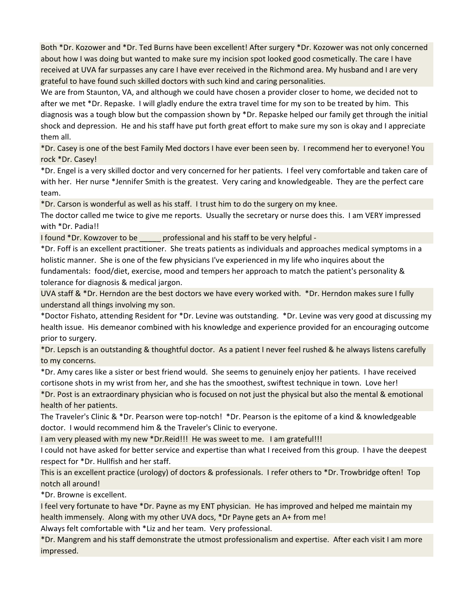Both \*Dr. Kozower and \*Dr. Ted Burns have been excellent! After surgery \*Dr. Kozower was not only concerned about how I was doing but wanted to make sure my incision spot looked good cosmetically. The care I have received at UVA far surpasses any care I have ever received in the Richmond area. My husband and I are very grateful to have found such skilled doctors with such kind and caring personalities.

We are from Staunton, VA, and although we could have chosen a provider closer to home, we decided not to after we met \*Dr. Repaske. I will gladly endure the extra travel time for my son to be treated by him. This diagnosis was a tough blow but the compassion shown by \*Dr. Repaske helped our family get through the initial shock and depression. He and his staff have put forth great effort to make sure my son is okay and I appreciate them all.

\*Dr. Casey is one of the best Family Med doctors I have ever been seen by. I recommend her to everyone! You rock \*Dr. Casey!

\*Dr. Engel is a very skilled doctor and very concerned for her patients. I feel very comfortable and taken care of with her. Her nurse \*Jennifer Smith is the greatest. Very caring and knowledgeable. They are the perfect care team.

\*Dr. Carson is wonderful as well as his staff. I trust him to do the surgery on my knee.

The doctor called me twice to give me reports. Usually the secretary or nurse does this. I am VERY impressed with \*Dr. Padia!!

I found \*Dr. Kowzover to be \_\_\_\_\_ professional and his staff to be very helpful -

\*Dr. Foff is an excellent practitioner. She treats patients as individuals and approaches medical symptoms in a holistic manner. She is one of the few physicians I've experienced in my life who inquires about the fundamentals: food/diet, exercise, mood and tempers her approach to match the patient's personality & tolerance for diagnosis & medical jargon.

UVA staff & \*Dr. Herndon are the best doctors we have every worked with. \*Dr. Herndon makes sure I fully understand all things involving my son.

\*Doctor Fishato, attending Resident for \*Dr. Levine was outstanding. \*Dr. Levine was very good at discussing my health issue. His demeanor combined with his knowledge and experience provided for an encouraging outcome prior to surgery.

\*Dr. Lepsch is an outstanding & thoughtful doctor. As a patient I never feel rushed & he always listens carefully to my concerns.

\*Dr. Amy cares like a sister or best friend would. She seems to genuinely enjoy her patients. I have received cortisone shots in my wrist from her, and she has the smoothest, swiftest technique in town. Love her!

\*Dr. Post is an extraordinary physician who is focused on not just the physical but also the mental & emotional health of her patients.

The Traveler's Clinic & \*Dr. Pearson were top-notch! \*Dr. Pearson is the epitome of a kind & knowledgeable doctor. I would recommend him & the Traveler's Clinic to everyone.

I am very pleased with my new \*Dr.Reid!!! He was sweet to me. I am grateful!!!

I could not have asked for better service and expertise than what I received from this group. I have the deepest respect for \*Dr. Hullfish and her staff.

This is an excellent practice (urology) of doctors & professionals. I refer others to \*Dr. Trowbridge often! Top notch all around!

\*Dr. Browne is excellent.

I feel very fortunate to have \*Dr. Payne as my ENT physician. He has improved and helped me maintain my health immensely. Along with my other UVA docs, \*Dr Payne gets an A+ from me!

Always felt comfortable with \*Liz and her team. Very professional.

\*Dr. Mangrem and his staff demonstrate the utmost professionalism and expertise. After each visit I am more impressed.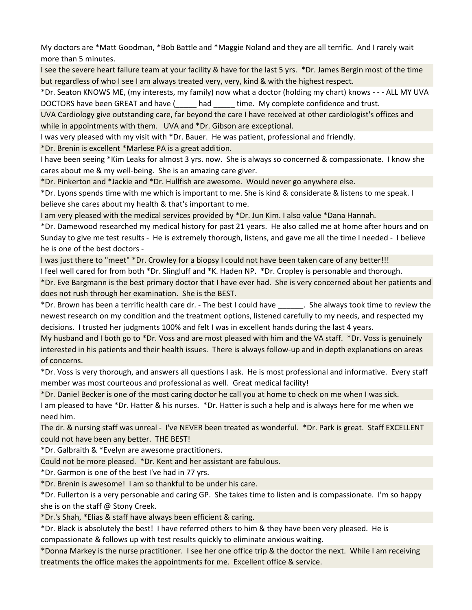My doctors are \*Matt Goodman, \*Bob Battle and \*Maggie Noland and they are all terrific. And I rarely wait more than 5 minutes.

I see the severe heart failure team at your facility & have for the last 5 yrs. \*Dr. James Bergin most of the time but regardless of who I see I am always treated very, very, kind & with the highest respect.

\*Dr. Seaton KNOWS ME, (my interests, my family) now what a doctor (holding my chart) knows - - - ALL MY UVA DOCTORS have been GREAT and have ( \_\_\_\_\_ had \_\_\_\_ time. My complete confidence and trust.

UVA Cardiology give outstanding care, far beyond the care I have received at other cardiologist's offices and while in appointments with them. UVA and \*Dr. Gibson are exceptional.

I was very pleased with my visit with \*Dr. Bauer. He was patient, professional and friendly.

\*Dr. Brenin is excellent \*Marlese PA is a great addition.

I have been seeing \*Kim Leaks for almost 3 yrs. now. She is always so concerned & compassionate. I know she cares about me & my well-being. She is an amazing care giver.

\*Dr. Pinkerton and \*Jackie and \*Dr. Hullfish are awesome. Would never go anywhere else.

\*Dr. Lyons spends time with me which is important to me. She is kind & considerate & listens to me speak. I believe she cares about my health & that's important to me.

I am very pleased with the medical services provided by \*Dr. Jun Kim. I also value \*Dana Hannah.

\*Dr. Damewood researched my medical history for past 21 years. He also called me at home after hours and on Sunday to give me test results - He is extremely thorough, listens, and gave me all the time I needed - I believe he is one of the best doctors -

I was just there to "meet" \*Dr. Crowley for a biopsy I could not have been taken care of any better!!! I feel well cared for from both \*Dr. Slingluff and \*K. Haden NP. \*Dr. Cropley is personable and thorough.

\*Dr. Eve Bargmann is the best primary doctor that I have ever had. She is very concerned about her patients and does not rush through her examination. She is the BEST.

\*Dr. Brown has been a terrific health care dr. - The best I could have \_\_\_\_\_\_. She always took time to review the newest research on my condition and the treatment options, listened carefully to my needs, and respected my decisions. I trusted her judgments 100% and felt I was in excellent hands during the last 4 years.

My husband and I both go to \*Dr. Voss and are most pleased with him and the VA staff. \*Dr. Voss is genuinely interested in his patients and their health issues. There is always follow-up and in depth explanations on areas of concerns.

\*Dr. Voss is very thorough, and answers all questions I ask. He is most professional and informative. Every staff member was most courteous and professional as well. Great medical facility!

\*Dr. Daniel Becker is one of the most caring doctor he call you at home to check on me when I was sick.

I am pleased to have \*Dr. Hatter & his nurses. \*Dr. Hatter is such a help and is always here for me when we need him.

The dr. & nursing staff was unreal - I've NEVER been treated as wonderful. \*Dr. Park is great. Staff EXCELLENT could not have been any better. THE BEST!

\*Dr. Galbraith & \*Evelyn are awesome practitioners.

Could not be more pleased. \*Dr. Kent and her assistant are fabulous.

\*Dr. Garmon is one of the best I've had in 77 yrs.

\*Dr. Brenin is awesome! I am so thankful to be under his care.

\*Dr. Fullerton is a very personable and caring GP. She takes time to listen and is compassionate. I'm so happy she is on the staff @ Stony Creek.

\*Dr.'s Shah, \*Elias & staff have always been efficient & caring.

\*Dr. Black is absolutely the best! I have referred others to him & they have been very pleased. He is compassionate & follows up with test results quickly to eliminate anxious waiting.

\*Donna Markey is the nurse practitioner. I see her one office trip & the doctor the next. While I am receiving treatments the office makes the appointments for me. Excellent office & service.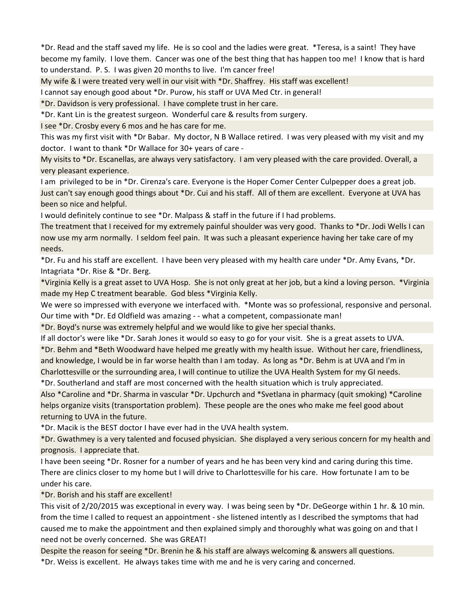\*Dr. Read and the staff saved my life. He is so cool and the ladies were great. \*Teresa, is a saint! They have become my family. I love them. Cancer was one of the best thing that has happen too me! I know that is hard to understand. P. S. I was given 20 months to live. I'm cancer free!

My wife & I were treated very well in our visit with \*Dr. Shaffrey. His staff was excellent!

I cannot say enough good about \*Dr. Purow, his staff or UVA Med Ctr. in general!

\*Dr. Davidson is very professional. I have complete trust in her care.

\*Dr. Kant Lin is the greatest surgeon. Wonderful care & results from surgery.

I see \*Dr. Crosby every 6 mos and he has care for me.

This was my first visit with \*Dr Babar. My doctor, N B Wallace retired. I was very pleased with my visit and my doctor. I want to thank \*Dr Wallace for 30+ years of care -

My visits to \*Dr. Escanellas, are always very satisfactory. I am very pleased with the care provided. Overall, a very pleasant experience.

I am privileged to be in \*Dr. Cirenza's care. Everyone is the Hoper Comer Center Culpepper does a great job. Just can't say enough good things about \*Dr. Cui and his staff. All of them are excellent. Everyone at UVA has been so nice and helpful.

I would definitely continue to see \*Dr. Malpass & staff in the future if I had problems.

The treatment that I received for my extremely painful shoulder was very good. Thanks to \*Dr. Jodi Wells I can now use my arm normally. I seldom feel pain. It was such a pleasant experience having her take care of my needs.

\*Dr. Fu and his staff are excellent. I have been very pleased with my health care under \*Dr. Amy Evans, \*Dr. Intagriata \*Dr. Rise & \*Dr. Berg.

\*Virginia Kelly is a great asset to UVA Hosp. She is not only great at her job, but a kind a loving person. \*Virginia made my Hep C treatment bearable. God bless \*Virginia Kelly.

We were so impressed with everyone we interfaced with. \*Monte was so professional, responsive and personal. Our time with \*Dr. Ed Oldfield was amazing - - what a competent, compassionate man!

\*Dr. Boyd's nurse was extremely helpful and we would like to give her special thanks.

If all doctor's were like \*Dr. Sarah Jones it would so easy to go for your visit. She is a great assets to UVA.

\*Dr. Behm and \*Beth Woodward have helped me greatly with my health issue. Without her care, friendliness, and knowledge, I would be in far worse health than I am today. As long as \*Dr. Behm is at UVA and I'm in Charlottesville or the surrounding area, I will continue to utilize the UVA Health System for my GI needs.

\*Dr. Southerland and staff are most concerned with the health situation which is truly appreciated.

Also \*Caroline and \*Dr. Sharma in vascular \*Dr. Upchurch and \*Svetlana in pharmacy (quit smoking) \*Caroline helps organize visits (transportation problem). These people are the ones who make me feel good about returning to UVA in the future.

\*Dr. Macik is the BEST doctor I have ever had in the UVA health system.

\*Dr. Gwathmey is a very talented and focused physician. She displayed a very serious concern for my health and prognosis. I appreciate that.

I have been seeing \*Dr. Rosner for a number of years and he has been very kind and caring during this time. There are clinics closer to my home but I will drive to Charlottesville for his care. How fortunate I am to be under his care.

## \*Dr. Borish and his staff are excellent!

This visit of 2/20/2015 was exceptional in every way. I was being seen by \*Dr. DeGeorge within 1 hr. & 10 min. from the time I called to request an appointment - she listened intently as I described the symptoms that had caused me to make the appointment and then explained simply and thoroughly what was going on and that I need not be overly concerned. She was GREAT!

Despite the reason for seeing \*Dr. Brenin he & his staff are always welcoming & answers all questions.

\*Dr. Weiss is excellent. He always takes time with me and he is very caring and concerned.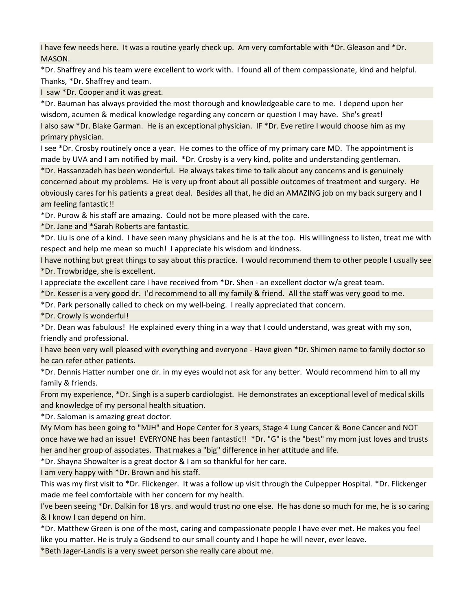I have few needs here. It was a routine yearly check up. Am very comfortable with \*Dr. Gleason and \*Dr. MASON.

\*Dr. Shaffrey and his team were excellent to work with. I found all of them compassionate, kind and helpful. Thanks, \*Dr. Shaffrey and team.

I saw \*Dr. Cooper and it was great.

\*Dr. Bauman has always provided the most thorough and knowledgeable care to me. I depend upon her wisdom, acumen & medical knowledge regarding any concern or question I may have. She's great! I also saw \*Dr. Blake Garman. He is an exceptional physician. IF \*Dr. Eve retire I would choose him as my primary physician.

I see \*Dr. Crosby routinely once a year. He comes to the office of my primary care MD. The appointment is made by UVA and I am notified by mail. \*Dr. Crosby is a very kind, polite and understanding gentleman.

\*Dr. Hassanzadeh has been wonderful. He always takes time to talk about any concerns and is genuinely concerned about my problems. He is very up front about all possible outcomes of treatment and surgery. He obviously cares for his patients a great deal. Besides all that, he did an AMAZING job on my back surgery and I am feeling fantastic!!

\*Dr. Purow & his staff are amazing. Could not be more pleased with the care.

\*Dr. Jane and \*Sarah Roberts are fantastic.

\*Dr. Liu is one of a kind. I have seen many physicians and he is at the top. His willingness to listen, treat me with respect and help me mean so much! I appreciate his wisdom and kindness.

I have nothing but great things to say about this practice. I would recommend them to other people I usually see \*Dr. Trowbridge, she is excellent.

I appreciate the excellent care I have received from \*Dr. Shen - an excellent doctor w/a great team.

\*Dr. Kesser is a very good dr. I'd recommend to all my family & friend. All the staff was very good to me.

\*Dr. Park personally called to check on my well-being. I really appreciated that concern.

\*Dr. Crowly is wonderful!

\*Dr. Dean was fabulous! He explained every thing in a way that I could understand, was great with my son, friendly and professional.

I have been very well pleased with everything and everyone - Have given \*Dr. Shimen name to family doctor so he can refer other patients.

\*Dr. Dennis Hatter number one dr. in my eyes would not ask for any better. Would recommend him to all my family & friends.

From my experience, \*Dr. Singh is a superb cardiologist. He demonstrates an exceptional level of medical skills and knowledge of my personal health situation.

\*Dr. Saloman is amazing great doctor.

My Mom has been going to "MJH" and Hope Center for 3 years, Stage 4 Lung Cancer & Bone Cancer and NOT once have we had an issue! EVERYONE has been fantastic!! \*Dr. "G" is the "best" my mom just loves and trusts her and her group of associates. That makes a "big" difference in her attitude and life.

\*Dr. Shayna Showalter is a great doctor & I am so thankful for her care.

I am very happy with \*Dr. Brown and his staff.

This was my first visit to \*Dr. Flickenger. It was a follow up visit through the Culpepper Hospital. \*Dr. Flickenger made me feel comfortable with her concern for my health.

I've been seeing \*Dr. Dalkin for 18 yrs. and would trust no one else. He has done so much for me, he is so caring & I know I can depend on him.

\*Dr. Matthew Green is one of the most, caring and compassionate people I have ever met. He makes you feel like you matter. He is truly a Godsend to our small county and I hope he will never, ever leave.

\*Beth Jager-Landis is a very sweet person she really care about me.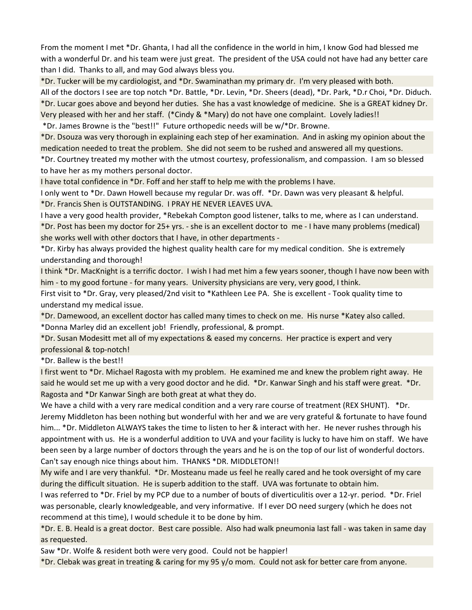From the moment I met \*Dr. Ghanta, I had all the confidence in the world in him, I know God had blessed me with a wonderful Dr. and his team were just great. The president of the USA could not have had any better care than I did. Thanks to all, and may God always bless you.

\*Dr. Tucker will be my cardiologist, and \*Dr. Swaminathan my primary dr. I'm very pleased with both. All of the doctors I see are top notch \*Dr. Battle, \*Dr. Levin, \*Dr. Sheers (dead), \*Dr. Park, \*D.r Choi, \*Dr. Diduch. \*Dr. Lucar goes above and beyond her duties. She has a vast knowledge of medicine. She is a GREAT kidney Dr.

Very pleased with her and her staff. (\*Cindy & \*Mary) do not have one complaint. Lovely ladies!!

\*Dr. James Browne is the "best!!" Future orthopedic needs will be w/\*Dr. Browne.

\*Dr. Dsouza was very thorough in explaining each step of her examination. And in asking my opinion about the medication needed to treat the problem. She did not seem to be rushed and answered all my questions.

\*Dr. Courtney treated my mother with the utmost courtesy, professionalism, and compassion. I am so blessed to have her as my mothers personal doctor.

I have total confidence in \*Dr. Foff and her staff to help me with the problems I have.

I only went to \*Dr. Dawn Howell because my regular Dr. was off. \*Dr. Dawn was very pleasant & helpful. \*Dr. Francis Shen is OUTSTANDING. I PRAY HE NEVER LEAVES UVA.

I have a very good health provider, \*Rebekah Compton good listener, talks to me, where as I can understand. \*Dr. Post has been my doctor for 25+ yrs. - she is an excellent doctor to me - I have many problems (medical) she works well with other doctors that I have, in other departments -

\*Dr. Kirby has always provided the highest quality health care for my medical condition. She is extremely understanding and thorough!

I think \*Dr. MacKnight is a terrific doctor. I wish I had met him a few years sooner, though I have now been with him - to my good fortune - for many years. University physicians are very, very good, I think.

First visit to \*Dr. Gray, very pleased/2nd visit to \*Kathleen Lee PA. She is excellent - Took quality time to understand my medical issue.

\*Dr. Damewood, an excellent doctor has called many times to check on me. His nurse \*Katey also called. \*Donna Marley did an excellent job! Friendly, professional, & prompt.

\*Dr. Susan Modesitt met all of my expectations & eased my concerns. Her practice is expert and very professional & top-notch!

\*Dr. Ballew is the best!!

I first went to \*Dr. Michael Ragosta with my problem. He examined me and knew the problem right away. He said he would set me up with a very good doctor and he did. \*Dr. Kanwar Singh and his staff were great. \*Dr. Ragosta and \*Dr Kanwar Singh are both great at what they do.

We have a child with a very rare medical condition and a very rare course of treatment (REX SHUNT). \*Dr. Jeremy Middleton has been nothing but wonderful with her and we are very grateful & fortunate to have found him... \*Dr. Middleton ALWAYS takes the time to listen to her & interact with her. He never rushes through his appointment with us. He is a wonderful addition to UVA and your facility is lucky to have him on staff. We have been seen by a large number of doctors through the years and he is on the top of our list of wonderful doctors. Can't say enough nice things about him. THANKS \*DR. MIDDLETON!!

My wife and I are very thankful. \*Dr. Mosteanu made us feel he really cared and he took oversight of my care during the difficult situation. He is superb addition to the staff. UVA was fortunate to obtain him.

I was referred to \*Dr. Friel by my PCP due to a number of bouts of diverticulitis over a 12-yr. period. \*Dr. Friel was personable, clearly knowledgeable, and very informative. If I ever DO need surgery (which he does not recommend at this time), I would schedule it to be done by him.

\*Dr. E. B. Heald is a great doctor. Best care possible. Also had walk pneumonia last fall - was taken in same day as requested.

Saw \*Dr. Wolfe & resident both were very good. Could not be happier!

\*Dr. Clebak was great in treating & caring for my 95 y/o mom. Could not ask for better care from anyone.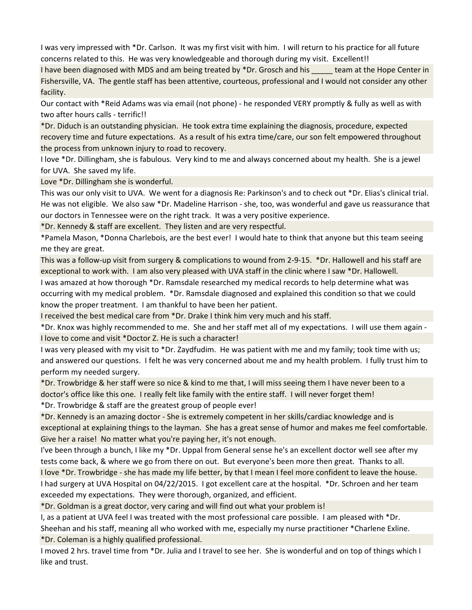I was very impressed with \*Dr. Carlson. It was my first visit with him. I will return to his practice for all future concerns related to this. He was very knowledgeable and thorough during my visit. Excellent!!

I have been diagnosed with MDS and am being treated by \*Dr. Grosch and his team at the Hope Center in Fishersville, VA. The gentle staff has been attentive, courteous, professional and I would not consider any other facility.

Our contact with \*Reid Adams was via email (not phone) - he responded VERY promptly & fully as well as with two after hours calls - terrific!!

\*Dr. Diduch is an outstanding physician. He took extra time explaining the diagnosis, procedure, expected recovery time and future expectations. As a result of his extra time/care, our son felt empowered throughout the process from unknown injury to road to recovery.

I love \*Dr. Dillingham, she is fabulous. Very kind to me and always concerned about my health. She is a jewel for UVA. She saved my life.

Love \*Dr. Dillingham she is wonderful.

This was our only visit to UVA. We went for a diagnosis Re: Parkinson's and to check out \*Dr. Elias's clinical trial. He was not eligible. We also saw \*Dr. Madeline Harrison - she, too, was wonderful and gave us reassurance that our doctors in Tennessee were on the right track. It was a very positive experience.

\*Dr. Kennedy & staff are excellent. They listen and are very respectful.

\*Pamela Mason, \*Donna Charlebois, are the best ever! I would hate to think that anyone but this team seeing me they are great.

This was a follow-up visit from surgery & complications to wound from 2-9-15. \*Dr. Hallowell and his staff are exceptional to work with. I am also very pleased with UVA staff in the clinic where I saw \*Dr. Hallowell.

I was amazed at how thorough \*Dr. Ramsdale researched my medical records to help determine what was occurring with my medical problem. \*Dr. Ramsdale diagnosed and explained this condition so that we could know the proper treatment. I am thankful to have been her patient.

I received the best medical care from \*Dr. Drake I think him very much and his staff.

\*Dr. Knox was highly recommended to me. She and her staff met all of my expectations. I will use them again - I love to come and visit \*Doctor Z. He is such a character!

I was very pleased with my visit to \*Dr. Zaydfudim. He was patient with me and my family; took time with us; and answered our questions. I felt he was very concerned about me and my health problem. I fully trust him to perform my needed surgery.

\*Dr. Trowbridge & her staff were so nice & kind to me that, I will miss seeing them I have never been to a doctor's office like this one. I really felt like family with the entire staff. I will never forget them!

\*Dr. Trowbridge & staff are the greatest group of people ever!

\*Dr. Kennedy is an amazing doctor - She is extremely competent in her skills/cardiac knowledge and is exceptional at explaining things to the layman. She has a great sense of humor and makes me feel comfortable. Give her a raise! No matter what you're paying her, it's not enough.

I've been through a bunch, I like my \*Dr. Uppal from General sense he's an excellent doctor well see after my tests come back, & where we go from there on out. But everyone's been more then great. Thanks to all.

I love \*Dr. Trowbridge - she has made my life better, by that I mean I feel more confident to leave the house. I had surgery at UVA Hospital on 04/22/2015. I got excellent care at the hospital. \*Dr. Schroen and her team exceeded my expectations. They were thorough, organized, and efficient.

\*Dr. Goldman is a great doctor, very caring and will find out what your problem is!

I, as a patient at UVA feel I was treated with the most professional care possible. I am pleased with \*Dr.

Sheehan and his staff, meaning all who worked with me, especially my nurse practitioner \*Charlene Exline. \*Dr. Coleman is a highly qualified professional.

I moved 2 hrs. travel time from \*Dr. Julia and I travel to see her. She is wonderful and on top of things which I like and trust.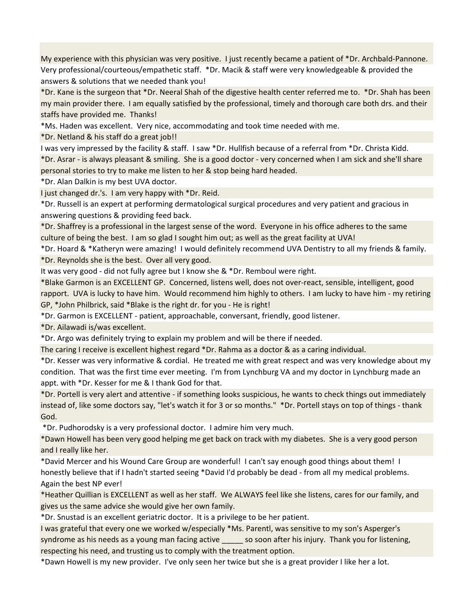My experience with this physician was very positive. I just recently became a patient of \*Dr. Archbald-Pannone. Very professional/courteous/empathetic staff. \*Dr. Macik & staff were very knowledgeable & provided the answers & solutions that we needed thank you!

\*Dr. Kane is the surgeon that \*Dr. Neeral Shah of the digestive health center referred me to. \*Dr. Shah has been my main provider there. I am equally satisfied by the professional, timely and thorough care both drs. and their staffs have provided me. Thanks!

\*Ms. Haden was excellent. Very nice, accommodating and took time needed with me.

\*Dr. Netland & his staff do a great job!!

I was very impressed by the facility & staff. I saw \*Dr. Hullfish because of a referral from \*Dr. Christa Kidd. \*Dr. Asrar - is always pleasant & smiling. She is a good doctor - very concerned when I am sick and she'll share personal stories to try to make me listen to her & stop being hard headed.

\*Dr. Alan Dalkin is my best UVA doctor.

I just changed dr.'s. I am very happy with \*Dr. Reid.

\*Dr. Russell is an expert at performing dermatological surgical procedures and very patient and gracious in answering questions & providing feed back.

\*Dr. Shaffrey is a professional in the largest sense of the word. Everyone in his office adheres to the same culture of being the best. I am so glad I sought him out; as well as the great facility at UVA!

\*Dr. Hoard & \*Katheryn were amazing! I would definitely recommend UVA Dentistry to all my friends & family. \*Dr. Reynolds she is the best. Over all very good.

It was very good - did not fully agree but I know she & \*Dr. Remboul were right.

\*Blake Garmon is an EXCELLENT GP. Concerned, listens well, does not over-react, sensible, intelligent, good rapport. UVA is lucky to have him. Would recommend him highly to others. I am lucky to have him - my retiring GP, \*John Philbrick, said \*Blake is the right dr. for you - He is right!

\*Dr. Garmon is EXCELLENT - patient, approachable, conversant, friendly, good listener.

\*Dr. Ailawadi is/was excellent.

\*Dr. Argo was definitely trying to explain my problem and will be there if needed.

The caring I receive is excellent highest regard \*Dr. Rahma as a doctor & as a caring individual.

\*Dr. Kesser was very informative & cordial. He treated me with great respect and was very knowledge about my condition. That was the first time ever meeting. I'm from Lynchburg VA and my doctor in Lynchburg made an appt. with \*Dr. Kesser for me & I thank God for that.

\*Dr. Portell is very alert and attentive - if something looks suspicious, he wants to check things out immediately instead of, like some doctors say, "let's watch it for 3 or so months." \*Dr. Portell stays on top of things - thank God.

\*Dr. Pudhorodsky is a very professional doctor. I admire him very much.

\*Dawn Howell has been very good helping me get back on track with my diabetes. She is a very good person and I really like her.

\*David Mercer and his Wound Care Group are wonderful! I can't say enough good things about them! I honestly believe that if I hadn't started seeing \*David I'd probably be dead - from all my medical problems. Again the best NP ever!

\*Heather Quillian is EXCELLENT as well as her staff. We ALWAYS feel like she listens, cares for our family, and gives us the same advice she would give her own family.

\*Dr. Snustad is an excellent geriatric doctor. It is a privilege to be her patient.

I was grateful that every one we worked w/especially \*Ms. Parentl, was sensitive to my son's Asperger's syndrome as his needs as a young man facing active so soon after his injury. Thank you for listening, respecting his need, and trusting us to comply with the treatment option.

\*Dawn Howell is my new provider. I've only seen her twice but she is a great provider I like her a lot.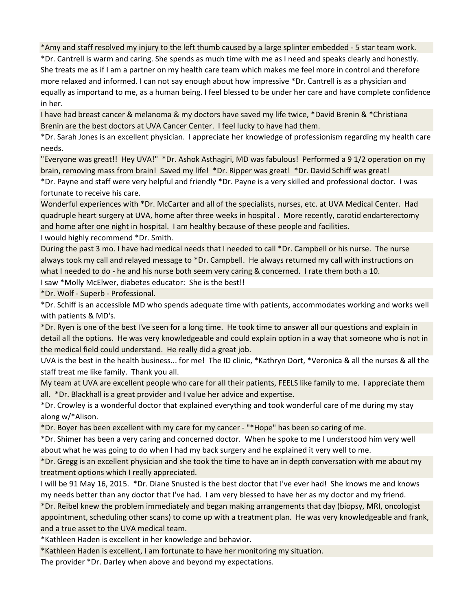\*Amy and staff resolved my injury to the left thumb caused by a large splinter embedded - 5 star team work.

\*Dr. Cantrell is warm and caring. She spends as much time with me as I need and speaks clearly and honestly. She treats me as if I am a partner on my health care team which makes me feel more in control and therefore more relaxed and informed. I can not say enough about how impressive \*Dr. Cantrell is as a physician and equally as importand to me, as a human being. I feel blessed to be under her care and have complete confidence in her.

I have had breast cancer & melanoma & my doctors have saved my life twice, \*David Brenin & \*Christiana Brenin are the best doctors at UVA Cancer Center. I feel lucky to have had them.

\*Dr. Sarah Jones is an excellent physician. I appreciate her knowledge of professionism regarding my health care needs.

"Everyone was great!! Hey UVA!" \*Dr. Ashok Asthagiri, MD was fabulous! Performed a 9 1/2 operation on my brain, removing mass from brain! Saved my life! \*Dr. Ripper was great! \*Dr. David Schiff was great!

\*Dr. Payne and staff were very helpful and friendly \*Dr. Payne is a very skilled and professional doctor. I was fortunate to receive his care.

Wonderful experiences with \*Dr. McCarter and all of the specialists, nurses, etc. at UVA Medical Center. Had quadruple heart surgery at UVA, home after three weeks in hospital . More recently, carotid endarterectomy and home after one night in hospital. I am healthy because of these people and facilities. I would highly recommend \*Dr. Smith.

During the past 3 mo. I have had medical needs that I needed to call \*Dr. Campbell or his nurse. The nurse always took my call and relayed message to \*Dr. Campbell. He always returned my call with instructions on what I needed to do - he and his nurse both seem very caring & concerned. I rate them both a 10.

I saw \*Molly McElwer, diabetes educator: She is the best!!

\*Dr. Wolf - Superb - Professional.

\*Dr. Schiff is an accessible MD who spends adequate time with patients, accommodates working and works well with patients & MD's.

\*Dr. Ryen is one of the best I've seen for a long time. He took time to answer all our questions and explain in detail all the options. He was very knowledgeable and could explain option in a way that someone who is not in the medical field could understand. He really did a great job.

UVA is the best in the health business... for me! The ID clinic, \*Kathryn Dort, \*Veronica & all the nurses & all the staff treat me like family. Thank you all.

My team at UVA are excellent people who care for all their patients, FEELS like family to me. I appreciate them all. \*Dr. Blackhall is a great provider and I value her advice and expertise.

\*Dr. Crowley is a wonderful doctor that explained everything and took wonderful care of me during my stay along w/\*Alison.

\*Dr. Boyer has been excellent with my care for my cancer - "\*Hope" has been so caring of me.

\*Dr. Shimer has been a very caring and concerned doctor. When he spoke to me I understood him very well about what he was going to do when I had my back surgery and he explained it very well to me.

\*Dr. Gregg is an excellent physician and she took the time to have an in depth conversation with me about my treatment options which I really appreciated.

I will be 91 May 16, 2015. \*Dr. Diane Snusted is the best doctor that I've ever had! She knows me and knows my needs better than any doctor that I've had. I am very blessed to have her as my doctor and my friend.

\*Dr. Reibel knew the problem immediately and began making arrangements that day (biopsy, MRI, oncologist appointment, scheduling other scans) to come up with a treatment plan. He was very knowledgeable and frank, and a true asset to the UVA medical team.

\*Kathleen Haden is excellent in her knowledge and behavior.

\*Kathleen Haden is excellent, I am fortunate to have her monitoring my situation.

The provider \*Dr. Darley when above and beyond my expectations.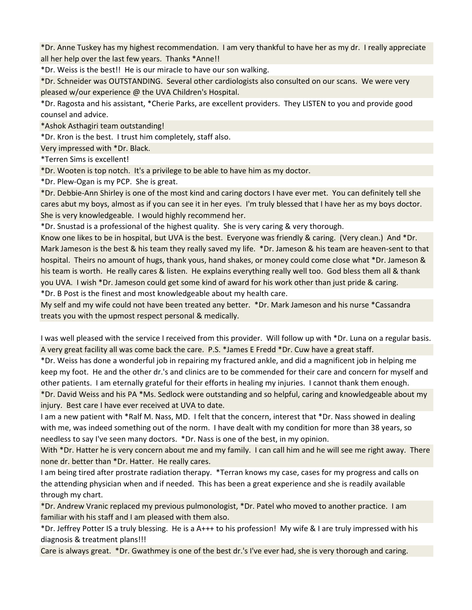\*Dr. Anne Tuskey has my highest recommendation. I am very thankful to have her as my dr. I really appreciate all her help over the last few years. Thanks \*Anne!!

\*Dr. Weiss is the best!! He is our miracle to have our son walking.

\*Dr. Schneider was OUTSTANDING. Several other cardiologists also consulted on our scans. We were very pleased w/our experience @ the UVA Children's Hospital.

\*Dr. Ragosta and his assistant, \*Cherie Parks, are excellent providers. They LISTEN to you and provide good counsel and advice.

\*Ashok Asthagiri team outstanding!

\*Dr. Kron is the best. I trust him completely, staff also.

Very impressed with \*Dr. Black.

\*Terren Sims is excellent!

\*Dr. Wooten is top notch. It's a privilege to be able to have him as my doctor.

\*Dr. Plew-Ogan is my PCP. She is great.

\*Dr. Debbie-Ann Shirley is one of the most kind and caring doctors I have ever met. You can definitely tell she cares abut my boys, almost as if you can see it in her eyes. I'm truly blessed that I have her as my boys doctor. She is very knowledgeable. I would highly recommend her.

\*Dr. Snustad is a professional of the highest quality. She is very caring & very thorough.

Know one likes to be in hospital, but UVA is the best. Everyone was friendly & caring. (Very clean.) And \*Dr. Mark Jameson is the best & his team they really saved my life. \*Dr. Jameson & his team are heaven-sent to that hospital. Theirs no amount of hugs, thank yous, hand shakes, or money could come close what \*Dr. Jameson & his team is worth. He really cares & listen. He explains everything really well too. God bless them all & thank you UVA. I wish \*Dr. Jameson could get some kind of award for his work other than just pride & caring. \*Dr. B Post is the finest and most knowledgeable about my health care.

My self and my wife could not have been treated any better. \*Dr. Mark Jameson and his nurse \*Cassandra treats you with the upmost respect personal & medically.

I was well pleased with the service I received from this provider. Will follow up with \*Dr. Luna on a regular basis. A very great facility all was come back the care. P.S. \*James E Fredd \*Dr. Cuw have a great staff.

\*Dr. Weiss has done a wonderful job in repairing my fractured ankle, and did a magnificent job in helping me keep my foot. He and the other dr.'s and clinics are to be commended for their care and concern for myself and other patients. I am eternally grateful for their efforts in healing my injuries. I cannot thank them enough. \*Dr. David Weiss and his PA \*Ms. Sedlock were outstanding and so helpful, caring and knowledgeable about my injury. Best care I have ever received at UVA to date.

I am a new patient with \*Ralf M. Nass, MD. I felt that the concern, interest that \*Dr. Nass showed in dealing with me, was indeed something out of the norm. I have dealt with my condition for more than 38 years, so needless to say I've seen many doctors. \*Dr. Nass is one of the best, in my opinion.

With \*Dr. Hatter he is very concern about me and my family. I can call him and he will see me right away. There none dr. better than \*Dr. Hatter. He really cares.

I am being tired after prostrate radiation therapy. \*Terran knows my case, cases for my progress and calls on the attending physician when and if needed. This has been a great experience and she is readily available through my chart.

\*Dr. Andrew Vranic replaced my previous pulmonologist, \*Dr. Patel who moved to another practice. I am familiar with his staff and I am pleased with them also.

\*Dr. Jeffrey Potter IS a truly blessing. He is a A+++ to his profession! My wife & I are truly impressed with his diagnosis & treatment plans!!!

Care is always great. \*Dr. Gwathmey is one of the best dr.'s I've ever had, she is very thorough and caring.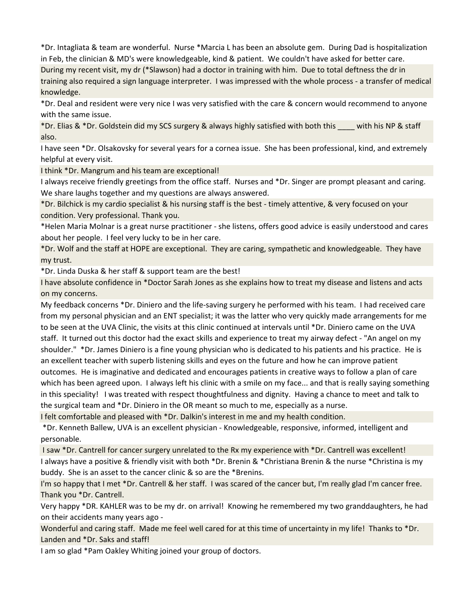\*Dr. Intagliata & team are wonderful. Nurse \*Marcia L has been an absolute gem. During Dad is hospitalization in Feb, the clinician & MD's were knowledgeable, kind & patient. We couldn't have asked for better care.

During my recent visit, my dr (\*Slawson) had a doctor in training with him. Due to total deftness the dr in training also required a sign language interpreter. I was impressed with the whole process - a transfer of medical knowledge.

\*Dr. Deal and resident were very nice I was very satisfied with the care & concern would recommend to anyone with the same issue.

\*Dr. Elias & \*Dr. Goldstein did my SCS surgery & always highly satisfied with both this \_\_\_\_ with his NP & staff also.

I have seen \*Dr. Olsakovsky for several years for a cornea issue. She has been professional, kind, and extremely helpful at every visit.

I think \*Dr. Mangrum and his team are exceptional!

I always receive friendly greetings from the office staff. Nurses and \*Dr. Singer are prompt pleasant and caring. We share laughs together and my questions are always answered.

\*Dr. Bilchick is my cardio specialist & his nursing staff is the best - timely attentive, & very focused on your condition. Very professional. Thank you.

\*Helen Maria Molnar is a great nurse practitioner - she listens, offers good advice is easily understood and cares about her people. I feel very lucky to be in her care.

\*Dr. Wolf and the staff at HOPE are exceptional. They are caring, sympathetic and knowledgeable. They have my trust.

\*Dr. Linda Duska & her staff & support team are the best!

I have absolute confidence in \*Doctor Sarah Jones as she explains how to treat my disease and listens and acts on my concerns.

My feedback concerns \*Dr. Diniero and the life-saving surgery he performed with his team. I had received care from my personal physician and an ENT specialist; it was the latter who very quickly made arrangements for me to be seen at the UVA Clinic, the visits at this clinic continued at intervals until \*Dr. Diniero came on the UVA staff. It turned out this doctor had the exact skills and experience to treat my airway defect - "An angel on my shoulder." \*Dr. James Diniero is a fine young physician who is dedicated to his patients and his practice. He is an excellent teacher with superb listening skills and eyes on the future and how he can improve patient outcomes. He is imaginative and dedicated and encourages patients in creative ways to follow a plan of care which has been agreed upon. I always left his clinic with a smile on my face... and that is really saying something in this speciality! I was treated with respect thoughtfulness and dignity. Having a chance to meet and talk to the surgical team and \*Dr. Diniero in the OR meant so much to me, especially as a nurse.

I felt comfortable and pleased with \*Dr. Dalkin's interest in me and my health condition.

 \*Dr. Kenneth Ballew, UVA is an excellent physician - Knowledgeable, responsive, informed, intelligent and personable.

 I saw \*Dr. Cantrell for cancer surgery unrelated to the Rx my experience with \*Dr. Cantrell was excellent! I always have a positive & friendly visit with both \*Dr. Brenin & \*Christiana Brenin & the nurse \*Christina is my buddy. She is an asset to the cancer clinic & so are the \*Brenins.

I'm so happy that I met \*Dr. Cantrell & her staff. I was scared of the cancer but, I'm really glad I'm cancer free. Thank you \*Dr. Cantrell.

Very happy \*DR. KAHLER was to be my dr. on arrival! Knowing he remembered my two granddaughters, he had on their accidents many years ago -

Wonderful and caring staff. Made me feel well cared for at this time of uncertainty in my life! Thanks to \*Dr. Landen and \*Dr. Saks and staff!

I am so glad \*Pam Oakley Whiting joined your group of doctors.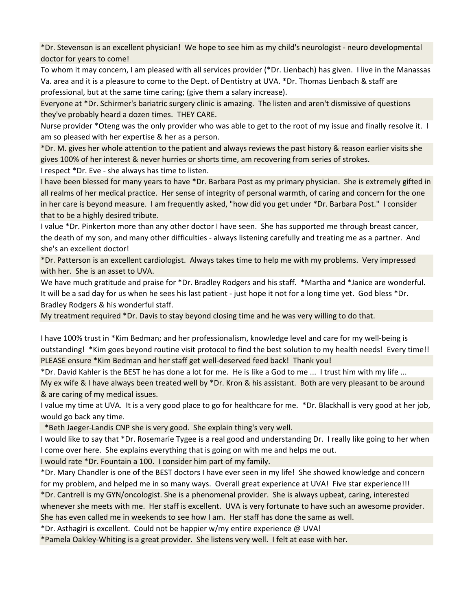\*Dr. Stevenson is an excellent physician! We hope to see him as my child's neurologist - neuro developmental doctor for years to come!

To whom it may concern, I am pleased with all services provider (\*Dr. Lienbach) has given. I live in the Manassas Va. area and it is a pleasure to come to the Dept. of Dentistry at UVA. \*Dr. Thomas Lienbach & staff are professional, but at the same time caring; (give them a salary increase).

Everyone at \*Dr. Schirmer's bariatric surgery clinic is amazing. The listen and aren't dismissive of questions they've probably heard a dozen times. THEY CARE.

Nurse provider \*Oteng was the only provider who was able to get to the root of my issue and finally resolve it. I am so pleased with her expertise & her as a person.

\*Dr. M. gives her whole attention to the patient and always reviews the past history & reason earlier visits she gives 100% of her interest & never hurries or shorts time, am recovering from series of strokes.

I respect \*Dr. Eve - she always has time to listen.

I have been blessed for many years to have \*Dr. Barbara Post as my primary physician. She is extremely gifted in all realms of her medical practice. Her sense of integrity of personal warmth, of caring and concern for the one in her care is beyond measure. I am frequently asked, "how did you get under \*Dr. Barbara Post." I consider that to be a highly desired tribute.

I value \*Dr. Pinkerton more than any other doctor I have seen. She has supported me through breast cancer, the death of my son, and many other difficulties - always listening carefully and treating me as a partner. And she's an excellent doctor!

\*Dr. Patterson is an excellent cardiologist. Always takes time to help me with my problems. Very impressed with her. She is an asset to UVA.

We have much gratitude and praise for \*Dr. Bradley Rodgers and his staff. \*Martha and \*Janice are wonderful. It will be a sad day for us when he sees his last patient - just hope it not for a long time yet. God bless \*Dr. Bradley Rodgers & his wonderful staff.

My treatment required \*Dr. Davis to stay beyond closing time and he was very willing to do that.

I have 100% trust in \*Kim Bedman; and her professionalism, knowledge level and care for my well-being is outstanding! \*Kim goes beyond routine visit protocol to find the best solution to my health needs! Every time!! PLEASE ensure \*Kim Bedman and her staff get well-deserved feed back! Thank you!

\*Dr. David Kahler is the BEST he has done a lot for me. He is like a God to me ... I trust him with my life ...

My ex wife & I have always been treated well by \*Dr. Kron & his assistant. Both are very pleasant to be around & are caring of my medical issues.

I value my time at UVA. It is a very good place to go for healthcare for me. \*Dr. Blackhall is very good at her job, would go back any time.

\*Beth Jaeger-Landis CNP she is very good. She explain thing's very well.

I would like to say that \*Dr. Rosemarie Tygee is a real good and understanding Dr. I really like going to her when I come over here. She explains everything that is going on with me and helps me out.

I would rate \*Dr. Fountain a 100. I consider him part of my family.

\*Dr. Mary Chandler is one of the BEST doctors I have ever seen in my life! She showed knowledge and concern for my problem, and helped me in so many ways. Overall great experience at UVA! Five star experience!!!

\*Dr. Cantrell is my GYN/oncologist. She is a phenomenal provider. She is always upbeat, caring, interested whenever she meets with me. Her staff is excellent. UVA is very fortunate to have such an awesome provider. She has even called me in weekends to see how I am. Her staff has done the same as well.

\*Dr. Asthagiri is excellent. Could not be happier w/my entire experience @ UVA!

\*Pamela Oakley-Whiting is a great provider. She listens very well. I felt at ease with her.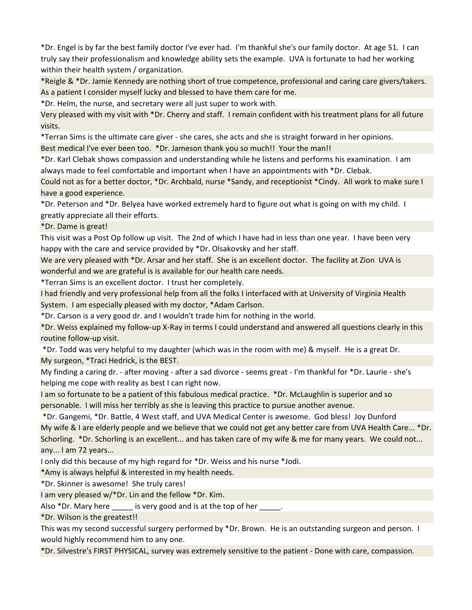\*Dr. Engel is by far the best family doctor I've ever had. I'm thankful she's our family doctor. At age 51. I can truly say their professionalism and knowledge ability sets the example. UVA is fortunate to had her working within their health system / organization.

\*Reigle & \*Dr. Jamie Kennedy are nothing short of true competence, professional and caring care givers/takers. As a patient I consider myself lucky and blessed to have them care for me.

\*Dr. Helm, the nurse, and secretary were all just super to work with.

Very pleased with my visit with \*Dr. Cherry and staff. I remain confident with his treatment plans for all future visits.

\*Terran Sims is the ultimate care giver - she cares, she acts and she is straight forward in her opinions. Best medical I've ever been too. \*Dr. Jameson thank you so much!! Your the man!!

\*Dr. Karl Clebak shows compassion and understanding while he listens and performs his examination. I am always made to feel comfortable and important when I have an appointments with \*Dr. Clebak.

Could not as for a better doctor, \*Dr. Archbald, nurse \*Sandy, and receptionist \*Cindy. All work to make sure I have a good experience.

\*Dr. Peterson and \*Dr. Belyea have worked extremely hard to figure out what is going on with my child. I greatly appreciate all their efforts.

\*Dr. Dame is great!

This visit was a Post Op follow up visit. The 2nd of which I have had in less than one year. I have been very happy with the care and service provided by \*Dr. Olsakovsky and her staff.

We are very pleased with \*Dr. Arsar and her staff. She is an excellent doctor. The facility at Zion UVA is wonderful and we are grateful is is available for our health care needs.

\*Terran Sims is an excellent doctor. I trust her completely.

I had friendly and very professional help from all the folks I interfaced with at University of Virginia Health System. I am especially pleased with my doctor, \*Adam Carlson.

\*Dr. Carson is a very good dr. and I wouldn't trade him for nothing in the world.

\*Dr. Weiss explained my follow-up X-Ray in terms I could understand and answered all questions clearly in this routine follow-up visit.

 \*Dr. Todd was very helpful to my daughter (which was in the room with me) & myself. He is a great Dr. My surgeon, \*Traci Hedrick, is the BEST.

My finding a caring dr. - after moving - after a sad divorce - seems great - I'm thankful for \*Dr. Laurie - she's helping me cope with reality as best I can right now.

I am so fortunate to be a patient of this fabulous medical practice. \*Dr. McLaughlin is superior and so personable. I will miss her terribly as she is leaving this practice to pursue another avenue.

 \*Dr. Gangemi, \*Dr. Battle, 4 West staff, and UVA Medical Center is awesome. God bless! Joy Dunford My wife & I are elderly people and we believe that we could not get any better care from UVA Health Care... \*Dr. Schorling. \*Dr. Schorling is an excellent... and has taken care of my wife & me for many years. We could not... any... I am 72 years...

I only did this because of my high regard for \*Dr. Weiss and his nurse \*Jodi.

\*Amy is always helpful & interested in my health needs.

\*Dr. Skinner is awesome! She truly cares!

I am very pleased w/\*Dr. Lin and the fellow \*Dr. Kim.

Also \*Dr. Mary here is very good and is at the top of her

\*Dr. Wilson is the greatest!!

This was my second successful surgery performed by \*Dr. Brown. He is an outstanding surgeon and person. I would highly recommend him to any one.

\*Dr. Silvestre's FIRST PHYSICAL, survey was extremely sensitive to the patient - Done with care, compassion.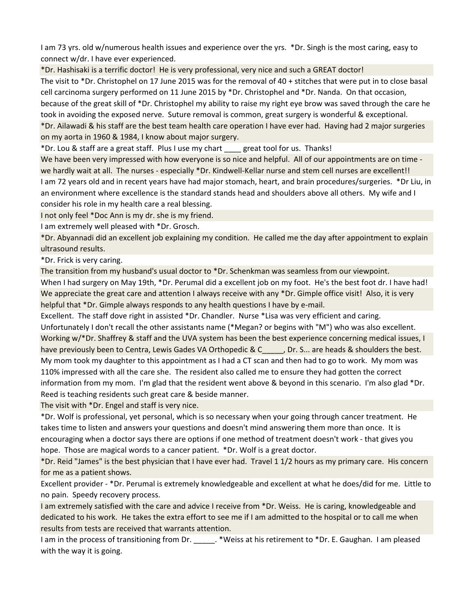I am 73 yrs. old w/numerous health issues and experience over the yrs. \*Dr. Singh is the most caring, easy to connect w/dr. I have ever experienced.

\*Dr. Hashisaki is a terrific doctor! He is very professional, very nice and such a GREAT doctor!

The visit to \*Dr. Christophel on 17 June 2015 was for the removal of 40 + stitches that were put in to close basal cell carcinoma surgery performed on 11 June 2015 by \*Dr. Christophel and \*Dr. Nanda. On that occasion, because of the great skill of \*Dr. Christophel my ability to raise my right eye brow was saved through the care he took in avoiding the exposed nerve. Suture removal is common, great surgery is wonderful & exceptional. \*Dr. Ailawadi & his staff are the best team health care operation I have ever had. Having had 2 major surgeries on my aorta in 1960 & 1984, I know about major surgery.

\*Dr. Lou & staff are a great staff. Plus I use my chart \_\_\_\_ great tool for us. Thanks!

We have been very impressed with how everyone is so nice and helpful. All of our appointments are on time we hardly wait at all. The nurses - especially \*Dr. Kindwell-Kellar nurse and stem cell nurses are excellent!! I am 72 years old and in recent years have had major stomach, heart, and brain procedures/surgeries. \*Dr Liu, in an environment where excellence is the standard stands head and shoulders above all others. My wife and I consider his role in my health care a real blessing.

I not only feel \*Doc Ann is my dr. she is my friend.

I am extremely well pleased with \*Dr. Grosch.

\*Dr. Abyannadi did an excellent job explaining my condition. He called me the day after appointment to explain ultrasound results.

\*Dr. Frick is very caring.

The transition from my husband's usual doctor to \*Dr. Schenkman was seamless from our viewpoint.

When I had surgery on May 19th, \*Dr. Perumal did a excellent job on my foot. He's the best foot dr. I have had! We appreciate the great care and attention I always receive with any \*Dr. Gimple office visit! Also, it is very helpful that \*Dr. Gimple always responds to any health questions I have by e-mail.

Excellent. The staff dove right in assisted \*Dr. Chandler. Nurse \*Lisa was very efficient and caring. Unfortunately I don't recall the other assistants name (\*Megan? or begins with "M") who was also excellent. Working w/\*Dr. Shaffrey & staff and the UVA system has been the best experience concerning medical issues, I have previously been to Centra, Lewis Gades VA Orthopedic & C<sub>n</sub>. Dr. S... are heads & shoulders the best. My mom took my daughter to this appointment as I had a CT scan and then had to go to work. My mom was 110% impressed with all the care she. The resident also called me to ensure they had gotten the correct information from my mom. I'm glad that the resident went above & beyond in this scenario. I'm also glad \*Dr. Reed is teaching residents such great care & beside manner.

The visit with \*Dr. Engel and staff is very nice.

\*Dr. Wolf is professional, yet personal, which is so necessary when your going through cancer treatment. He takes time to listen and answers your questions and doesn't mind answering them more than once. It is encouraging when a doctor says there are options if one method of treatment doesn't work - that gives you hope. Those are magical words to a cancer patient. \*Dr. Wolf is a great doctor.

\*Dr. Reid "James" is the best physician that I have ever had. Travel 1 1/2 hours as my primary care. His concern for me as a patient shows.

Excellent provider - \*Dr. Perumal is extremely knowledgeable and excellent at what he does/did for me. Little to no pain. Speedy recovery process.

I am extremely satisfied with the care and advice I receive from \*Dr. Weiss. He is caring, knowledgeable and dedicated to his work. He takes the extra effort to see me if I am admitted to the hospital or to call me when results from tests are received that warrants attention.

I am in the process of transitioning from Dr. \_\_\_\_\_\_. \*Weiss at his retirement to \*Dr. E. Gaughan. I am pleased with the way it is going.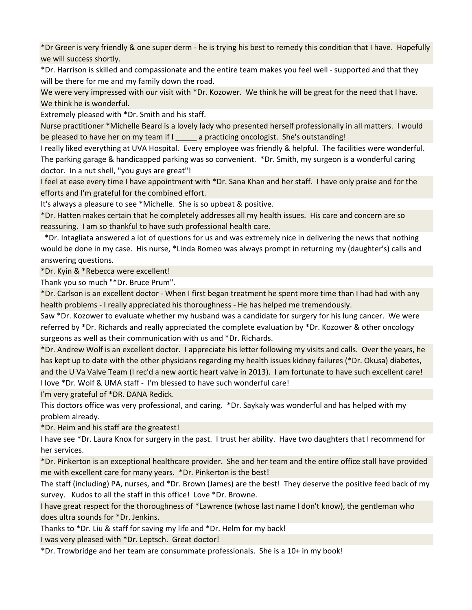\*Dr Greer is very friendly & one super derm - he is trying his best to remedy this condition that I have. Hopefully we will success shortly.

\*Dr. Harrison is skilled and compassionate and the entire team makes you feel well - supported and that they will be there for me and my family down the road.

We were very impressed with our visit with \*Dr. Kozower. We think he will be great for the need that I have. We think he is wonderful.

Extremely pleased with \*Dr. Smith and his staff.

Nurse practitioner \*Michelle Beard is a lovely lady who presented herself professionally in all matters. I would be pleased to have her on my team if I \_\_\_\_\_ a practicing oncologist. She's outstanding!

I really liked everything at UVA Hospital. Every employee was friendly & helpful. The facilities were wonderful. The parking garage & handicapped parking was so convenient. \*Dr. Smith, my surgeon is a wonderful caring doctor. In a nut shell, "you guys are great"!

I feel at ease every time I have appointment with \*Dr. Sana Khan and her staff. I have only praise and for the efforts and I'm grateful for the combined effort.

It's always a pleasure to see \*Michelle. She is so upbeat & positive.

\*Dr. Hatten makes certain that he completely addresses all my health issues. His care and concern are so reassuring. I am so thankful to have such professional health care.

 \*Dr. Intagliata answered a lot of questions for us and was extremely nice in delivering the news that nothing would be done in my case. His nurse, \*Linda Romeo was always prompt in returning my (daughter's) calls and answering questions.

\*Dr. Kyin & \*Rebecca were excellent!

Thank you so much "\*Dr. Bruce Prum".

\*Dr. Carlson is an excellent doctor - When I first began treatment he spent more time than I had had with any health problems - I really appreciated his thoroughness - He has helped me tremendously.

Saw \*Dr. Kozower to evaluate whether my husband was a candidate for surgery for his lung cancer. We were referred by \*Dr. Richards and really appreciated the complete evaluation by \*Dr. Kozower & other oncology surgeons as well as their communication with us and \*Dr. Richards.

\*Dr. Andrew Wolf is an excellent doctor. I appreciate his letter following my visits and calls. Over the years, he has kept up to date with the other physicians regarding my health issues kidney failures (\*Dr. Okusa) diabetes, and the U Va Valve Team (I rec'd a new aortic heart valve in 2013). I am fortunate to have such excellent care! I love \*Dr. Wolf & UMA staff - I'm blessed to have such wonderful care!

I'm very grateful of \*DR. DANA Redick.

This doctors office was very professional, and caring. \*Dr. Saykaly was wonderful and has helped with my problem already.

\*Dr. Heim and his staff are the greatest!

I have see \*Dr. Laura Knox for surgery in the past. I trust her ability. Have two daughters that I recommend for her services.

\*Dr. Pinkerton is an exceptional healthcare provider. She and her team and the entire office stall have provided me with excellent care for many years. \*Dr. Pinkerton is the best!

The staff (including) PA, nurses, and \*Dr. Brown (James) are the best! They deserve the positive feed back of my survey. Kudos to all the staff in this office! Love \*Dr. Browne.

I have great respect for the thoroughness of \*Lawrence (whose last name I don't know), the gentleman who does ultra sounds for \*Dr. Jenkins.

Thanks to \*Dr. Liu & staff for saving my life and \*Dr. Helm for my back!

I was very pleased with \*Dr. Leptsch. Great doctor!

\*Dr. Trowbridge and her team are consummate professionals. She is a 10+ in my book!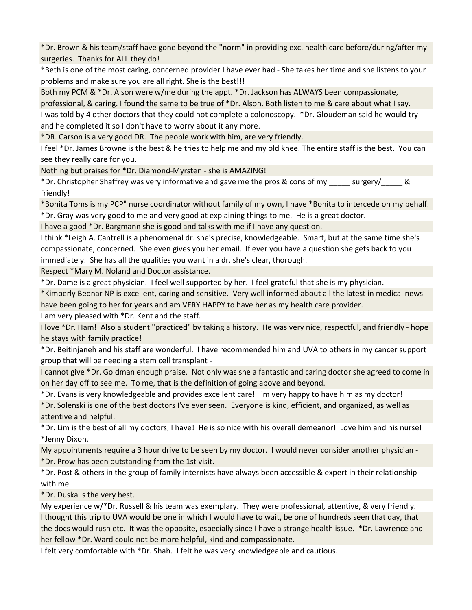\*Dr. Brown & his team/staff have gone beyond the "norm" in providing exc. health care before/during/after my surgeries. Thanks for ALL they do!

\*Beth is one of the most caring, concerned provider I have ever had - She takes her time and she listens to your problems and make sure you are all right. She is the best!!!

Both my PCM & \*Dr. Alson were w/me during the appt. \*Dr. Jackson has ALWAYS been compassionate,

professional, & caring. I found the same to be true of \*Dr. Alson. Both listen to me & care about what I say. I was told by 4 other doctors that they could not complete a colonoscopy. \*Dr. Gloudeman said he would try and he completed it so I don't have to worry about it any more.

\*DR. Carson is a very good DR. The people work with him, are very friendly.

I feel \*Dr. James Browne is the best & he tries to help me and my old knee. The entire staff is the best. You can see they really care for you.

Nothing but praises for \*Dr. Diamond-Myrsten - she is AMAZING!

\*Dr. Christopher Shaffrey was very informative and gave me the pros & cons of my \_\_\_\_\_ surgery/\_\_\_\_\_ & friendly!

\*Bonita Toms is my PCP" nurse coordinator without family of my own, I have \*Bonita to intercede on my behalf.

\*Dr. Gray was very good to me and very good at explaining things to me. He is a great doctor.

I have a good \*Dr. Bargmann she is good and talks with me if I have any question.

I think \*Leigh A. Cantrell is a phenomenal dr. she's precise, knowledgeable. Smart, but at the same time she's compassionate, concerned. She even gives you her email. If ever you have a question she gets back to you immediately. She has all the qualities you want in a dr. she's clear, thorough.

Respect \*Mary M. Noland and Doctor assistance.

\*Dr. Dame is a great physician. I feel well supported by her. I feel grateful that she is my physician.

\*Kimberly Bednar NP is excellent, caring and sensitive. Very well informed about all the latest in medical news I have been going to her for years and am VERY HAPPY to have her as my health care provider.

I am very pleased with \*Dr. Kent and the staff.

I love \*Dr. Ham! Also a student "practiced" by taking a history. He was very nice, respectful, and friendly - hope he stays with family practice!

\*Dr. Beitinjaneh and his staff are wonderful. I have recommended him and UVA to others in my cancer support group that will be needing a stem cell transplant -

I cannot give \*Dr. Goldman enough praise. Not only was she a fantastic and caring doctor she agreed to come in on her day off to see me. To me, that is the definition of going above and beyond.

\*Dr. Evans is very knowledgeable and provides excellent care! I'm very happy to have him as my doctor! \*Dr. Solenski is one of the best doctors I've ever seen. Everyone is kind, efficient, and organized, as well as attentive and helpful.

\*Dr. Lim is the best of all my doctors, I have! He is so nice with his overall demeanor! Love him and his nurse! \*Jenny Dixon.

My appointments require a 3 hour drive to be seen by my doctor. I would never consider another physician - \*Dr. Prow has been outstanding from the 1st visit.

\*Dr. Post & others in the group of family internists have always been accessible & expert in their relationship with me.

\*Dr. Duska is the very best.

My experience w/\*Dr. Russell & his team was exemplary. They were professional, attentive, & very friendly. I thought this trip to UVA would be one in which I would have to wait, be one of hundreds seen that day, that the docs would rush etc. It was the opposite, especially since I have a strange health issue. \*Dr. Lawrence and her fellow \*Dr. Ward could not be more helpful, kind and compassionate.

I felt very comfortable with \*Dr. Shah. I felt he was very knowledgeable and cautious.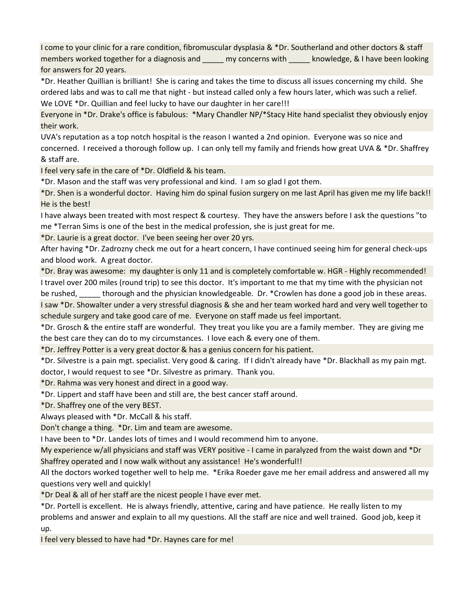I come to your clinic for a rare condition, fibromuscular dysplasia & \*Dr. Southerland and other doctors & staff members worked together for a diagnosis and  $\qquad \qquad$  my concerns with  $\qquad \qquad$  knowledge, & I have been looking for answers for 20 years.

\*Dr. Heather Quillian is brilliant! She is caring and takes the time to discuss all issues concerning my child. She ordered labs and was to call me that night - but instead called only a few hours later, which was such a relief. We LOVE \*Dr. Quillian and feel lucky to have our daughter in her care!!!

Everyone in \*Dr. Drake's office is fabulous: \*Mary Chandler NP/\*Stacy Hite hand specialist they obviously enjoy their work.

UVA's reputation as a top notch hospital is the reason I wanted a 2nd opinion. Everyone was so nice and concerned. I received a thorough follow up. I can only tell my family and friends how great UVA & \*Dr. Shaffrey & staff are.

I feel very safe in the care of \*Dr. Oldfield & his team.

\*Dr. Mason and the staff was very professional and kind. I am so glad I got them.

\*Dr. Shen is a wonderful doctor. Having him do spinal fusion surgery on me last April has given me my life back!! He is the best!

I have always been treated with most respect & courtesy. They have the answers before I ask the questions "to me \*Terran Sims is one of the best in the medical profession, she is just great for me.

\*Dr. Laurie is a great doctor. I've been seeing her over 20 yrs.

After having \*Dr. Zadrozny check me out for a heart concern, I have continued seeing him for general check-ups and blood work. A great doctor.

\*Dr. Bray was awesome: my daughter is only 11 and is completely comfortable w. HGR - Highly recommended! I travel over 200 miles (round trip) to see this doctor. It's important to me that my time with the physician not be rushed, thorough and the physician knowledgeable. Dr. \*Crowlen has done a good job in these areas. I saw \*Dr. Showalter under a very stressful diagnosis & she and her team worked hard and very well together to schedule surgery and take good care of me. Everyone on staff made us feel important.

\*Dr. Grosch & the entire staff are wonderful. They treat you like you are a family member. They are giving me the best care they can do to my circumstances. I love each & every one of them.

\*Dr. Jeffrey Potter is a very great doctor & has a genius concern for his patient.

\*Dr. Silvestre is a pain mgt. specialist. Very good & caring. If I didn't already have \*Dr. Blackhall as my pain mgt. doctor, I would request to see \*Dr. Silvestre as primary. Thank you.

\*Dr. Rahma was very honest and direct in a good way.

\*Dr. Lippert and staff have been and still are, the best cancer staff around.

\*Dr. Shaffrey one of the very BEST.

Always pleased with \*Dr. McCall & his staff.

Don't change a thing. \*Dr. Lim and team are awesome.

I have been to \*Dr. Landes lots of times and I would recommend him to anyone.

My experience w/all physicians and staff was VERY positive - I came in paralyzed from the waist down and \*Dr Shaffrey operated and I now walk without any assistance! He's wonderful!!

All the doctors worked together well to help me. \*Erika Roeder gave me her email address and answered all my questions very well and quickly!

\*Dr Deal & all of her staff are the nicest people I have ever met.

\*Dr. Portell is excellent. He is always friendly, attentive, caring and have patience. He really listen to my problems and answer and explain to all my questions. All the staff are nice and well trained. Good job, keep it up.

I feel very blessed to have had \*Dr. Haynes care for me!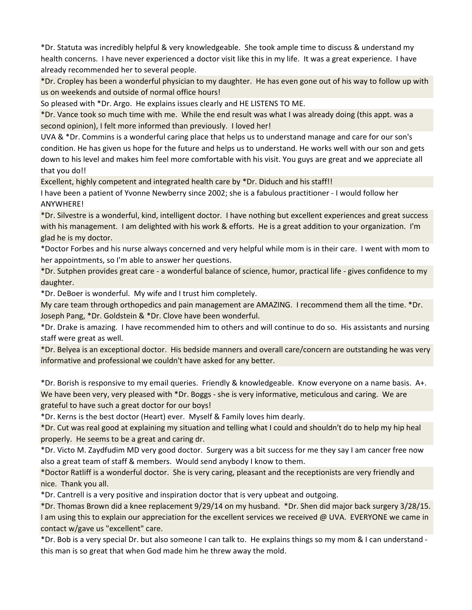\*Dr. Statuta was incredibly helpful & very knowledgeable. She took ample time to discuss & understand my health concerns. I have never experienced a doctor visit like this in my life. It was a great experience. I have already recommended her to several people.

\*Dr. Cropley has been a wonderful physician to my daughter. He has even gone out of his way to follow up with us on weekends and outside of normal office hours!

So pleased with \*Dr. Argo. He explains issues clearly and HE LISTENS TO ME.

\*Dr. Vance took so much time with me. While the end result was what I was already doing (this appt. was a second opinion), I felt more informed than previously. I loved her!

UVA & \*Dr. Commins is a wonderful caring place that helps us to understand manage and care for our son's condition. He has given us hope for the future and helps us to understand. He works well with our son and gets down to his level and makes him feel more comfortable with his visit. You guys are great and we appreciate all that you do!!

Excellent, highly competent and integrated health care by \*Dr. Diduch and his staff!!

I have been a patient of Yvonne Newberry since 2002; she is a fabulous practitioner - I would follow her ANYWHERE!

\*Dr. Silvestre is a wonderful, kind, intelligent doctor. I have nothing but excellent experiences and great success with his management. I am delighted with his work & efforts. He is a great addition to your organization. I'm glad he is my doctor.

\*Doctor Forbes and his nurse always concerned and very helpful while mom is in their care. I went with mom to her appointments, so I'm able to answer her questions.

\*Dr. Sutphen provides great care - a wonderful balance of science, humor, practical life - gives confidence to my daughter.

\*Dr. DeBoer is wonderful. My wife and I trust him completely.

My care team through orthopedics and pain management are AMAZING. I recommend them all the time. \*Dr. Joseph Pang, \*Dr. Goldstein & \*Dr. Clove have been wonderful.

\*Dr. Drake is amazing. I have recommended him to others and will continue to do so. His assistants and nursing staff were great as well.

\*Dr. Belyea is an exceptional doctor. His bedside manners and overall care/concern are outstanding he was very informative and professional we couldn't have asked for any better.

\*Dr. Borish is responsive to my email queries. Friendly & knowledgeable. Know everyone on a name basis. A+. We have been very, very pleased with \*Dr. Boggs - she is very informative, meticulous and caring. We are grateful to have such a great doctor for our boys!

\*Dr. Kerns is the best doctor (Heart) ever. Myself & Family loves him dearly.

\*Dr. Cut was real good at explaining my situation and telling what I could and shouldn't do to help my hip heal properly. He seems to be a great and caring dr.

\*Dr. Victo M. Zaydfudim MD very good doctor. Surgery was a bit success for me they say I am cancer free now also a great team of staff & members. Would send anybody I know to them.

\*Doctor Ratliff is a wonderful doctor. She is very caring, pleasant and the receptionists are very friendly and nice. Thank you all.

\*Dr. Cantrell is a very positive and inspiration doctor that is very upbeat and outgoing.

\*Dr. Thomas Brown did a knee replacement 9/29/14 on my husband. \*Dr. Shen did major back surgery 3/28/15. I am using this to explain our appreciation for the excellent services we received @ UVA. EVERYONE we came in contact w/gave us "excellent" care.

\*Dr. Bob is a very special Dr. but also someone I can talk to. He explains things so my mom & I can understand this man is so great that when God made him he threw away the mold.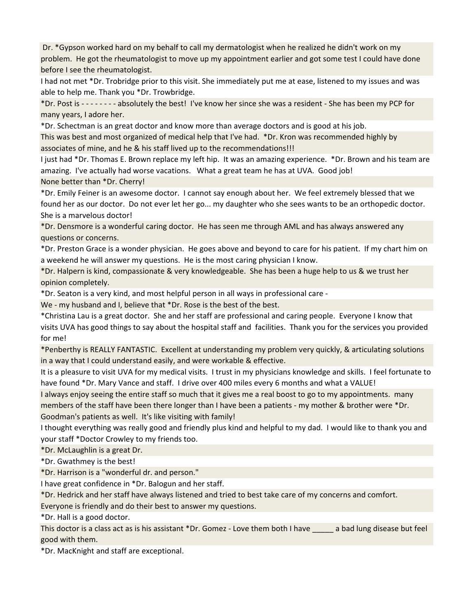Dr. \*Gypson worked hard on my behalf to call my dermatologist when he realized he didn't work on my problem. He got the rheumatologist to move up my appointment earlier and got some test I could have done before I see the rheumatologist.

I had not met \*Dr. Trobridge prior to this visit. She immediately put me at ease, listened to my issues and was able to help me. Thank you \*Dr. Trowbridge.

\*Dr. Post is - - - - - - - - absolutely the best! I've know her since she was a resident - She has been my PCP for many years, I adore her.

\*Dr. Schectman is an great doctor and know more than average doctors and is good at his job.

This was best and most organized of medical help that I've had. \*Dr. Kron was recommended highly by associates of mine, and he & his staff lived up to the recommendations!!!

I just had \*Dr. Thomas E. Brown replace my left hip. It was an amazing experience. \*Dr. Brown and his team are amazing. I've actually had worse vacations. What a great team he has at UVA. Good job! None better than \*Dr. Cherry!

\*Dr. Emily Feiner is an awesome doctor. I cannot say enough about her. We feel extremely blessed that we found her as our doctor. Do not ever let her go... my daughter who she sees wants to be an orthopedic doctor. She is a marvelous doctor!

\*Dr. Densmore is a wonderful caring doctor. He has seen me through AML and has always answered any questions or concerns.

\*Dr. Preston Grace is a wonder physician. He goes above and beyond to care for his patient. If my chart him on a weekend he will answer my questions. He is the most caring physician I know.

\*Dr. Halpern is kind, compassionate & very knowledgeable. She has been a huge help to us & we trust her opinion completely.

\*Dr. Seaton is a very kind, and most helpful person in all ways in professional care -

We - my husband and I, believe that \*Dr. Rose is the best of the best.

\*Christina Lau is a great doctor. She and her staff are professional and caring people. Everyone I know that visits UVA has good things to say about the hospital staff and facilities. Thank you for the services you provided for me!

\*Penberthy is REALLY FANTASTIC. Excellent at understanding my problem very quickly, & articulating solutions in a way that I could understand easily, and were workable & effective.

It is a pleasure to visit UVA for my medical visits. I trust in my physicians knowledge and skills. I feel fortunate to have found \*Dr. Mary Vance and staff. I drive over 400 miles every 6 months and what a VALUE!

I always enjoy seeing the entire staff so much that it gives me a real boost to go to my appointments. many members of the staff have been there longer than I have been a patients - my mother & brother were \*Dr. Goodman's patients as well. It's like visiting with family!

I thought everything was really good and friendly plus kind and helpful to my dad. I would like to thank you and your staff \*Doctor Crowley to my friends too.

\*Dr. McLaughlin is a great Dr.

\*Dr. Gwathmey is the best!

\*Dr. Harrison is a "wonderful dr. and person."

I have great confidence in \*Dr. Balogun and her staff.

\*Dr. Hedrick and her staff have always listened and tried to best take care of my concerns and comfort.

Everyone is friendly and do their best to answer my questions.

\*Dr. Hall is a good doctor.

This doctor is a class act as is his assistant \*Dr. Gomez - Love them both I have \_\_\_\_\_ a bad lung disease but feel good with them.

\*Dr. MacKnight and staff are exceptional.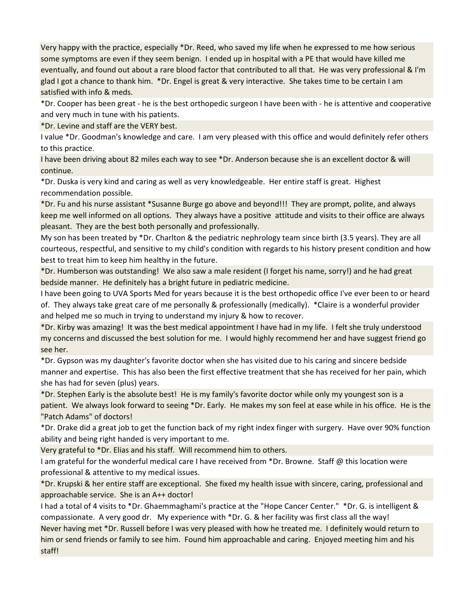Very happy with the practice, especially \*Dr. Reed, who saved my life when he expressed to me how serious some symptoms are even if they seem benign. I ended up in hospital with a PE that would have killed me eventually, and found out about a rare blood factor that contributed to all that. He was very professional & I'm glad I got a chance to thank him. \*Dr. Engel is great & very interactive. She takes time to be certain I am satisfied with info & meds.

\*Dr. Cooper has been great - he is the best orthopedic surgeon I have been with - he is attentive and cooperative and very much in tune with his patients.

\*Dr. Levine and staff are the VERY best.

I value \*Dr. Goodman's knowledge and care. I am very pleased with this office and would definitely refer others to this practice.

I have been driving about 82 miles each way to see \*Dr. Anderson because she is an excellent doctor & will continue.

\*Dr. Duska is very kind and caring as well as very knowledgeable. Her entire staff is great. Highest recommendation possible.

\*Dr. Fu and his nurse assistant \*Susanne Burge go above and beyond!!! They are prompt, polite, and always keep me well informed on all options. They always have a positive attitude and visits to their office are always pleasant. They are the best both personally and professionally.

My son has been treated by \*Dr. Charlton & the pediatric nephrology team since birth (3.5 years). They are all courteous, respectful, and sensitive to my child's condition with regards to his history present condition and how best to treat him to keep him healthy in the future.

\*Dr. Humberson was outstanding! We also saw a male resident (I forget his name, sorry!) and he had great bedside manner. He definitely has a bright future in pediatric medicine.

I have been going to UVA Sports Med for years because it is the best orthopedic office I've ever been to or heard of. They always take great care of me personally & professionally (medically). \*Claire is a wonderful provider and helped me so much in trying to understand my injury & how to recover.

\*Dr. Kirby was amazing! It was the best medical appointment I have had in my life. I felt she truly understood my concerns and discussed the best solution for me. I would highly recommend her and have suggest friend go see her.

\*Dr. Gypson was my daughter's favorite doctor when she has visited due to his caring and sincere bedside manner and expertise. This has also been the first effective treatment that she has received for her pain, which she has had for seven (plus) years.

\*Dr. Stephen Early is the absolute best! He is my family's favorite doctor while only my youngest son is a patient. We always look forward to seeing \*Dr. Early. He makes my son feel at ease while in his office. He is the "Patch Adams" of doctors!

\*Dr. Drake did a great job to get the function back of my right index finger with surgery. Have over 90% function ability and being right handed is very important to me.

Very grateful to \*Dr. Elias and his staff. Will recommend him to others.

I am grateful for the wonderful medical care I have received from \*Dr. Browne. Staff @ this location were professional & attentive to my medical issues.

\*Dr. Krupski & her entire staff are exceptional. She fixed my health issue with sincere, caring, professional and approachable service. She is an A++ doctor!

I had a total of 4 visits to \*Dr. Ghaemmaghami's practice at the "Hope Cancer Center." \*Dr. G. is intelligent & compassionate. A very good dr. My experience with \*Dr. G. & her facility was first class all the way!

Never having met \*Dr. Russell before I was very pleased with how he treated me. I definitely would return to him or send friends or family to see him. Found him approachable and caring. Enjoyed meeting him and his staff!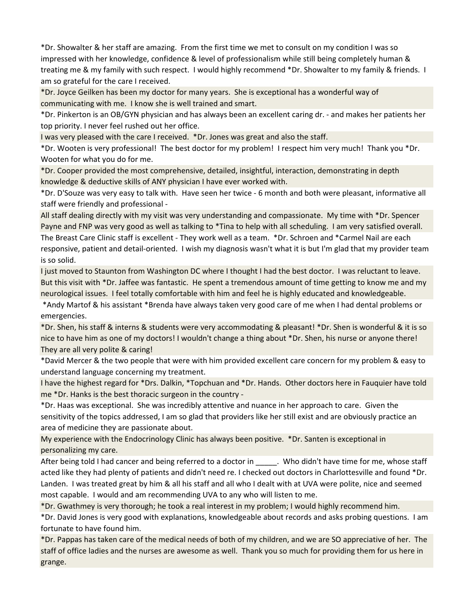\*Dr. Showalter & her staff are amazing. From the first time we met to consult on my condition I was so impressed with her knowledge, confidence & level of professionalism while still being completely human & treating me & my family with such respect. I would highly recommend \*Dr. Showalter to my family & friends. I am so grateful for the care I received.

\*Dr. Joyce Geilken has been my doctor for many years. She is exceptional has a wonderful way of communicating with me. I know she is well trained and smart.

\*Dr. Pinkerton is an OB/GYN physician and has always been an excellent caring dr. - and makes her patients her top priority. I never feel rushed out her office.

I was very pleased with the care I received. \*Dr. Jones was great and also the staff.

\*Dr. Wooten is very professional! The best doctor for my problem! I respect him very much! Thank you \*Dr. Wooten for what you do for me.

\*Dr. Cooper provided the most comprehensive, detailed, insightful, interaction, demonstrating in depth knowledge & deductive skills of ANY physician I have ever worked with.

\*Dr. D'Souze was very easy to talk with. Have seen her twice - 6 month and both were pleasant, informative all staff were friendly and professional -

All staff dealing directly with my visit was very understanding and compassionate. My time with \*Dr. Spencer Payne and FNP was very good as well as talking to \*Tina to help with all scheduling. I am very satisfied overall. The Breast Care Clinic staff is excellent - They work well as a team. \*Dr. Schroen and \*Carmel Nail are each responsive, patient and detail-oriented. I wish my diagnosis wasn't what it is but I'm glad that my provider team is so solid.

I just moved to Staunton from Washington DC where I thought I had the best doctor. I was reluctant to leave. But this visit with \*Dr. Jaffee was fantastic. He spent a tremendous amount of time getting to know me and my neurological issues. I feel totally comfortable with him and feel he is highly educated and knowledgeable.

 \*Andy Martof & his assistant \*Brenda have always taken very good care of me when I had dental problems or emergencies.

\*Dr. Shen, his staff & interns & students were very accommodating & pleasant! \*Dr. Shen is wonderful & it is so nice to have him as one of my doctors! I wouldn't change a thing about \*Dr. Shen, his nurse or anyone there! They are all very polite & caring!

\*David Mercer & the two people that were with him provided excellent care concern for my problem & easy to understand language concerning my treatment.

I have the highest regard for \*Drs. Dalkin, \*Topchuan and \*Dr. Hands. Other doctors here in Fauquier have told me \*Dr. Hanks is the best thoracic surgeon in the country -

\*Dr. Haas was exceptional. She was incredibly attentive and nuance in her approach to care. Given the sensitivity of the topics addressed, I am so glad that providers like her still exist and are obviously practice an area of medicine they are passionate about.

My experience with the Endocrinology Clinic has always been positive. \*Dr. Santen is exceptional in personalizing my care.

After being told I had cancer and being referred to a doctor in Fassury Mondidn't have time for me, whose staff acted like they had plenty of patients and didn't need re. I checked out doctors in Charlottesville and found \*Dr. Landen. I was treated great by him & all his staff and all who I dealt with at UVA were polite, nice and seemed most capable. I would and am recommending UVA to any who will listen to me.

\*Dr. Gwathmey is very thorough; he took a real interest in my problem; I would highly recommend him.

\*Dr. David Jones is very good with explanations, knowledgeable about records and asks probing questions. I am fortunate to have found him.

\*Dr. Pappas has taken care of the medical needs of both of my children, and we are SO appreciative of her. The staff of office ladies and the nurses are awesome as well. Thank you so much for providing them for us here in grange.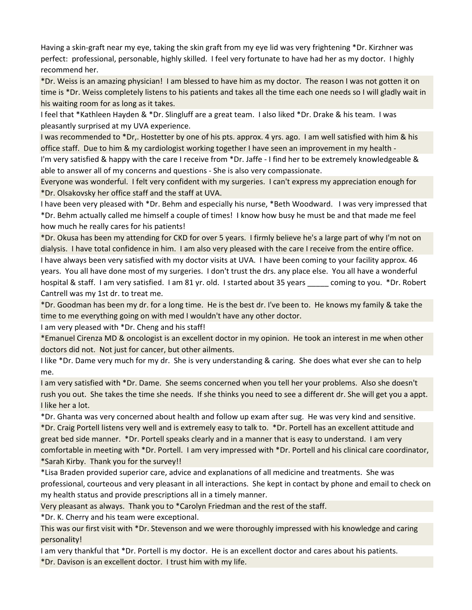Having a skin-graft near my eye, taking the skin graft from my eye lid was very frightening \*Dr. Kirzhner was perfect: professional, personable, highly skilled. I feel very fortunate to have had her as my doctor. I highly recommend her.

\*Dr. Weiss is an amazing physician! I am blessed to have him as my doctor. The reason I was not gotten it on time is \*Dr. Weiss completely listens to his patients and takes all the time each one needs so I will gladly wait in his waiting room for as long as it takes.

I feel that \*Kathleen Hayden & \*Dr. Slingluff are a great team. I also liked \*Dr. Drake & his team. I was pleasantly surprised at my UVA experience.

I was recommended to \*Dr,. Hostetter by one of his pts. approx. 4 yrs. ago. I am well satisfied with him & his office staff. Due to him & my cardiologist working together I have seen an improvement in my health - I'm very satisfied & happy with the care I receive from \*Dr. Jaffe - I find her to be extremely knowledgeable & able to answer all of my concerns and questions - She is also very compassionate.

Everyone was wonderful. I felt very confident with my surgeries. I can't express my appreciation enough for \*Dr. Olsakovsky her office staff and the staff at UVA.

I have been very pleased with \*Dr. Behm and especially his nurse, \*Beth Woodward. I was very impressed that \*Dr. Behm actually called me himself a couple of times! I know how busy he must be and that made me feel how much he really cares for his patients!

\*Dr. Okusa has been my attending for CKD for over 5 years. I firmly believe he's a large part of why I'm not on dialysis. I have total confidence in him. I am also very pleased with the care I receive from the entire office. I have always been very satisfied with my doctor visits at UVA. I have been coming to your facility approx. 46 years. You all have done most of my surgeries. I don't trust the drs. any place else. You all have a wonderful hospital & staff. I am very satisfied. I am 81 yr. old. I started about 35 years \_\_\_\_\_ coming to you. \*Dr. Robert Cantrell was my 1st dr. to treat me.

\*Dr. Goodman has been my dr. for a long time. He is the best dr. I've been to. He knows my family & take the time to me everything going on with med I wouldn't have any other doctor.

I am very pleased with \*Dr. Cheng and his staff!

\*Emanuel Cirenza MD & oncologist is an excellent doctor in my opinion. He took an interest in me when other doctors did not. Not just for cancer, but other ailments.

I like \*Dr. Dame very much for my dr. She is very understanding & caring. She does what ever she can to help me.

I am very satisfied with \*Dr. Dame. She seems concerned when you tell her your problems. Also she doesn't rush you out. She takes the time she needs. If she thinks you need to see a different dr. She will get you a appt. I like her a lot.

\*Dr. Ghanta was very concerned about health and follow up exam after sug. He was very kind and sensitive. \*Dr. Craig Portell listens very well and is extremely easy to talk to. \*Dr. Portell has an excellent attitude and great bed side manner. \*Dr. Portell speaks clearly and in a manner that is easy to understand. I am very comfortable in meeting with \*Dr. Portell. I am very impressed with \*Dr. Portell and his clinical care coordinator, \*Sarah Kirby. Thank you for the survey!!

\*Lisa Braden provided superior care, advice and explanations of all medicine and treatments. She was professional, courteous and very pleasant in all interactions. She kept in contact by phone and email to check on my health status and provide prescriptions all in a timely manner.

Very pleasant as always. Thank you to \*Carolyn Friedman and the rest of the staff.

\*Dr. K. Cherry and his team were exceptional.

This was our first visit with \*Dr. Stevenson and we were thoroughly impressed with his knowledge and caring personality!

I am very thankful that \*Dr. Portell is my doctor. He is an excellent doctor and cares about his patients.

\*Dr. Davison is an excellent doctor. I trust him with my life.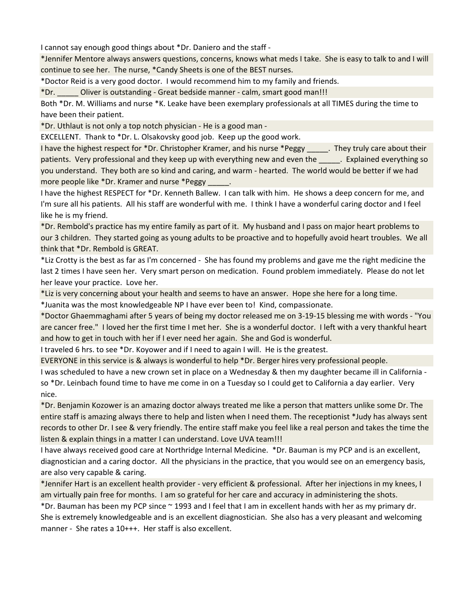I cannot say enough good things about \*Dr. Daniero and the staff -

\*Jennifer Mentore always answers questions, concerns, knows what meds I take. She is easy to talk to and I will continue to see her. The nurse, \*Candy Sheets is one of the BEST nurses.

\*Doctor Reid is a very good doctor. I would recommend him to my family and friends.

\*Dr. \_\_\_\_\_ Oliver is outstanding - Great bedside manner - calm, smart good man!!!

Both \*Dr. M. Williams and nurse \*K. Leake have been exemplary professionals at all TIMES during the time to have been their patient.

\*Dr. Uthlaut is not only a top notch physician - He is a good man -

EXCELLENT. Thank to \*Dr. L. Olsakovsky good job. Keep up the good work.

I have the highest respect for \*Dr. Christopher Kramer, and his nurse \*Peggy \_\_\_\_\_. They truly care about their patients. Very professional and they keep up with everything new and even the \_\_\_\_\_. Explained everything so you understand. They both are so kind and caring, and warm - hearted. The world would be better if we had more people like \*Dr. Kramer and nurse \*Peggy

I have the highest RESPECT for \*Dr. Kenneth Ballew. I can talk with him. He shows a deep concern for me, and I'm sure all his patients. All his staff are wonderful with me. I think I have a wonderful caring doctor and I feel like he is my friend.

\*Dr. Rembold's practice has my entire family as part of it. My husband and I pass on major heart problems to our 3 children. They started going as young adults to be proactive and to hopefully avoid heart troubles. We all think that \*Dr. Rembold is GREAT.

\*Liz Crotty is the best as far as I'm concerned - She has found my problems and gave me the right medicine the last 2 times I have seen her. Very smart person on medication. Found problem immediately. Please do not let her leave your practice. Love her.

\*Liz is very concerning about your health and seems to have an answer. Hope she here for a long time.

\*Juanita was the most knowledgeable NP I have ever been to! Kind, compassionate.

\*Doctor Ghaemmaghami after 5 years of being my doctor released me on 3-19-15 blessing me with words - "You are cancer free." I loved her the first time I met her. She is a wonderful doctor. I left with a very thankful heart and how to get in touch with her if I ever need her again. She and God is wonderful.

I traveled 6 hrs. to see \*Dr. Koyower and if I need to again I will. He is the greatest.

EVERYONE in this service is & always is wonderful to help \*Dr. Berger hires very professional people.

I was scheduled to have a new crown set in place on a Wednesday & then my daughter became ill in California so \*Dr. Leinbach found time to have me come in on a Tuesday so I could get to California a day earlier. Very nice.

\*Dr. Benjamin Kozower is an amazing doctor always treated me like a person that matters unlike some Dr. The entire staff is amazing always there to help and listen when I need them. The receptionist \*Judy has always sent records to other Dr. I see & very friendly. The entire staff make you feel like a real person and takes the time the listen & explain things in a matter I can understand. Love UVA team!!!

I have always received good care at Northridge Internal Medicine. \*Dr. Bauman is my PCP and is an excellent, diagnostician and a caring doctor. All the physicians in the practice, that you would see on an emergency basis, are also very capable & caring.

\*Jennifer Hart is an excellent health provider - very efficient & professional. After her injections in my knees, I am virtually pain free for months. I am so grateful for her care and accuracy in administering the shots.

\*Dr. Bauman has been my PCP since ~ 1993 and I feel that I am in excellent hands with her as my primary dr. She is extremely knowledgeable and is an excellent diagnostician. She also has a very pleasant and welcoming manner - She rates a 10+++. Her staff is also excellent.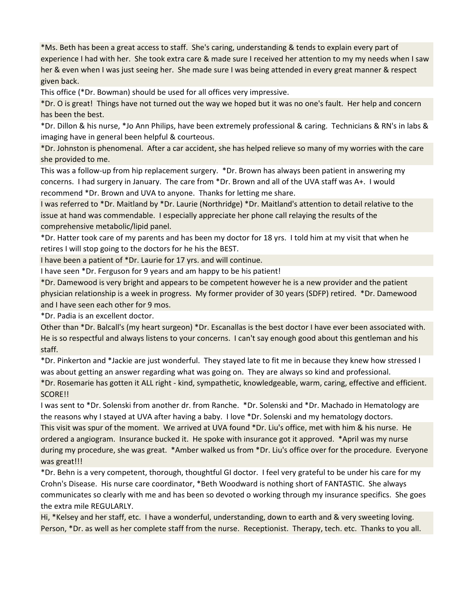\*Ms. Beth has been a great access to staff. She's caring, understanding & tends to explain every part of experience I had with her. She took extra care & made sure I received her attention to my my needs when I saw her & even when I was just seeing her. She made sure I was being attended in every great manner & respect given back.

This office (\*Dr. Bowman) should be used for all offices very impressive.

\*Dr. O is great! Things have not turned out the way we hoped but it was no one's fault. Her help and concern has been the best.

\*Dr. Dillon & his nurse, \*Jo Ann Philips, have been extremely professional & caring. Technicians & RN's in labs & imaging have in general been helpful & courteous.

\*Dr. Johnston is phenomenal. After a car accident, she has helped relieve so many of my worries with the care she provided to me.

This was a follow-up from hip replacement surgery. \*Dr. Brown has always been patient in answering my concerns. I had surgery in January. The care from \*Dr. Brown and all of the UVA staff was A+. I would recommend \*Dr. Brown and UVA to anyone. Thanks for letting me share.

I was referred to \*Dr. Maitland by \*Dr. Laurie (Northridge) \*Dr. Maitland's attention to detail relative to the issue at hand was commendable. I especially appreciate her phone call relaying the results of the comprehensive metabolic/lipid panel.

\*Dr. Hatter took care of my parents and has been my doctor for 18 yrs. I told him at my visit that when he retires I will stop going to the doctors for he his the BEST.

I have been a patient of \*Dr. Laurie for 17 yrs. and will continue.

I have seen \*Dr. Ferguson for 9 years and am happy to be his patient!

\*Dr. Damewood is very bright and appears to be competent however he is a new provider and the patient physician relationship is a week in progress. My former provider of 30 years (SDFP) retired. \*Dr. Damewood and I have seen each other for 9 mos.

\*Dr. Padia is an excellent doctor.

Other than \*Dr. Balcall's (my heart surgeon) \*Dr. Escanallas is the best doctor I have ever been associated with. He is so respectful and always listens to your concerns. I can't say enough good about this gentleman and his staff.

\*Dr. Pinkerton and \*Jackie are just wonderful. They stayed late to fit me in because they knew how stressed I was about getting an answer regarding what was going on. They are always so kind and professional.

\*Dr. Rosemarie has gotten it ALL right - kind, sympathetic, knowledgeable, warm, caring, effective and efficient. SCORE!!

I was sent to \*Dr. Solenski from another dr. from Ranche. \*Dr. Solenski and \*Dr. Machado in Hematology are the reasons why I stayed at UVA after having a baby. I love \*Dr. Solenski and my hematology doctors. This visit was spur of the moment. We arrived at UVA found \*Dr. Liu's office, met with him & his nurse. He ordered a angiogram. Insurance bucked it. He spoke with insurance got it approved. \*April was my nurse during my procedure, she was great. \*Amber walked us from \*Dr. Liu's office over for the procedure. Everyone was great!!!

\*Dr. Behn is a very competent, thorough, thoughtful GI doctor. I feel very grateful to be under his care for my Crohn's Disease. His nurse care coordinator, \*Beth Woodward is nothing short of FANTASTIC. She always communicates so clearly with me and has been so devoted o working through my insurance specifics. She goes the extra mile REGULARLY.

Hi, \*Kelsey and her staff, etc. I have a wonderful, understanding, down to earth and & very sweeting loving. Person, \*Dr. as well as her complete staff from the nurse. Receptionist. Therapy, tech. etc. Thanks to you all.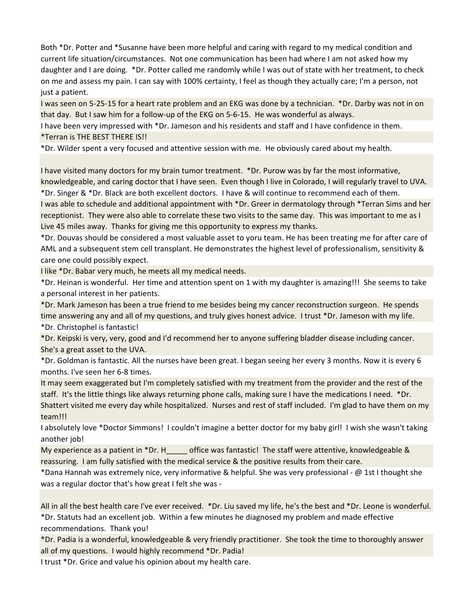Both \*Dr. Potter and \*Susanne have been more helpful and caring with regard to my medical condition and current life situation/circumstances. Not one communication has been had where I am not asked how my daughter and I are doing. \*Dr. Potter called me randomly while I was out of state with her treatment, to check on me and assess my pain. I can say with 100% certainty, I feel as though they actually care; I'm a person, not just a patient.

I was seen on 5-25-15 for a heart rate problem and an EKG was done by a technician. \*Dr. Darby was not in on that day. But I saw him for a follow-up of the EKG on 5-6-15. He was wonderful as always.

I have been very impressed with \*Dr. Jameson and his residents and staff and I have confidence in them. \*Terran is THE BEST THERE IS!!

\*Dr. Wilder spent a very focused and attentive session with me. He obviously cared about my health.

I have visited many doctors for my brain tumor treatment. \*Dr. Purow was by far the most informative, knowledgeable, and caring doctor that I have seen. Even though I live in Colorado, I will regularly travel to UVA. \*Dr. Singer & \*Dr. Black are both excellent doctors. I have & will continue to recommend each of them.

I was able to schedule and additional appointment with \*Dr. Greer in dermatology through \*Terran Sims and her receptionist. They were also able to correlate these two visits to the same day. This was important to me as I Live 45 miles away. Thanks for giving me this opportunity to express my thanks.

\*Dr. Douvas should be considered a most valuable asset to yoru team. He has been treating me for after care of AML and a subsequent stem cell transplant. He demonstrates the highest level of professionalism, sensitivity & care one could possibly expect.

I like \*Dr. Babar very much, he meets all my medical needs.

\*Dr. Heinan is wonderful. Her time and attention spent on 1 with my daughter is amazing!!! She seems to take a personal interest in her patients.

\*Dr. Mark Jameson has been a true friend to me besides being my cancer reconstruction surgeon. He spends time answering any and all of my questions, and truly gives honest advice. I trust \*Dr. Jameson with my life. \*Dr. Christophel is fantastic!

\*Dr. Keipski is very, very, good and I'd recommend her to anyone suffering bladder disease including cancer. She's a great asset to the UVA.

\*Dr. Goldman is fantastic. All the nurses have been great. I began seeing her every 3 months. Now it is every 6 months. I've seen her 6-8 times.

It may seem exaggerated but I'm completely satisfied with my treatment from the provider and the rest of the staff. It's the little things like always returning phone calls, making sure I have the medications I need. \*Dr.

Shattert visited me every day while hospitalized. Nurses and rest of staff included. I'm glad to have them on my team!!!

I absolutely love \*Doctor Simmons! I couldn't imagine a better doctor for my baby girl! I wish she wasn't taking another job!

My experience as a patient in  $*$ Dr. H office was fantastic! The staff were attentive, knowledgeable & reassuring. I am fully satisfied with the medical service & the positive results from their care.

\*Dana Hannah was extremely nice, very informative & helpful. She was very professional - @ 1st I thought she was a regular doctor that's how great I felt she was -

All in all the best health care I've ever received. \*Dr. Liu saved my life, he's the best and \*Dr. Leone is wonderful. \*Dr. Statuts had an excellent job. Within a few minutes he diagnosed my problem and made effective recommendations. Thank you!

\*Dr. Padia is a wonderful, knowledgeable & very friendly practitioner. She took the time to thoroughly answer all of my questions. I would highly recommend \*Dr. Padia!

I trust \*Dr. Grice and value his opinion about my health care.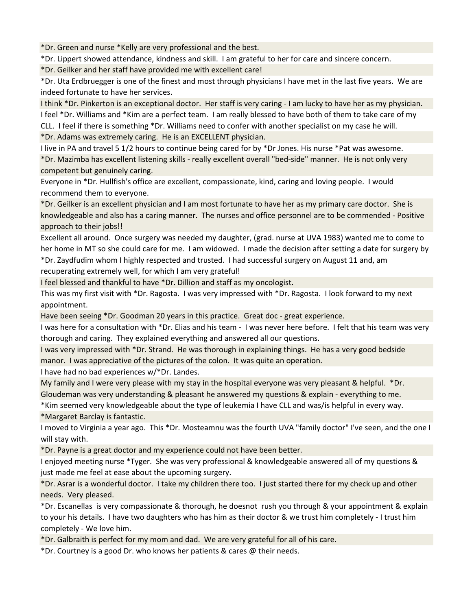\*Dr. Green and nurse \*Kelly are very professional and the best.

\*Dr. Lippert showed attendance, kindness and skill. I am grateful to her for care and sincere concern.

\*Dr. Geilker and her staff have provided me with excellent care!

\*Dr. Uta Erdbruegger is one of the finest and most through physicians I have met in the last five years. We are indeed fortunate to have her services.

I think \*Dr. Pinkerton is an exceptional doctor. Her staff is very caring - I am lucky to have her as my physician. I feel \*Dr. Williams and \*Kim are a perfect team. I am really blessed to have both of them to take care of my CLL. I feel if there is something \*Dr. Williams need to confer with another specialist on my case he will. \*Dr. Adams was extremely caring. He is an EXCELLENT physician.

I live in PA and travel 5 1/2 hours to continue being cared for by \*Dr Jones. His nurse \*Pat was awesome. \*Dr. Mazimba has excellent listening skills - really excellent overall "bed-side" manner. He is not only very competent but genuinely caring.

Everyone in \*Dr. Hullfish's office are excellent, compassionate, kind, caring and loving people. I would recommend them to everyone.

\*Dr. Geilker is an excellent physician and I am most fortunate to have her as my primary care doctor. She is knowledgeable and also has a caring manner. The nurses and office personnel are to be commended - Positive approach to their jobs!!

Excellent all around. Once surgery was needed my daughter, (grad. nurse at UVA 1983) wanted me to come to her home in MT so she could care for me. I am widowed. I made the decision after setting a date for surgery by \*Dr. Zaydfudim whom I highly respected and trusted. I had successful surgery on August 11 and, am recuperating extremely well, for which I am very grateful!

I feel blessed and thankful to have \*Dr. Dillion and staff as my oncologist.

This was my first visit with \*Dr. Ragosta. I was very impressed with \*Dr. Ragosta. I look forward to my next appointment.

Have been seeing \*Dr. Goodman 20 years in this practice. Great doc - great experience.

I was here for a consultation with \*Dr. Elias and his team - I was never here before. I felt that his team was very thorough and caring. They explained everything and answered all our questions.

I was very impressed with \*Dr. Strand. He was thorough in explaining things. He has a very good bedside manor. I was appreciative of the pictures of the colon. It was quite an operation.

I have had no bad experiences w/\*Dr. Landes.

My family and I were very please with my stay in the hospital everyone was very pleasant & helpful. \*Dr. Gloudeman was very understanding & pleasant he answered my questions & explain - everything to me.

\*Kim seemed very knowledgeable about the type of leukemia I have CLL and was/is helpful in every way.

\*Margaret Barclay is fantastic.

I moved to Virginia a year ago. This \*Dr. Mosteamnu was the fourth UVA "family doctor" I've seen, and the one I will stay with.

\*Dr. Payne is a great doctor and my experience could not have been better.

I enjoyed meeting nurse \*Tyger. She was very professional & knowledgeable answered all of my questions & just made me feel at ease about the upcoming surgery.

\*Dr. Asrar is a wonderful doctor. I take my children there too. I just started there for my check up and other needs. Very pleased.

\*Dr. Escanellas is very compassionate & thorough, he doesnot rush you through & your appointment & explain to your his details. I have two daughters who has him as their doctor & we trust him completely - I trust him completely - We love him.

\*Dr. Galbraith is perfect for my mom and dad. We are very grateful for all of his care.

\*Dr. Courtney is a good Dr. who knows her patients & cares @ their needs.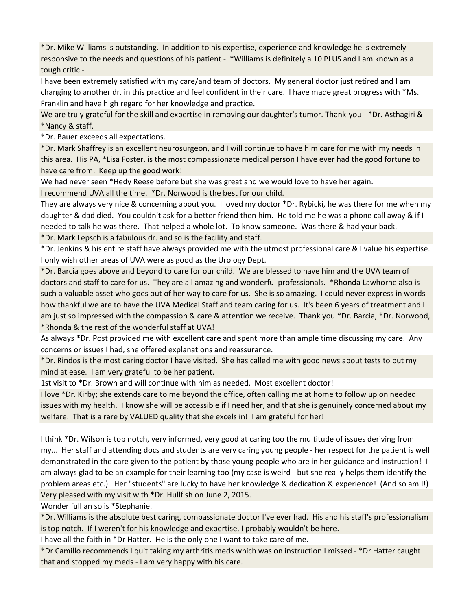\*Dr. Mike Williams is outstanding. In addition to his expertise, experience and knowledge he is extremely responsive to the needs and questions of his patient - \*Williams is definitely a 10 PLUS and I am known as a tough critic -

I have been extremely satisfied with my care/and team of doctors. My general doctor just retired and I am changing to another dr. in this practice and feel confident in their care. I have made great progress with \*Ms. Franklin and have high regard for her knowledge and practice.

We are truly grateful for the skill and expertise in removing our daughter's tumor. Thank-you - \*Dr. Asthagiri & \*Nancy & staff.

\*Dr. Bauer exceeds all expectations.

\*Dr. Mark Shaffrey is an excellent neurosurgeon, and I will continue to have him care for me with my needs in this area. His PA, \*Lisa Foster, is the most compassionate medical person I have ever had the good fortune to have care from. Keep up the good work!

We had never seen \*Hedy Reese before but she was great and we would love to have her again.

I recommend UVA all the time. \*Dr. Norwood is the best for our child.

They are always very nice & concerning about you. I loved my doctor \*Dr. Rybicki, he was there for me when my daughter & dad died. You couldn't ask for a better friend then him. He told me he was a phone call away & if I needed to talk he was there. That helped a whole lot. To know someone. Was there & had your back. \*Dr. Mark Lepsch is a fabulous dr. and so is the facility and staff.

\*Dr. Jenkins & his entire staff have always provided me with the utmost professional care & I value his expertise. I only wish other areas of UVA were as good as the Urology Dept.

\*Dr. Barcia goes above and beyond to care for our child. We are blessed to have him and the UVA team of doctors and staff to care for us. They are all amazing and wonderful professionals. \*Rhonda Lawhorne also is such a valuable asset who goes out of her way to care for us. She is so amazing. I could never express in words how thankful we are to have the UVA Medical Staff and team caring for us. It's been 6 years of treatment and I am just so impressed with the compassion & care & attention we receive. Thank you \*Dr. Barcia, \*Dr. Norwood, \*Rhonda & the rest of the wonderful staff at UVA!

As always \*Dr. Post provided me with excellent care and spent more than ample time discussing my care. Any concerns or issues I had, she offered explanations and reassurance.

\*Dr. Rindos is the most caring doctor I have visited. She has called me with good news about tests to put my mind at ease. I am very grateful to be her patient.

1st visit to \*Dr. Brown and will continue with him as needed. Most excellent doctor!

I love \*Dr. Kirby; she extends care to me beyond the office, often calling me at home to follow up on needed issues with my health. I know she will be accessible if I need her, and that she is genuinely concerned about my welfare. That is a rare by VALUED quality that she excels in! I am grateful for her!

I think \*Dr. Wilson is top notch, very informed, very good at caring too the multitude of issues deriving from my... Her staff and attending docs and students are very caring young people - her respect for the patient is well demonstrated in the care given to the patient by those young people who are in her guidance and instruction! I am always glad to be an example for their learning too (my case is weird - but she really helps them identify the problem areas etc.). Her "students" are lucky to have her knowledge & dedication & experience! (And so am I!) Very pleased with my visit with \*Dr. Hullfish on June 2, 2015.

Wonder full an so is \*Stephanie.

\*Dr. Williams is the absolute best caring, compassionate doctor I've ever had. His and his staff's professionalism is top notch. If I weren't for his knowledge and expertise, I probably wouldn't be here.

I have all the faith in \*Dr Hatter. He is the only one I want to take care of me.

\*Dr Camillo recommends I quit taking my arthritis meds which was on instruction I missed - \*Dr Hatter caught that and stopped my meds - I am very happy with his care.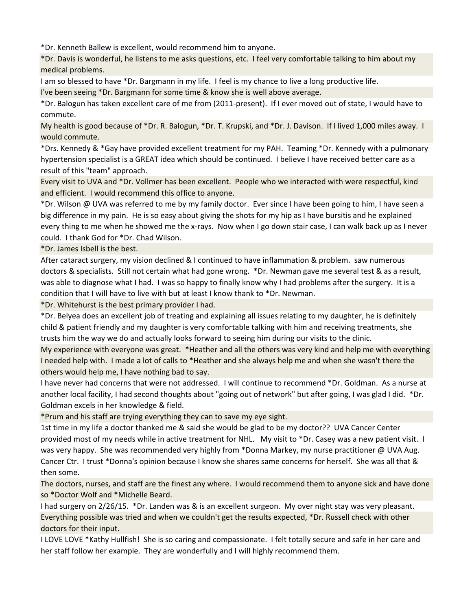\*Dr. Kenneth Ballew is excellent, would recommend him to anyone.

\*Dr. Davis is wonderful, he listens to me asks questions, etc. I feel very comfortable talking to him about my medical problems.

I am so blessed to have \*Dr. Bargmann in my life. I feel is my chance to live a long productive life.

I've been seeing \*Dr. Bargmann for some time & know she is well above average.

\*Dr. Balogun has taken excellent care of me from (2011-present). If I ever moved out of state, I would have to commute.

My health is good because of \*Dr. R. Balogun, \*Dr. T. Krupski, and \*Dr. J. Davison. If I lived 1,000 miles away. I would commute.

\*Drs. Kennedy & \*Gay have provided excellent treatment for my PAH. Teaming \*Dr. Kennedy with a pulmonary hypertension specialist is a GREAT idea which should be continued. I believe I have received better care as a result of this "team" approach.

Every visit to UVA and \*Dr. Vollmer has been excellent. People who we interacted with were respectful, kind and efficient. I would recommend this office to anyone.

\*Dr. Wilson @ UVA was referred to me by my family doctor. Ever since I have been going to him, I have seen a big difference in my pain. He is so easy about giving the shots for my hip as I have bursitis and he explained every thing to me when he showed me the x-rays. Now when I go down stair case, I can walk back up as I never could. I thank God for \*Dr. Chad Wilson.

\*Dr. James Isbell is the best.

After cataract surgery, my vision declined & I continued to have inflammation & problem. saw numerous doctors & specialists. Still not certain what had gone wrong. \*Dr. Newman gave me several test & as a result, was able to diagnose what I had. I was so happy to finally know why I had problems after the surgery. It is a condition that I will have to live with but at least I know thank to \*Dr. Newman.

\*Dr. Whitehurst is the best primary provider I had.

\*Dr. Belyea does an excellent job of treating and explaining all issues relating to my daughter, he is definitely child & patient friendly and my daughter is very comfortable talking with him and receiving treatments, she trusts him the way we do and actually looks forward to seeing him during our visits to the clinic.

My experience with everyone was great. \*Heather and all the others was very kind and help me with everything I needed help with. I made a lot of calls to \*Heather and she always help me and when she wasn't there the others would help me, I have nothing bad to say.

I have never had concerns that were not addressed. I will continue to recommend \*Dr. Goldman. As a nurse at another local facility, I had second thoughts about "going out of network" but after going, I was glad I did. \*Dr. Goldman excels in her knowledge & field.

\*Prum and his staff are trying everything they can to save my eye sight.

1st time in my life a doctor thanked me & said she would be glad to be my doctor?? UVA Cancer Center provided most of my needs while in active treatment for NHL. My visit to \*Dr. Casey was a new patient visit. I was very happy. She was recommended very highly from \*Donna Markey, my nurse practitioner @ UVA Aug. Cancer Ctr. I trust \*Donna's opinion because I know she shares same concerns for herself. She was all that & then some.

The doctors, nurses, and staff are the finest any where. I would recommend them to anyone sick and have done so \*Doctor Wolf and \*Michelle Beard.

I had surgery on 2/26/15. \*Dr. Landen was & is an excellent surgeon. My over night stay was very pleasant. Everything possible was tried and when we couldn't get the results expected, \*Dr. Russell check with other doctors for their input.

I LOVE LOVE \*Kathy Hullfish! She is so caring and compassionate. I felt totally secure and safe in her care and her staff follow her example. They are wonderfully and I will highly recommend them.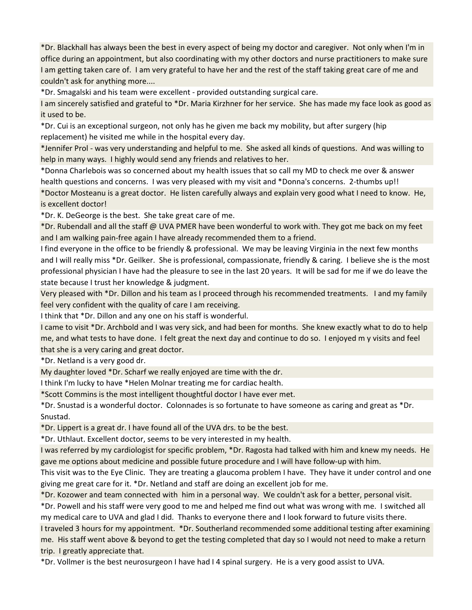\*Dr. Blackhall has always been the best in every aspect of being my doctor and caregiver. Not only when I'm in office during an appointment, but also coordinating with my other doctors and nurse practitioners to make sure I am getting taken care of. I am very grateful to have her and the rest of the staff taking great care of me and couldn't ask for anything more....

\*Dr. Smagalski and his team were excellent - provided outstanding surgical care.

I am sincerely satisfied and grateful to \*Dr. Maria Kirzhner for her service. She has made my face look as good as it used to be.

\*Dr. Cui is an exceptional surgeon, not only has he given me back my mobility, but after surgery (hip replacement) he visited me while in the hospital every day.

\*Jennifer Prol - was very understanding and helpful to me. She asked all kinds of questions. And was willing to help in many ways. I highly would send any friends and relatives to her.

\*Donna Charlebois was so concerned about my health issues that so call my MD to check me over & answer health questions and concerns. I was very pleased with my visit and \*Donna's concerns. 2-thumbs up!!

\*Doctor Mosteanu is a great doctor. He listen carefully always and explain very good what I need to know. He, is excellent doctor!

\*Dr. K. DeGeorge is the best. She take great care of me.

\*Dr. Rubendall and all the staff @ UVA PMER have been wonderful to work with. They got me back on my feet and I am walking pain-free again I have already recommended them to a friend.

I find everyone in the office to be friendly & professional. We may be leaving Virginia in the next few months and I will really miss \*Dr. Geilker. She is professional, compassionate, friendly & caring. I believe she is the most professional physician I have had the pleasure to see in the last 20 years. It will be sad for me if we do leave the state because I trust her knowledge & judgment.

Very pleased with \*Dr. Dillon and his team as I proceed through his recommended treatments. I and my family feel very confident with the quality of care I am receiving.

I think that \*Dr. Dillon and any one on his staff is wonderful.

I came to visit \*Dr. Archbold and I was very sick, and had been for months. She knew exactly what to do to help me, and what tests to have done. I felt great the next day and continue to do so. I enjoyed m y visits and feel that she is a very caring and great doctor.

\*Dr. Netland is a very good dr.

My daughter loved \*Dr. Scharf we really enjoyed are time with the dr.

I think I'm lucky to have \*Helen Molnar treating me for cardiac health.

\*Scott Commins is the most intelligent thoughtful doctor I have ever met.

\*Dr. Snustad is a wonderful doctor. Colonnades is so fortunate to have someone as caring and great as \*Dr. Snustad.

\*Dr. Lippert is a great dr. I have found all of the UVA drs. to be the best.

\*Dr. Uthlaut. Excellent doctor, seems to be very interested in my health.

I was referred by my cardiologist for specific problem, \*Dr. Ragosta had talked with him and knew my needs. He gave me options about medicine and possible future procedure and I will have follow-up with him.

This visit was to the Eye Clinic. They are treating a glaucoma problem I have. They have it under control and one giving me great care for it. \*Dr. Netland and staff are doing an excellent job for me.

\*Dr. Kozower and team connected with him in a personal way. We couldn't ask for a better, personal visit.

\*Dr. Powell and his staff were very good to me and helped me find out what was wrong with me. I switched all my medical care to UVA and glad I did. Thanks to everyone there and I look forward to future visits there.

I traveled 3 hours for my appointment. \*Dr. Southerland recommended some additional testing after examining me. His staff went above & beyond to get the testing completed that day so I would not need to make a return trip. I greatly appreciate that.

\*Dr. Vollmer is the best neurosurgeon I have had I 4 spinal surgery. He is a very good assist to UVA.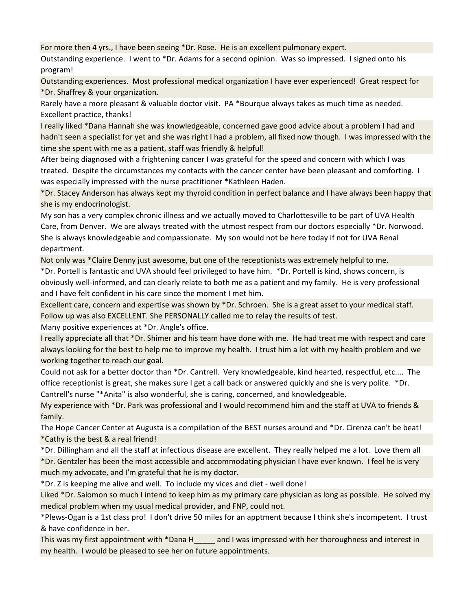For more then 4 yrs., I have been seeing \*Dr. Rose. He is an excellent pulmonary expert.

Outstanding experience. I went to \*Dr. Adams for a second opinion. Was so impressed. I signed onto his program!

Outstanding experiences. Most professional medical organization I have ever experienced! Great respect for \*Dr. Shaffrey & your organization.

Rarely have a more pleasant & valuable doctor visit. PA \*Bourque always takes as much time as needed. Excellent practice, thanks!

I really liked \*Dana Hannah she was knowledgeable, concerned gave good advice about a problem I had and hadn't seen a specialist for yet and she was right I had a problem, all fixed now though. I was impressed with the time she spent with me as a patient, staff was friendly & helpful!

After being diagnosed with a frightening cancer I was grateful for the speed and concern with which I was treated. Despite the circumstances my contacts with the cancer center have been pleasant and comforting. I was especially impressed with the nurse practitioner \*Kathleen Haden.

\*Dr. Stacey Anderson has always kept my thyroid condition in perfect balance and I have always been happy that she is my endocrinologist.

My son has a very complex chronic illness and we actually moved to Charlottesville to be part of UVA Health Care, from Denver. We are always treated with the utmost respect from our doctors especially \*Dr. Norwood. She is always knowledgeable and compassionate. My son would not be here today if not for UVA Renal department.

Not only was \*Claire Denny just awesome, but one of the receptionists was extremely helpful to me.

\*Dr. Portell is fantastic and UVA should feel privileged to have him. \*Dr. Portell is kind, shows concern, is obviously well-informed, and can clearly relate to both me as a patient and my family. He is very professional and I have felt confident in his care since the moment I met him.

Excellent care, concern and expertise was shown by \*Dr. Schroen. She is a great asset to your medical staff. Follow up was also EXCELLENT. She PERSONALLY called me to relay the results of test.

Many positive experiences at \*Dr. Angle's office.

I really appreciate all that \*Dr. Shimer and his team have done with me. He had treat me with respect and care always looking for the best to help me to improve my health. I trust him a lot with my health problem and we working together to reach our goal.

Could not ask for a better doctor than \*Dr. Cantrell. Very knowledgeable, kind hearted, respectful, etc.... The office receptionist is great, she makes sure I get a call back or answered quickly and she is very polite. \*Dr. Cantrell's nurse "\*Anita" is also wonderful, she is caring, concerned, and knowledgeable.

My experience with \*Dr. Park was professional and I would recommend him and the staff at UVA to friends & family.

The Hope Cancer Center at Augusta is a compilation of the BEST nurses around and \*Dr. Cirenza can't be beat! \*Cathy is the best & a real friend!

\*Dr. Dillingham and all the staff at infectious disease are excellent. They really helped me a lot. Love them all \*Dr. Gentzler has been the most accessible and accommodating physician I have ever known. I feel he is very much my advocate, and I'm grateful that he is my doctor.

\*Dr. Z is keeping me alive and well. To include my vices and diet - well done!

Liked \*Dr. Salomon so much I intend to keep him as my primary care physician as long as possible. He solved my medical problem when my usual medical provider, and FNP, could not.

\*Plews-Ogan is a 1st class pro! I don't drive 50 miles for an apptment because I think she's incompetent. I trust & have confidence in her.

This was my first appointment with \*Dana H\_\_\_\_\_ and I was impressed with her thoroughness and interest in my health. I would be pleased to see her on future appointments.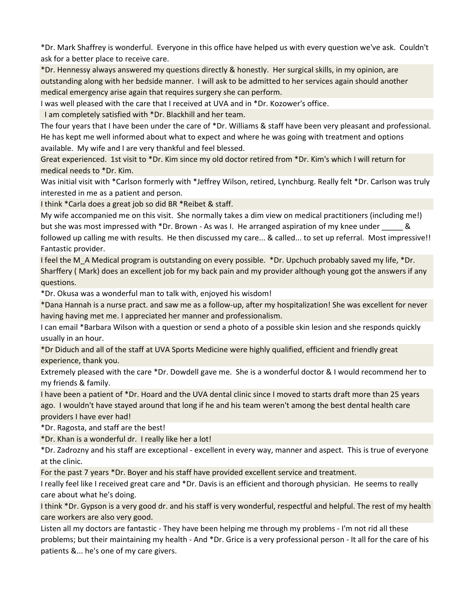\*Dr. Mark Shaffrey is wonderful. Everyone in this office have helped us with every question we've ask. Couldn't ask for a better place to receive care.

\*Dr. Hennessy always answered my questions directly & honestly. Her surgical skills, in my opinion, are outstanding along with her bedside manner. I will ask to be admitted to her services again should another medical emergency arise again that requires surgery she can perform.

I was well pleased with the care that I received at UVA and in \*Dr. Kozower's office.

I am completely satisfied with \*Dr. Blackhill and her team.

The four years that I have been under the care of \*Dr. Williams & staff have been very pleasant and professional. He has kept me well informed about what to expect and where he was going with treatment and options available. My wife and I are very thankful and feel blessed.

Great experienced. 1st visit to \*Dr. Kim since my old doctor retired from \*Dr. Kim's which I will return for medical needs to \*Dr. Kim.

Was initial visit with \*Carlson formerly with \*Jeffrey Wilson, retired, Lynchburg. Really felt \*Dr. Carlson was truly interested in me as a patient and person.

I think \*Carla does a great job so did BR \*Reibet & staff.

My wife accompanied me on this visit. She normally takes a dim view on medical practitioners (including me!) but she was most impressed with \*Dr. Brown - As was I. He arranged aspiration of my knee under \_\_\_\_\_ & followed up calling me with results. He then discussed my care... & called... to set up referral. Most impressive!! Fantastic provider.

I feel the M\_A Medical program is outstanding on every possible. \*Dr. Upchuch probably saved my life, \*Dr. Sharffery ( Mark) does an excellent job for my back pain and my provider although young got the answers if any questions.

\*Dr. Okusa was a wonderful man to talk with, enjoyed his wisdom!

\*Dana Hannah is a nurse pract. and saw me as a follow-up, after my hospitalization! She was excellent for never having having met me. I appreciated her manner and professionalism.

I can email \*Barbara Wilson with a question or send a photo of a possible skin lesion and she responds quickly usually in an hour.

\*Dr Diduch and all of the staff at UVA Sports Medicine were highly qualified, efficient and friendly great experience, thank you.

Extremely pleased with the care \*Dr. Dowdell gave me. She is a wonderful doctor & I would recommend her to my friends & family.

I have been a patient of \*Dr. Hoard and the UVA dental clinic since I moved to starts draft more than 25 years ago. I wouldn't have stayed around that long if he and his team weren't among the best dental health care providers I have ever had!

\*Dr. Ragosta, and staff are the best!

\*Dr. Khan is a wonderful dr. I really like her a lot!

\*Dr. Zadrozny and his staff are exceptional - excellent in every way, manner and aspect. This is true of everyone at the clinic.

For the past 7 years \*Dr. Boyer and his staff have provided excellent service and treatment.

I really feel like I received great care and \*Dr. Davis is an efficient and thorough physician. He seems to really care about what he's doing.

I think \*Dr. Gypson is a very good dr. and his staff is very wonderful, respectful and helpful. The rest of my health care workers are also very good.

Listen all my doctors are fantastic - They have been helping me through my problems - I'm not rid all these problems; but their maintaining my health - And \*Dr. Grice is a very professional person - It all for the care of his patients &... he's one of my care givers.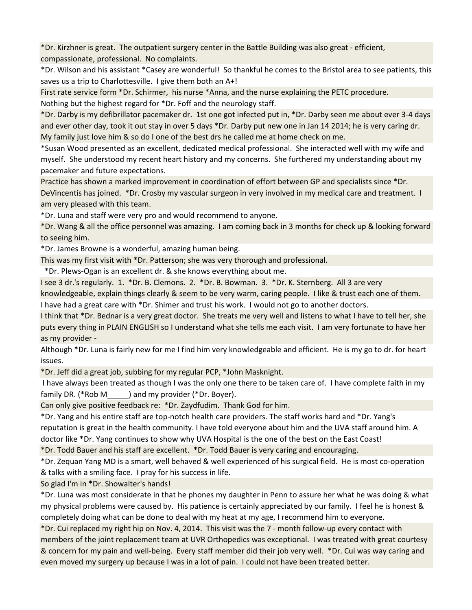\*Dr. Kirzhner is great. The outpatient surgery center in the Battle Building was also great - efficient, compassionate, professional. No complaints.

\*Dr. Wilson and his assistant \*Casey are wonderful! So thankful he comes to the Bristol area to see patients, this saves us a trip to Charlottesville. I give them both an A+!

First rate service form \*Dr. Schirmer, his nurse \*Anna, and the nurse explaining the PETC procedure.

Nothing but the highest regard for \*Dr. Foff and the neurology staff.

\*Dr. Darby is my defibrillator pacemaker dr. 1st one got infected put in, \*Dr. Darby seen me about ever 3-4 days and ever other day, took it out stay in over 5 days \*Dr. Darby put new one in Jan 14 2014; he is very caring dr. My family just love him & so do I one of the best drs he called me at home check on me.

\*Susan Wood presented as an excellent, dedicated medical professional. She interacted well with my wife and myself. She understood my recent heart history and my concerns. She furthered my understanding about my pacemaker and future expectations.

Practice has shown a marked improvement in coordination of effort between GP and specialists since \*Dr. DeVincentis has joined. \*Dr. Crosby my vascular surgeon in very involved in my medical care and treatment. I am very pleased with this team.

\*Dr. Luna and staff were very pro and would recommend to anyone.

\*Dr. Wang & all the office personnel was amazing. I am coming back in 3 months for check up & looking forward to seeing him.

\*Dr. James Browne is a wonderful, amazing human being.

This was my first visit with \*Dr. Patterson; she was very thorough and professional.

\*Dr. Plews-Ogan is an excellent dr. & she knows everything about me.

I see 3 dr.'s regularly. 1. \*Dr. B. Clemons. 2. \*Dr. B. Bowman. 3. \*Dr. K. Sternberg. All 3 are very

knowledgeable, explain things clearly & seem to be very warm, caring people. I like & trust each one of them.

I have had a great care with \*Dr. Shimer and trust his work. I would not go to another doctors.

I think that \*Dr. Bednar is a very great doctor. She treats me very well and listens to what I have to tell her, she puts every thing in PLAIN ENGLISH so I understand what she tells me each visit. I am very fortunate to have her as my provider -

Although \*Dr. Luna is fairly new for me I find him very knowledgeable and efficient. He is my go to dr. for heart issues.

\*Dr. Jeff did a great job, subbing for my regular PCP, \*John Masknight.

 I have always been treated as though I was the only one there to be taken care of. I have complete faith in my family DR. (\*Rob M\_\_\_\_\_) and my provider (\*Dr. Boyer).

Can only give positive feedback re: \*Dr. Zaydfudim. Thank God for him.

\*Dr. Yang and his entire staff are top-notch health care providers. The staff works hard and \*Dr. Yang's reputation is great in the health community. I have told everyone about him and the UVA staff around him. A doctor like \*Dr. Yang continues to show why UVA Hospital is the one of the best on the East Coast!

\*Dr. Todd Bauer and his staff are excellent. \*Dr. Todd Bauer is very caring and encouraging.

\*Dr. Zequan Yang MD is a smart, well behaved & well experienced of his surgical field. He is most co-operation & talks with a smiling face. I pray for his success in life.

So glad I'm in \*Dr. Showalter's hands!

\*Dr. Luna was most considerate in that he phones my daughter in Penn to assure her what he was doing & what my physical problems were caused by. His patience is certainly appreciated by our family. I feel he is honest & completely doing what can be done to deal with my heat at my age, I recommend him to everyone.

\*Dr. Cui replaced my right hip on Nov. 4, 2014. This visit was the 7 - month follow-up every contact with members of the joint replacement team at UVR Orthopedics was exceptional. I was treated with great courtesy & concern for my pain and well-being. Every staff member did their job very well. \*Dr. Cui was way caring and even moved my surgery up because I was in a lot of pain. I could not have been treated better.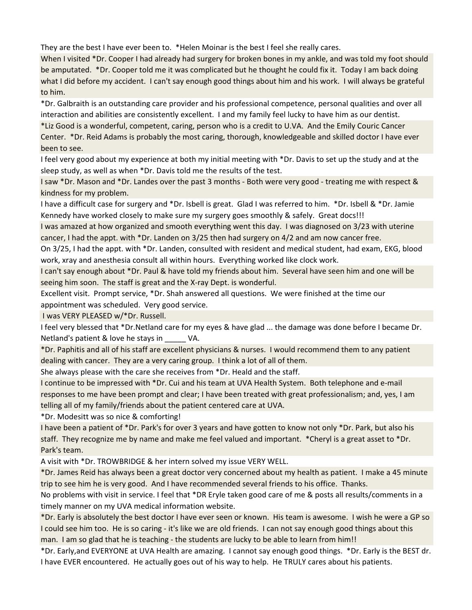They are the best I have ever been to. \*Helen Moinar is the best I feel she really cares.

When I visited \*Dr. Cooper I had already had surgery for broken bones in my ankle, and was told my foot should be amputated. \*Dr. Cooper told me it was complicated but he thought he could fix it. Today I am back doing what I did before my accident. I can't say enough good things about him and his work. I will always be grateful to him.

\*Dr. Galbraith is an outstanding care provider and his professional competence, personal qualities and over all interaction and abilities are consistently excellent. I and my family feel lucky to have him as our dentist.

\*Liz Good is a wonderful, competent, caring, person who is a credit to U.VA. And the Emily Couric Cancer Center. \*Dr. Reid Adams is probably the most caring, thorough, knowledgeable and skilled doctor I have ever been to see.

I feel very good about my experience at both my initial meeting with \*Dr. Davis to set up the study and at the sleep study, as well as when \*Dr. Davis told me the results of the test.

I saw \*Dr. Mason and \*Dr. Landes over the past 3 months - Both were very good - treating me with respect & kindness for my problem.

I have a difficult case for surgery and \*Dr. Isbell is great. Glad I was referred to him. \*Dr. Isbell & \*Dr. Jamie Kennedy have worked closely to make sure my surgery goes smoothly & safely. Great docs!!!

I was amazed at how organized and smooth everything went this day. I was diagnosed on 3/23 with uterine cancer, I had the appt. with \*Dr. Landen on 3/25 then had surgery on 4/2 and am now cancer free.

On 3/25, I had the appt. with \*Dr. Landen, consulted with resident and medical student, had exam, EKG, blood work, xray and anesthesia consult all within hours. Everything worked like clock work.

I can't say enough about \*Dr. Paul & have told my friends about him. Several have seen him and one will be seeing him soon. The staff is great and the X-ray Dept. is wonderful.

Excellent visit. Prompt service, \*Dr. Shah answered all questions. We were finished at the time our appointment was scheduled. Very good service.

I was VERY PLEASED w/\*Dr. Russell.

I feel very blessed that \*Dr.Netland care for my eyes & have glad ... the damage was done before I became Dr. Netland's patient & love he stays in VA.

\*Dr. Paphitis and all of his staff are excellent physicians & nurses. I would recommend them to any patient dealing with cancer. They are a very caring group. I think a lot of all of them.

She always please with the care she receives from \*Dr. Heald and the staff.

I continue to be impressed with \*Dr. Cui and his team at UVA Health System. Both telephone and e-mail responses to me have been prompt and clear; I have been treated with great professionalism; and, yes, I am telling all of my family/friends about the patient centered care at UVA.

\*Dr. Modesitt was so nice & comforting!

I have been a patient of \*Dr. Park's for over 3 years and have gotten to know not only \*Dr. Park, but also his staff. They recognize me by name and make me feel valued and important. \*Cheryl is a great asset to \*Dr. Park's team.

A visit with \*Dr. TROWBRIDGE & her intern solved my issue VERY WELL.

\*Dr. James Reid has always been a great doctor very concerned about my health as patient. I make a 45 minute trip to see him he is very good. And I have recommended several friends to his office. Thanks.

No problems with visit in service. I feel that \*DR Eryle taken good care of me & posts all results/comments in a timely manner on my UVA medical information website.

\*Dr. Early is absolutely the best doctor I have ever seen or known. His team is awesome. I wish he were a GP so I could see him too. He is so caring - it's like we are old friends. I can not say enough good things about this man. I am so glad that he is teaching - the students are lucky to be able to learn from him!!

\*Dr. Early,and EVERYONE at UVA Health are amazing. I cannot say enough good things. \*Dr. Early is the BEST dr. I have EVER encountered. He actually goes out of his way to help. He TRULY cares about his patients.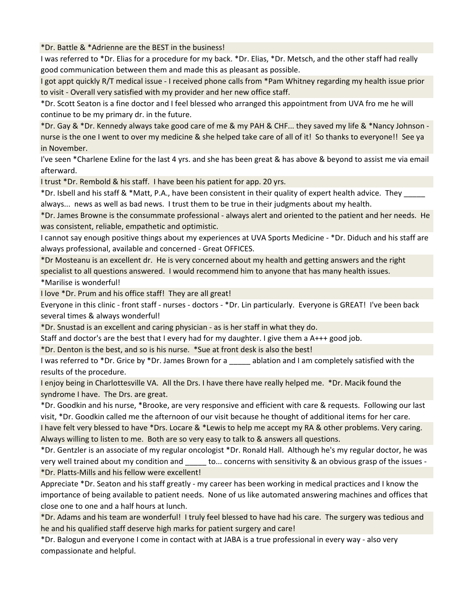\*Dr. Battle & \*Adrienne are the BEST in the business!

I was referred to \*Dr. Elias for a procedure for my back. \*Dr. Elias, \*Dr. Metsch, and the other staff had really good communication between them and made this as pleasant as possible.

I got appt quickly R/T medical issue - I received phone calls from \*Pam Whitney regarding my health issue prior to visit - Overall very satisfied with my provider and her new office staff.

\*Dr. Scott Seaton is a fine doctor and I feel blessed who arranged this appointment from UVA fro me he will continue to be my primary dr. in the future.

\*Dr. Gay & \*Dr. Kennedy always take good care of me & my PAH & CHF... they saved my life & \*Nancy Johnson nurse is the one I went to over my medicine & she helped take care of all of it! So thanks to everyone!! See ya in November.

I've seen \*Charlene Exline for the last 4 yrs. and she has been great & has above & beyond to assist me via email afterward.

I trust \*Dr. Rembold & his staff. I have been his patient for app. 20 yrs.

\*Dr. Isbell and his staff & \*Matt, P.A., have been consistent in their quality of expert health advice. They \_\_\_\_\_ always... news as well as bad news. I trust them to be true in their judgments about my health.

\*Dr. James Browne is the consummate professional - always alert and oriented to the patient and her needs. He was consistent, reliable, empathetic and optimistic.

I cannot say enough positive things about my experiences at UVA Sports Medicine - \*Dr. Diduch and his staff are always professional, available and concerned - Great OFFICES.

\*Dr Mosteanu is an excellent dr. He is very concerned about my health and getting answers and the right specialist to all questions answered. I would recommend him to anyone that has many health issues.

\*Marilise is wonderful!

I love \*Dr. Prum and his office staff! They are all great!

Everyone in this clinic - front staff - nurses - doctors - \*Dr. Lin particularly. Everyone is GREAT! I've been back several times & always wonderful!

\*Dr. Snustad is an excellent and caring physician - as is her staff in what they do.

Staff and doctor's are the best that I every had for my daughter. I give them a A+++ good job.

\*Dr. Denton is the best, and so is his nurse. \*Sue at front desk is also the best!

I was referred to \*Dr. Grice by \*Dr. James Brown for a ablation and I am completely satisfied with the results of the procedure.

I enjoy being in Charlottesville VA. All the Drs. I have there have really helped me. \*Dr. Macik found the syndrome I have. The Drs. are great.

\*Dr. Goodkin and his nurse, \*Brooke, are very responsive and efficient with care & requests. Following our last visit, \*Dr. Goodkin called me the afternoon of our visit because he thought of additional items for her care. I have felt very blessed to have \*Drs. Locare & \*Lewis to help me accept my RA & other problems. Very caring. Always willing to listen to me. Both are so very easy to talk to & answers all questions.

\*Dr. Gentzler is an associate of my regular oncologist \*Dr. Ronald Hall. Although he's my regular doctor, he was very well trained about my condition and  $\qquad \qquad$  to... concerns with sensitivity & an obvious grasp of the issues -\*Dr. Platts-Mills and his fellow were excellent!

Appreciate \*Dr. Seaton and his staff greatly - my career has been working in medical practices and I know the importance of being available to patient needs. None of us like automated answering machines and offices that close one to one and a half hours at lunch.

\*Dr. Adams and his team are wonderful! I truly feel blessed to have had his care. The surgery was tedious and he and his qualified staff deserve high marks for patient surgery and care!

\*Dr. Balogun and everyone I come in contact with at JABA is a true professional in every way - also very compassionate and helpful.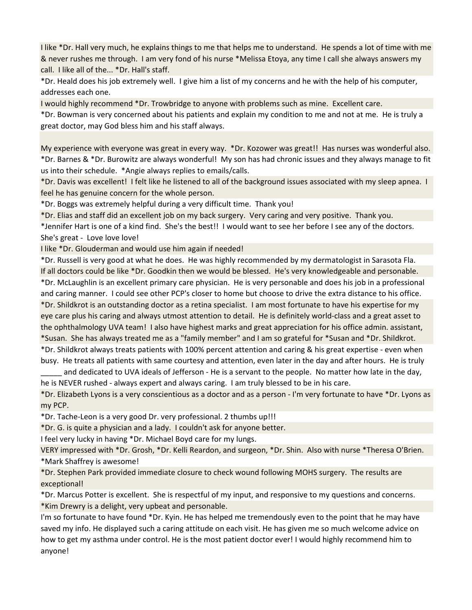I like \*Dr. Hall very much, he explains things to me that helps me to understand. He spends a lot of time with me & never rushes me through. I am very fond of his nurse \*Melissa Etoya, any time I call she always answers my call. I like all of the... \*Dr. Hall's staff.

\*Dr. Heald does his job extremely well. I give him a list of my concerns and he with the help of his computer, addresses each one.

I would highly recommend \*Dr. Trowbridge to anyone with problems such as mine. Excellent care.

\*Dr. Bowman is very concerned about his patients and explain my condition to me and not at me. He is truly a great doctor, may God bless him and his staff always.

My experience with everyone was great in every way. \*Dr. Kozower was great!! Has nurses was wonderful also. \*Dr. Barnes & \*Dr. Burowitz are always wonderful! My son has had chronic issues and they always manage to fit us into their schedule. \*Angie always replies to emails/calls.

\*Dr. Davis was excellent! I felt like he listened to all of the background issues associated with my sleep apnea. I feel he has genuine concern for the whole person.

\*Dr. Boggs was extremely helpful during a very difficult time. Thank you!

\*Dr. Elias and staff did an excellent job on my back surgery. Very caring and very positive. Thank you.

\*Jennifer Hart is one of a kind find. She's the best!! I would want to see her before I see any of the doctors. She's great - Love love love!

I like \*Dr. Glouderman and would use him again if needed!

\*Dr. Russell is very good at what he does. He was highly recommended by my dermatologist in Sarasota Fla. If all doctors could be like \*Dr. Goodkin then we would be blessed. He's very knowledgeable and personable.

\*Dr. McLaughlin is an excellent primary care physician. He is very personable and does his job in a professional and caring manner. I could see other PCP's closer to home but choose to drive the extra distance to his office. \*Dr. Shildkrot is an outstanding doctor as a retina specialist. I am most fortunate to have his expertise for my eye care plus his caring and always utmost attention to detail. He is definitely world-class and a great asset to the ophthalmology UVA team! I also have highest marks and great appreciation for his office admin. assistant, \*Susan. She has always treated me as a "family member" and I am so grateful for \*Susan and \*Dr. Shildkrot.

\*Dr. Shildkrot always treats patients with 100% percent attention and caring & his great expertise - even when busy. He treats all patients with same courtesy and attention, even later in the day and after hours. He is truly

and dedicated to UVA ideals of Jefferson - He is a servant to the people. No matter how late in the day, he is NEVER rushed - always expert and always caring. I am truly blessed to be in his care.

\*Dr. Elizabeth Lyons is a very conscientious as a doctor and as a person - I'm very fortunate to have \*Dr. Lyons as my PCP.

\*Dr. Tache-Leon is a very good Dr. very professional. 2 thumbs up!!!

\*Dr. G. is quite a physician and a lady. I couldn't ask for anyone better.

I feel very lucky in having \*Dr. Michael Boyd care for my lungs.

VERY impressed with \*Dr. Grosh, \*Dr. Kelli Reardon, and surgeon, \*Dr. Shin. Also with nurse \*Theresa O'Brien. \*Mark Shaffrey is awesome!

\*Dr. Stephen Park provided immediate closure to check wound following MOHS surgery. The results are exceptional!

\*Dr. Marcus Potter is excellent. She is respectful of my input, and responsive to my questions and concerns. \*Kim Drewry is a delight, very upbeat and personable.

I'm so fortunate to have found \*Dr. Kyin. He has helped me tremendously even to the point that he may have saved my info. He displayed such a caring attitude on each visit. He has given me so much welcome advice on how to get my asthma under control. He is the most patient doctor ever! I would highly recommend him to anyone!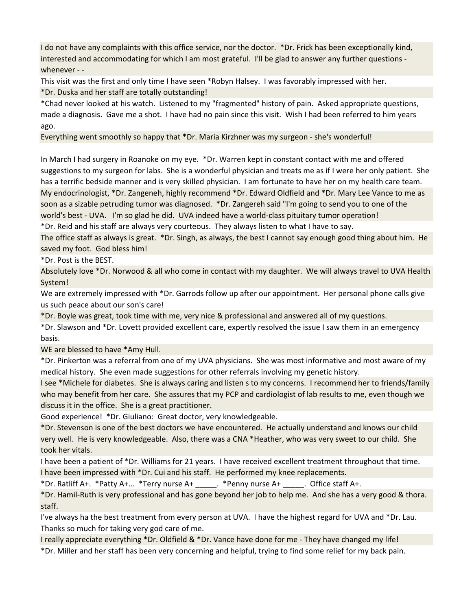I do not have any complaints with this office service, nor the doctor. \*Dr. Frick has been exceptionally kind, interested and accommodating for which I am most grateful. I'll be glad to answer any further questions whenever - -

This visit was the first and only time I have seen \*Robyn Halsey. I was favorably impressed with her. \*Dr. Duska and her staff are totally outstanding!

\*Chad never looked at his watch. Listened to my "fragmented" history of pain. Asked appropriate questions, made a diagnosis. Gave me a shot. I have had no pain since this visit. Wish I had been referred to him years ago.

Everything went smoothly so happy that \*Dr. Maria Kirzhner was my surgeon - she's wonderful!

In March I had surgery in Roanoke on my eye. \*Dr. Warren kept in constant contact with me and offered suggestions to my surgeon for labs. She is a wonderful physician and treats me as if I were her only patient. She has a terrific bedside manner and is very skilled physician. I am fortunate to have her on my health care team. My endocrinologist, \*Dr. Zangeneh, highly recommend \*Dr. Edward Oldfield and \*Dr. Mary Lee Vance to me as soon as a sizable petruding tumor was diagnosed. \*Dr. Zangereh said "I'm going to send you to one of the world's best - UVA. I'm so glad he did. UVA indeed have a world-class pituitary tumor operation!

\*Dr. Reid and his staff are always very courteous. They always listen to what I have to say.

The office staff as always is great. \*Dr. Singh, as always, the best I cannot say enough good thing about him. He saved my foot. God bless him!

\*Dr. Post is the BEST.

Absolutely love \*Dr. Norwood & all who come in contact with my daughter. We will always travel to UVA Health System!

We are extremely impressed with \*Dr. Garrods follow up after our appointment. Her personal phone calls give us such peace about our son's care!

\*Dr. Boyle was great, took time with me, very nice & professional and answered all of my questions.

\*Dr. Slawson and \*Dr. Lovett provided excellent care, expertly resolved the issue I saw them in an emergency basis.

WE are blessed to have \*Amy Hull.

\*Dr. Pinkerton was a referral from one of my UVA physicians. She was most informative and most aware of my medical history. She even made suggestions for other referrals involving my genetic history.

I see \*Michele for diabetes. She is always caring and listen s to my concerns. I recommend her to friends/family who may benefit from her care. She assures that my PCP and cardiologist of lab results to me, even though we discuss it in the office. She is a great practitioner.

Good experience! \*Dr. Giuliano: Great doctor, very knowledgeable.

\*Dr. Stevenson is one of the best doctors we have encountered. He actually understand and knows our child very well. He is very knowledgeable. Also, there was a CNA \*Heather, who was very sweet to our child. She took her vitals.

I have been a patient of \*Dr. Williams for 21 years. I have received excellent treatment throughout that time. I have been impressed with \*Dr. Cui and his staff. He performed my knee replacements.

\*Dr. Ratliff A+. \*Patty A+... \*Terry nurse A+ \_\_\_\_\_. \*Penny nurse A+ \_\_\_\_\_. Office staff A+.

\*Dr. Hamil-Ruth is very professional and has gone beyond her job to help me. And she has a very good & thora. staff.

I've always ha the best treatment from every person at UVA. I have the highest regard for UVA and \*Dr. Lau. Thanks so much for taking very god care of me.

I really appreciate everything \*Dr. Oldfield & \*Dr. Vance have done for me - They have changed my life! \*Dr. Miller and her staff has been very concerning and helpful, trying to find some relief for my back pain.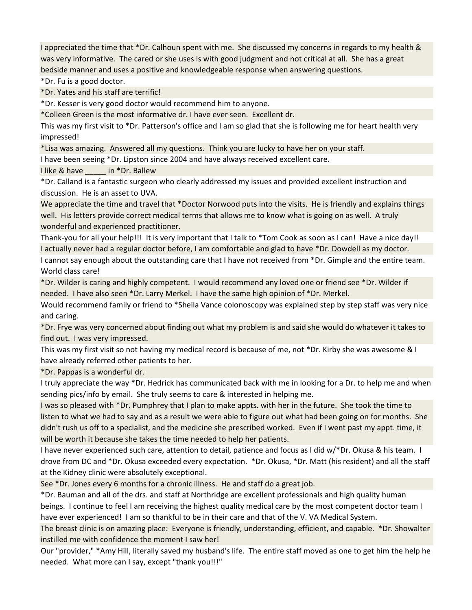I appreciated the time that \*Dr. Calhoun spent with me. She discussed my concerns in regards to my health & was very informative. The cared or she uses is with good judgment and not critical at all. She has a great bedside manner and uses a positive and knowledgeable response when answering questions.

\*Dr. Fu is a good doctor.

\*Dr. Yates and his staff are terrific!

\*Dr. Kesser is very good doctor would recommend him to anyone.

\*Colleen Green is the most informative dr. I have ever seen. Excellent dr.

This was my first visit to \*Dr. Patterson's office and I am so glad that she is following me for heart health very impressed!

\*Lisa was amazing. Answered all my questions. Think you are lucky to have her on your staff.

I have been seeing \*Dr. Lipston since 2004 and have always received excellent care.

I like & have \_\_\_\_\_ in \*Dr. Ballew

\*Dr. Calland is a fantastic surgeon who clearly addressed my issues and provided excellent instruction and discussion. He is an asset to UVA.

We appreciate the time and travel that \*Doctor Norwood puts into the visits. He is friendly and explains things well. His letters provide correct medical terms that allows me to know what is going on as well. A truly wonderful and experienced practitioner.

Thank-you for all your help!!! It is very important that I talk to \*Tom Cook as soon as I can! Have a nice day!! I actually never had a regular doctor before, I am comfortable and glad to have \*Dr. Dowdell as my doctor. I cannot say enough about the outstanding care that I have not received from \*Dr. Gimple and the entire team. World class care!

\*Dr. Wilder is caring and highly competent. I would recommend any loved one or friend see \*Dr. Wilder if needed. I have also seen \*Dr. Larry Merkel. I have the same high opinion of \*Dr. Merkel.

Would recommend family or friend to \*Sheila Vance colonoscopy was explained step by step staff was very nice and caring.

\*Dr. Frye was very concerned about finding out what my problem is and said she would do whatever it takes to find out. I was very impressed.

This was my first visit so not having my medical record is because of me, not \*Dr. Kirby she was awesome & I have already referred other patients to her.

\*Dr. Pappas is a wonderful dr.

I truly appreciate the way \*Dr. Hedrick has communicated back with me in looking for a Dr. to help me and when sending pics/info by email. She truly seems to care & interested in helping me.

I was so pleased with \*Dr. Pumphrey that I plan to make appts. with her in the future. She took the time to listen to what we had to say and as a result we were able to figure out what had been going on for months. She didn't rush us off to a specialist, and the medicine she prescribed worked. Even if I went past my appt. time, it will be worth it because she takes the time needed to help her patients.

I have never experienced such care, attention to detail, patience and focus as I did w/\*Dr. Okusa & his team. I drove from DC and \*Dr. Okusa exceeded every expectation. \*Dr. Okusa, \*Dr. Matt (his resident) and all the staff at the Kidney clinic were absolutely exceptional.

See \*Dr. Jones every 6 months for a chronic illness. He and staff do a great job.

\*Dr. Bauman and all of the drs. and staff at Northridge are excellent professionals and high quality human beings. I continue to feel I am receiving the highest quality medical care by the most competent doctor team I have ever experienced! I am so thankful to be in their care and that of the V. VA Medical System.

The breast clinic is on amazing place: Everyone is friendly, understanding, efficient, and capable. \*Dr. Showalter instilled me with confidence the moment I saw her!

Our "provider," \*Amy Hill, literally saved my husband's life. The entire staff moved as one to get him the help he needed. What more can I say, except "thank you!!!"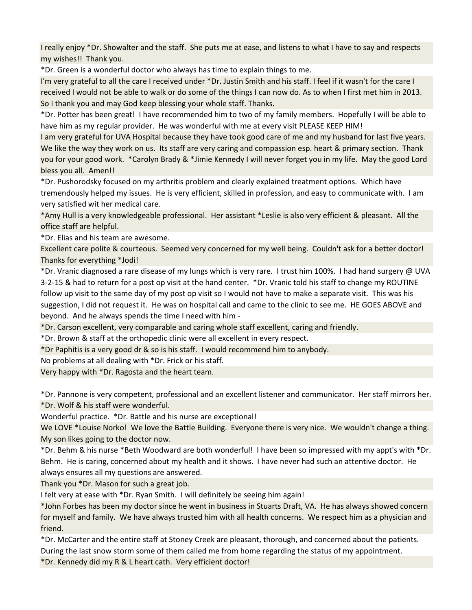I really enjoy \*Dr. Showalter and the staff. She puts me at ease, and listens to what I have to say and respects my wishes!! Thank you.

\*Dr. Green is a wonderful doctor who always has time to explain things to me.

I'm very grateful to all the care I received under \*Dr. Justin Smith and his staff. I feel if it wasn't for the care I received I would not be able to walk or do some of the things I can now do. As to when I first met him in 2013. So I thank you and may God keep blessing your whole staff. Thanks.

\*Dr. Potter has been great! I have recommended him to two of my family members. Hopefully I will be able to have him as my regular provider. He was wonderful with me at every visit PLEASE KEEP HIM!

I am very grateful for UVA Hospital because they have took good care of me and my husband for last five years. We like the way they work on us. Its staff are very caring and compassion esp. heart & primary section. Thank you for your good work. \*Carolyn Brady & \*Jimie Kennedy I will never forget you in my life. May the good Lord bless you all. Amen!!

\*Dr. Pushorodsky focused on my arthritis problem and clearly explained treatment options. Which have tremendously helped my issues. He is very efficient, skilled in profession, and easy to communicate with. I am very satisfied wit her medical care.

\*Amy Hull is a very knowledgeable professional. Her assistant \*Leslie is also very efficient & pleasant. All the office staff are helpful.

\*Dr. Elias and his team are awesome.

Excellent care polite & courteous. Seemed very concerned for my well being. Couldn't ask for a better doctor! Thanks for everything \*Jodi!

\*Dr. Vranic diagnosed a rare disease of my lungs which is very rare. I trust him 100%. I had hand surgery @ UVA 3-2-15 & had to return for a post op visit at the hand center. \*Dr. Vranic told his staff to change my ROUTINE follow up visit to the same day of my post op visit so I would not have to make a separate visit. This was his suggestion, I did not request it. He was on hospital call and came to the clinic to see me. HE GOES ABOVE and beyond. And he always spends the time I need with him -

\*Dr. Carson excellent, very comparable and caring whole staff excellent, caring and friendly.

\*Dr. Brown & staff at the orthopedic clinic were all excellent in every respect.

\*Dr Paphitis is a very good dr & so is his staff. I would recommend him to anybody.

No problems at all dealing with \*Dr. Frick or his staff.

Very happy with \*Dr. Ragosta and the heart team.

\*Dr. Pannone is very competent, professional and an excellent listener and communicator. Her staff mirrors her. \*Dr. Wolf & his staff were wonderful.

Wonderful practice. \*Dr. Battle and his nurse are exceptional!

We LOVE \*Louise Norko! We love the Battle Building. Everyone there is very nice. We wouldn't change a thing. My son likes going to the doctor now.

\*Dr. Behm & his nurse \*Beth Woodward are both wonderful! I have been so impressed with my appt's with \*Dr. Behm. He is caring, concerned about my health and it shows. I have never had such an attentive doctor. He always ensures all my questions are answered.

Thank you \*Dr. Mason for such a great job.

I felt very at ease with \*Dr. Ryan Smith. I will definitely be seeing him again!

\*John Forbes has been my doctor since he went in business in Stuarts Draft, VA. He has always showed concern for myself and family. We have always trusted him with all health concerns. We respect him as a physician and friend.

\*Dr. McCarter and the entire staff at Stoney Creek are pleasant, thorough, and concerned about the patients. During the last snow storm some of them called me from home regarding the status of my appointment.

\*Dr. Kennedy did my R & L heart cath. Very efficient doctor!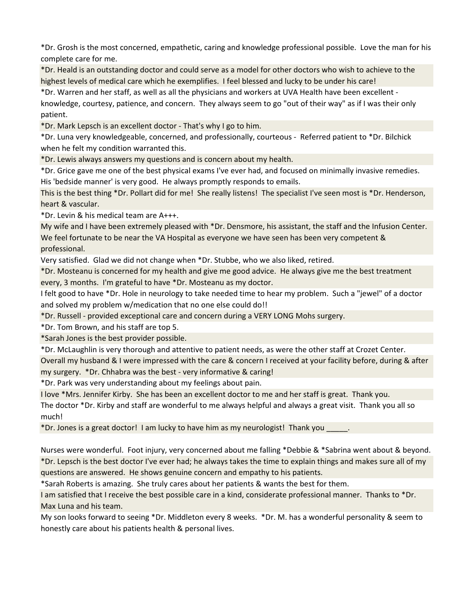\*Dr. Grosh is the most concerned, empathetic, caring and knowledge professional possible. Love the man for his complete care for me.

\*Dr. Heald is an outstanding doctor and could serve as a model for other doctors who wish to achieve to the highest levels of medical care which he exemplifies. I feel blessed and lucky to be under his care!

\*Dr. Warren and her staff, as well as all the physicians and workers at UVA Health have been excellent knowledge, courtesy, patience, and concern. They always seem to go "out of their way" as if I was their only patient.

\*Dr. Mark Lepsch is an excellent doctor - That's why I go to him.

\*Dr. Luna very knowledgeable, concerned, and professionally, courteous - Referred patient to \*Dr. Bilchick when he felt my condition warranted this.

\*Dr. Lewis always answers my questions and is concern about my health.

\*Dr. Grice gave me one of the best physical exams I've ever had, and focused on minimally invasive remedies. His 'bedside manner' is very good. He always promptly responds to emails.

This is the best thing \*Dr. Pollart did for me! She really listens! The specialist I've seen most is \*Dr. Henderson, heart & vascular.

\*Dr. Levin & his medical team are A+++.

My wife and I have been extremely pleased with \*Dr. Densmore, his assistant, the staff and the Infusion Center. We feel fortunate to be near the VA Hospital as everyone we have seen has been very competent & professional.

Very satisfied. Glad we did not change when \*Dr. Stubbe, who we also liked, retired.

\*Dr. Mosteanu is concerned for my health and give me good advice. He always give me the best treatment every, 3 months. I'm grateful to have \*Dr. Mosteanu as my doctor.

I felt good to have \*Dr. Hole in neurology to take needed time to hear my problem. Such a "jewel" of a doctor and solved my problem w/medication that no one else could do!!

\*Dr. Russell - provided exceptional care and concern during a VERY LONG Mohs surgery.

\*Dr. Tom Brown, and his staff are top 5.

\*Sarah Jones is the best provider possible.

\*Dr. McLaughlin is very thorough and attentive to patient needs, as were the other staff at Crozet Center. Overall my husband & I were impressed with the care & concern I received at your facility before, during & after my surgery. \*Dr. Chhabra was the best - very informative & caring!

\*Dr. Park was very understanding about my feelings about pain.

I love \*Mrs. Jennifer Kirby. She has been an excellent doctor to me and her staff is great. Thank you.

The doctor \*Dr. Kirby and staff are wonderful to me always helpful and always a great visit. Thank you all so much!

\*Dr. Jones is a great doctor! I am lucky to have him as my neurologist! Thank you \_\_\_\_\_.

Nurses were wonderful. Foot injury, very concerned about me falling \*Debbie & \*Sabrina went about & beyond. \*Dr. Lepsch is the best doctor I've ever had; he always takes the time to explain things and makes sure all of my questions are answered. He shows genuine concern and empathy to his patients.

\*Sarah Roberts is amazing. She truly cares about her patients & wants the best for them.

I am satisfied that I receive the best possible care in a kind, considerate professional manner. Thanks to \*Dr. Max Luna and his team.

My son looks forward to seeing \*Dr. Middleton every 8 weeks. \*Dr. M. has a wonderful personality & seem to honestly care about his patients health & personal lives.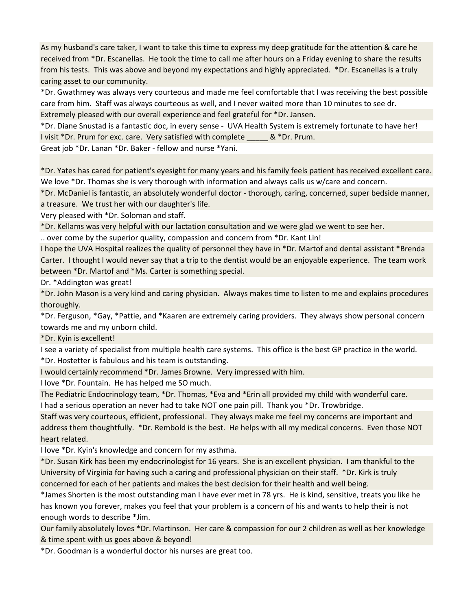As my husband's care taker, I want to take this time to express my deep gratitude for the attention & care he received from \*Dr. Escanellas. He took the time to call me after hours on a Friday evening to share the results from his tests. This was above and beyond my expectations and highly appreciated. \*Dr. Escanellas is a truly caring asset to our community.

\*Dr. Gwathmey was always very courteous and made me feel comfortable that I was receiving the best possible care from him. Staff was always courteous as well, and I never waited more than 10 minutes to see dr. Extremely pleased with our overall experience and feel grateful for \*Dr. Jansen.

\*Dr. Diane Snustad is a fantastic doc, in every sense - UVA Health System is extremely fortunate to have her! I visit \*Dr. Prum for exc. care. Very satisfied with complete  $\sim$  & \*Dr. Prum.

Great job \*Dr. Lanan \*Dr. Baker - fellow and nurse \*Yani.

\*Dr. Yates has cared for patient's eyesight for many years and his family feels patient has received excellent care. We love \*Dr. Thomas she is very thorough with information and always calls us w/care and concern.

\*Dr. McDaniel is fantastic, an absolutely wonderful doctor - thorough, caring, concerned, super bedside manner, a treasure. We trust her with our daughter's life.

Very pleased with \*Dr. Soloman and staff.

\*Dr. Kellams was very helpful with our lactation consultation and we were glad we went to see her.

.. over come by the superior quality, compassion and concern from \*Dr. Kant Lin!

I hope the UVA Hospital realizes the quality of personnel they have in \*Dr. Martof and dental assistant \*Brenda Carter. I thought I would never say that a trip to the dentist would be an enjoyable experience. The team work between \*Dr. Martof and \*Ms. Carter is something special.

Dr. \*Addington was great!

\*Dr. John Mason is a very kind and caring physician. Always makes time to listen to me and explains procedures thoroughly.

\*Dr. Ferguson, \*Gay, \*Pattie, and \*Kaaren are extremely caring providers. They always show personal concern towards me and my unborn child.

\*Dr. Kyin is excellent!

I see a variety of specialist from multiple health care systems. This office is the best GP practice in the world. \*Dr. Hostetter is fabulous and his team is outstanding.

I would certainly recommend \*Dr. James Browne. Very impressed with him.

I love \*Dr. Fountain. He has helped me SO much.

The Pediatric Endocrinology team, \*Dr. Thomas, \*Eva and \*Erin all provided my child with wonderful care. I had a serious operation an never had to take NOT one pain pill. Thank you \*Dr. Trowbridge.

Staff was very courteous, efficient, professional. They always make me feel my concerns are important and address them thoughtfully. \*Dr. Rembold is the best. He helps with all my medical concerns. Even those NOT heart related.

I love \*Dr. Kyin's knowledge and concern for my asthma.

\*Dr. Susan Kirk has been my endocrinologist for 16 years. She is an excellent physician. I am thankful to the University of Virginia for having such a caring and professional physician on their staff. \*Dr. Kirk is truly concerned for each of her patients and makes the best decision for their health and well being.

\*James Shorten is the most outstanding man I have ever met in 78 yrs. He is kind, sensitive, treats you like he has known you forever, makes you feel that your problem is a concern of his and wants to help their is not enough words to describe \*Jim.

Our family absolutely loves \*Dr. Martinson. Her care & compassion for our 2 children as well as her knowledge & time spent with us goes above & beyond!

\*Dr. Goodman is a wonderful doctor his nurses are great too.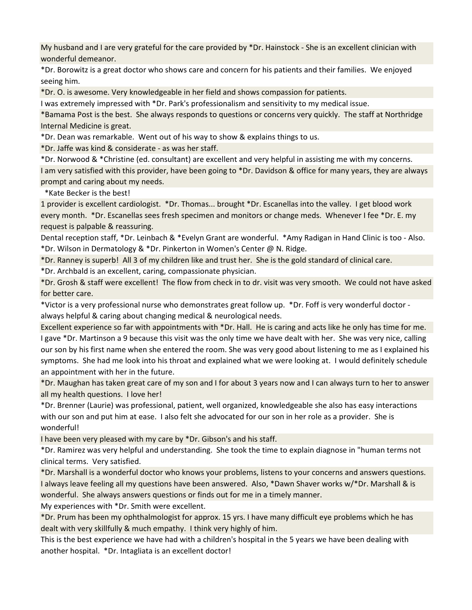My husband and I are very grateful for the care provided by \*Dr. Hainstock - She is an excellent clinician with wonderful demeanor.

\*Dr. Borowitz is a great doctor who shows care and concern for his patients and their families. We enjoyed seeing him.

\*Dr. O. is awesome. Very knowledgeable in her field and shows compassion for patients.

I was extremely impressed with \*Dr. Park's professionalism and sensitivity to my medical issue.

\*Bamama Post is the best. She always responds to questions or concerns very quickly. The staff at Northridge Internal Medicine is great.

\*Dr. Dean was remarkable. Went out of his way to show & explains things to us.

\*Dr. Jaffe was kind & considerate - as was her staff.

\*Dr. Norwood & \*Christine (ed. consultant) are excellent and very helpful in assisting me with my concerns. I am very satisfied with this provider, have been going to \*Dr. Davidson & office for many years, they are always prompt and caring about my needs.

\*Kate Becker is the best!

1 provider is excellent cardiologist. \*Dr. Thomas... brought \*Dr. Escanellas into the valley. I get blood work every month. \*Dr. Escanellas sees fresh specimen and monitors or change meds. Whenever I fee \*Dr. E. my request is palpable & reassuring.

Dental reception staff, \*Dr. Leinbach & \*Evelyn Grant are wonderful. \*Amy Radigan in Hand Clinic is too - Also. \*Dr. Wilson in Dermatology & \*Dr. Pinkerton in Women's Center @ N. Ridge.

\*Dr. Ranney is superb! All 3 of my children like and trust her. She is the gold standard of clinical care.

\*Dr. Archbald is an excellent, caring, compassionate physician.

\*Dr. Grosh & staff were excellent! The flow from check in to dr. visit was very smooth. We could not have asked for better care.

\*Victor is a very professional nurse who demonstrates great follow up. \*Dr. Foff is very wonderful doctor always helpful & caring about changing medical & neurological needs.

Excellent experience so far with appointments with \*Dr. Hall. He is caring and acts like he only has time for me. I gave \*Dr. Martinson a 9 because this visit was the only time we have dealt with her. She was very nice, calling our son by his first name when she entered the room. She was very good about listening to me as I explained his symptoms. She had me look into his throat and explained what we were looking at. I would definitely schedule an appointment with her in the future.

\*Dr. Maughan has taken great care of my son and I for about 3 years now and I can always turn to her to answer all my health questions. I love her!

\*Dr. Brenner (Laurie) was professional, patient, well organized, knowledgeable she also has easy interactions with our son and put him at ease. I also felt she advocated for our son in her role as a provider. She is wonderful!

I have been very pleased with my care by \*Dr. Gibson's and his staff.

\*Dr. Ramirez was very helpful and understanding. She took the time to explain diagnose in "human terms not clinical terms. Very satisfied.

\*Dr. Marshall is a wonderful doctor who knows your problems, listens to your concerns and answers questions. I always leave feeling all my questions have been answered. Also, \*Dawn Shaver works w/\*Dr. Marshall & is wonderful. She always answers questions or finds out for me in a timely manner.

My experiences with \*Dr. Smith were excellent.

\*Dr. Prum has been my ophthalmologist for approx. 15 yrs. I have many difficult eye problems which he has dealt with very skillfully & much empathy. I think very highly of him.

This is the best experience we have had with a children's hospital in the 5 years we have been dealing with another hospital. \*Dr. Intagliata is an excellent doctor!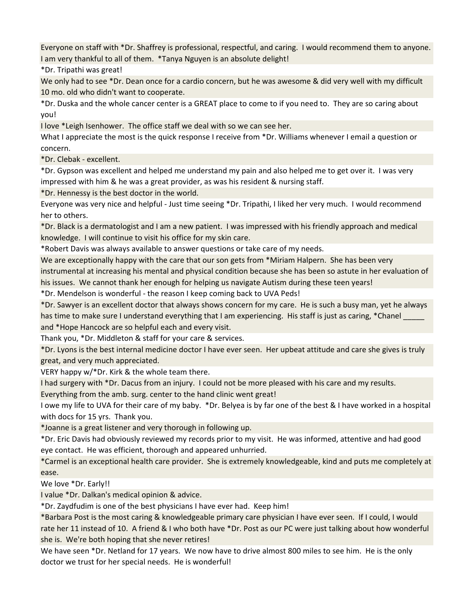Everyone on staff with \*Dr. Shaffrey is professional, respectful, and caring. I would recommend them to anyone. I am very thankful to all of them. \*Tanya Nguyen is an absolute delight!

\*Dr. Tripathi was great!

We only had to see \*Dr. Dean once for a cardio concern, but he was awesome & did very well with my difficult 10 mo. old who didn't want to cooperate.

\*Dr. Duska and the whole cancer center is a GREAT place to come to if you need to. They are so caring about you!

I love \*Leigh Isenhower. The office staff we deal with so we can see her.

What I appreciate the most is the quick response I receive from \*Dr. Williams whenever I email a question or concern.

\*Dr. Clebak - excellent.

\*Dr. Gypson was excellent and helped me understand my pain and also helped me to get over it. I was very impressed with him & he was a great provider, as was his resident & nursing staff.

\*Dr. Hennessy is the best doctor in the world.

Everyone was very nice and helpful - Just time seeing \*Dr. Tripathi, I liked her very much. I would recommend her to others.

\*Dr. Black is a dermatologist and I am a new patient. I was impressed with his friendly approach and medical knowledge. I will continue to visit his office for my skin care.

\*Robert Davis was always available to answer questions or take care of my needs.

We are exceptionally happy with the care that our son gets from \*Miriam Halpern. She has been very instrumental at increasing his mental and physical condition because she has been so astute in her evaluation of his issues. We cannot thank her enough for helping us navigate Autism during these teen years!

\*Dr. Mendelson is wonderful - the reason I keep coming back to UVA Peds!

\*Dr. Sawyer is an excellent doctor that always shows concern for my care. He is such a busy man, yet he always has time to make sure I understand everything that I am experiencing. His staff is just as caring, \*Chanel \_ and \*Hope Hancock are so helpful each and every visit.

Thank you, \*Dr. Middleton & staff for your care & services.

\*Dr. Lyons is the best internal medicine doctor I have ever seen. Her upbeat attitude and care she gives is truly great, and very much appreciated.

VERY happy w/\*Dr. Kirk & the whole team there.

I had surgery with \*Dr. Dacus from an injury. I could not be more pleased with his care and my results.

Everything from the amb. surg. center to the hand clinic went great!

I owe my life to UVA for their care of my baby. \*Dr. Belyea is by far one of the best & I have worked in a hospital with docs for 15 yrs. Thank you.

\*Joanne is a great listener and very thorough in following up.

\*Dr. Eric Davis had obviously reviewed my records prior to my visit. He was informed, attentive and had good eye contact. He was efficient, thorough and appeared unhurried.

\*Carmel is an exceptional health care provider. She is extremely knowledgeable, kind and puts me completely at ease.

We love \*Dr. Early!!

I value \*Dr. Dalkan's medical opinion & advice.

\*Dr. Zaydfudim is one of the best physicians I have ever had. Keep him!

\*Barbara Post is the most caring & knowledgeable primary care physician I have ever seen. If I could, I would rate her 11 instead of 10. A friend & I who both have \*Dr. Post as our PC were just talking about how wonderful she is. We're both hoping that she never retires!

We have seen \*Dr. Netland for 17 years. We now have to drive almost 800 miles to see him. He is the only doctor we trust for her special needs. He is wonderful!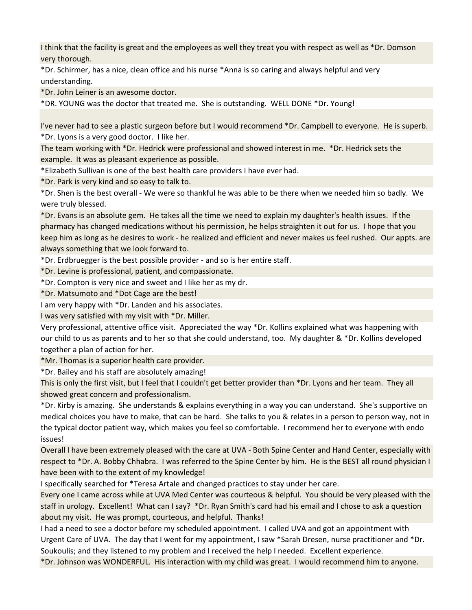I think that the facility is great and the employees as well they treat you with respect as well as \*Dr. Domson very thorough.

\*Dr. Schirmer, has a nice, clean office and his nurse \*Anna is so caring and always helpful and very understanding.

\*Dr. John Leiner is an awesome doctor.

\*DR. YOUNG was the doctor that treated me. She is outstanding. WELL DONE \*Dr. Young!

I've never had to see a plastic surgeon before but I would recommend \*Dr. Campbell to everyone. He is superb. \*Dr. Lyons is a very good doctor. I like her.

The team working with \*Dr. Hedrick were professional and showed interest in me. \*Dr. Hedrick sets the example. It was as pleasant experience as possible.

\*Elizabeth Sullivan is one of the best health care providers I have ever had.

\*Dr. Park is very kind and so easy to talk to.

\*Dr. Shen is the best overall - We were so thankful he was able to be there when we needed him so badly. We were truly blessed.

\*Dr. Evans is an absolute gem. He takes all the time we need to explain my daughter's health issues. If the pharmacy has changed medications without his permission, he helps straighten it out for us. I hope that you keep him as long as he desires to work - he realized and efficient and never makes us feel rushed. Our appts. are always something that we look forward to.

\*Dr. Erdbruegger is the best possible provider - and so is her entire staff.

\*Dr. Levine is professional, patient, and compassionate.

\*Dr. Compton is very nice and sweet and I like her as my dr.

\*Dr. Matsumoto and \*Dot Cage are the best!

I am very happy with \*Dr. Landen and his associates.

I was very satisfied with my visit with \*Dr. Miller.

Very professional, attentive office visit. Appreciated the way \*Dr. Kollins explained what was happening with our child to us as parents and to her so that she could understand, too. My daughter & \*Dr. Kollins developed together a plan of action for her.

\*Mr. Thomas is a superior health care provider.

\*Dr. Bailey and his staff are absolutely amazing!

This is only the first visit, but I feel that I couldn't get better provider than \*Dr. Lyons and her team. They all showed great concern and professionalism.

\*Dr. Kirby is amazing. She understands & explains everything in a way you can understand. She's supportive on medical choices you have to make, that can be hard. She talks to you & relates in a person to person way, not in the typical doctor patient way, which makes you feel so comfortable. I recommend her to everyone with endo issues!

Overall I have been extremely pleased with the care at UVA - Both Spine Center and Hand Center, especially with respect to \*Dr. A. Bobby Chhabra. I was referred to the Spine Center by him. He is the BEST all round physician I have been with to the extent of my knowledge!

I specifically searched for \*Teresa Artale and changed practices to stay under her care.

Every one I came across while at UVA Med Center was courteous & helpful. You should be very pleased with the staff in urology. Excellent! What can I say? \*Dr. Ryan Smith's card had his email and I chose to ask a question about my visit. He was prompt, courteous, and helpful. Thanks!

I had a need to see a doctor before my scheduled appointment. I called UVA and got an appointment with Urgent Care of UVA. The day that I went for my appointment, I saw \*Sarah Dresen, nurse practitioner and \*Dr. Soukoulis; and they listened to my problem and I received the help I needed. Excellent experience.

\*Dr. Johnson was WONDERFUL. His interaction with my child was great. I would recommend him to anyone.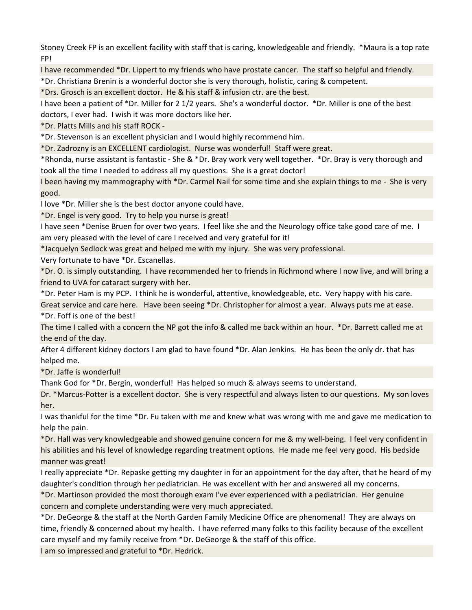Stoney Creek FP is an excellent facility with staff that is caring, knowledgeable and friendly. \*Maura is a top rate FP!

I have recommended \*Dr. Lippert to my friends who have prostate cancer. The staff so helpful and friendly.

\*Dr. Christiana Brenin is a wonderful doctor she is very thorough, holistic, caring & competent.

\*Drs. Grosch is an excellent doctor. He & his staff & infusion ctr. are the best.

I have been a patient of \*Dr. Miller for 2 1/2 years. She's a wonderful doctor. \*Dr. Miller is one of the best doctors, I ever had. I wish it was more doctors like her.

\*Dr. Platts Mills and his staff ROCK -

\*Dr. Stevenson is an excellent physician and I would highly recommend him.

\*Dr. Zadrozny is an EXCELLENT cardiologist. Nurse was wonderful! Staff were great.

\*Rhonda, nurse assistant is fantastic - She & \*Dr. Bray work very well together. \*Dr. Bray is very thorough and took all the time I needed to address all my questions. She is a great doctor!

I been having my mammography with \*Dr. Carmel Nail for some time and she explain things to me - She is very good.

I love \*Dr. Miller she is the best doctor anyone could have.

\*Dr. Engel is very good. Try to help you nurse is great!

I have seen \*Denise Bruen for over two years. I feel like she and the Neurology office take good care of me. I am very pleased with the level of care I received and very grateful for it!

\*Jacquelyn Sedlock was great and helped me with my injury. She was very professional.

Very fortunate to have \*Dr. Escanellas.

\*Dr. O. is simply outstanding. I have recommended her to friends in Richmond where I now live, and will bring a friend to UVA for cataract surgery with her.

\*Dr. Peter Ham is my PCP. I think he is wonderful, attentive, knowledgeable, etc. Very happy with his care.

Great service and care here. Have been seeing \*Dr. Christopher for almost a year. Always puts me at ease. \*Dr. Foff is one of the best!

The time I called with a concern the NP got the info & called me back within an hour. \*Dr. Barrett called me at the end of the day.

After 4 different kidney doctors I am glad to have found \*Dr. Alan Jenkins. He has been the only dr. that has helped me.

\*Dr. Jaffe is wonderful!

Thank God for \*Dr. Bergin, wonderful! Has helped so much & always seems to understand.

Dr. \*Marcus-Potter is a excellent doctor. She is very respectful and always listen to our questions. My son loves her.

I was thankful for the time \*Dr. Fu taken with me and knew what was wrong with me and gave me medication to help the pain.

\*Dr. Hall was very knowledgeable and showed genuine concern for me & my well-being. I feel very confident in his abilities and his level of knowledge regarding treatment options. He made me feel very good. His bedside manner was great!

I really appreciate \*Dr. Repaske getting my daughter in for an appointment for the day after, that he heard of my daughter's condition through her pediatrician. He was excellent with her and answered all my concerns.

\*Dr. Martinson provided the most thorough exam I've ever experienced with a pediatrician. Her genuine concern and complete understanding were very much appreciated.

\*Dr. DeGeorge & the staff at the North Garden Family Medicine Office are phenomenal! They are always on time, friendly & concerned about my health. I have referred many folks to this facility because of the excellent care myself and my family receive from \*Dr. DeGeorge & the staff of this office.

I am so impressed and grateful to \*Dr. Hedrick.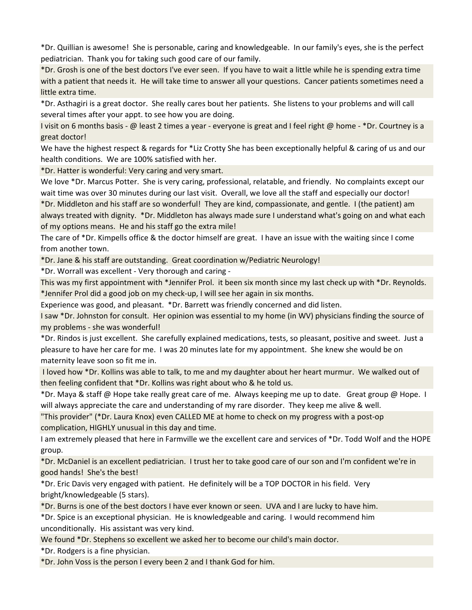\*Dr. Quillian is awesome! She is personable, caring and knowledgeable. In our family's eyes, she is the perfect pediatrician. Thank you for taking such good care of our family.

\*Dr. Grosh is one of the best doctors I've ever seen. If you have to wait a little while he is spending extra time with a patient that needs it. He will take time to answer all your questions. Cancer patients sometimes need a little extra time.

\*Dr. Asthagiri is a great doctor. She really cares bout her patients. She listens to your problems and will call several times after your appt. to see how you are doing.

I visit on 6 months basis - @ least 2 times a year - everyone is great and I feel right @ home - \*Dr. Courtney is a great doctor!

We have the highest respect & regards for \*Liz Crotty She has been exceptionally helpful & caring of us and our health conditions. We are 100% satisfied with her.

\*Dr. Hatter is wonderful: Very caring and very smart.

We love \*Dr. Marcus Potter. She is very caring, professional, relatable, and friendly. No complaints except our wait time was over 30 minutes during our last visit. Overall, we love all the staff and especially our doctor! \*Dr. Middleton and his staff are so wonderful! They are kind, compassionate, and gentle. I (the patient) am always treated with dignity. \*Dr. Middleton has always made sure I understand what's going on and what each of my options means. He and his staff go the extra mile!

The care of \*Dr. Kimpells office & the doctor himself are great. I have an issue with the waiting since I come from another town.

\*Dr. Jane & his staff are outstanding. Great coordination w/Pediatric Neurology!

\*Dr. Worrall was excellent - Very thorough and caring -

This was my first appointment with \*Jennifer Prol. it been six month since my last check up with \*Dr. Reynolds. \*Jennifer Prol did a good job on my check-up, I will see her again in six months.

Experience was good, and pleasant. \*Dr. Barrett was friendly concerned and did listen.

I saw \*Dr. Johnston for consult. Her opinion was essential to my home (in WV) physicians finding the source of my problems - she was wonderful!

\*Dr. Rindos is just excellent. She carefully explained medications, tests, so pleasant, positive and sweet. Just a pleasure to have her care for me. I was 20 minutes late for my appointment. She knew she would be on maternity leave soon so fit me in.

 I loved how \*Dr. Kollins was able to talk, to me and my daughter about her heart murmur. We walked out of then feeling confident that \*Dr. Kollins was right about who & he told us.

\*Dr. Maya & staff @ Hope take really great care of me. Always keeping me up to date. Great group @ Hope. I will always appreciate the care and understanding of my rare disorder. They keep me alive & well.

"This provider" (\*Dr. Laura Knox) even CALLED ME at home to check on my progress with a post-op complication, HIGHLY unusual in this day and time.

I am extremely pleased that here in Farmville we the excellent care and services of \*Dr. Todd Wolf and the HOPE group.

\*Dr. McDaniel is an excellent pediatrician. I trust her to take good care of our son and I'm confident we're in good hands! She's the best!

\*Dr. Eric Davis very engaged with patient. He definitely will be a TOP DOCTOR in his field. Very bright/knowledgeable (5 stars).

\*Dr. Burns is one of the best doctors I have ever known or seen. UVA and I are lucky to have him.

\*Dr. Spice is an exceptional physician. He is knowledgeable and caring. I would recommend him unconditionally. His assistant was very kind.

We found \*Dr. Stephens so excellent we asked her to become our child's main doctor.

\*Dr. Rodgers is a fine physician.

\*Dr. John Voss is the person I every been 2 and I thank God for him.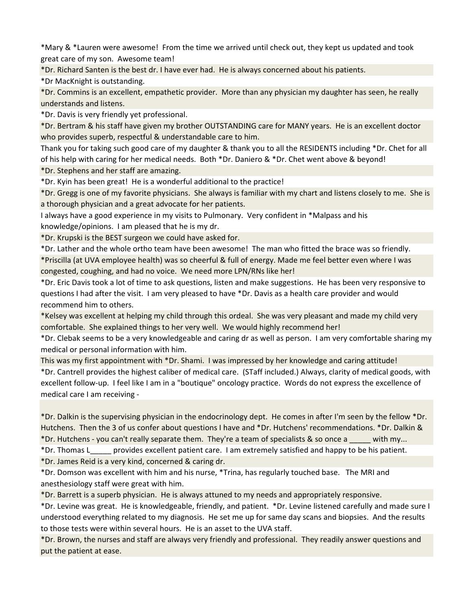\*Mary & \*Lauren were awesome! From the time we arrived until check out, they kept us updated and took great care of my son. Awesome team!

\*Dr. Richard Santen is the best dr. I have ever had. He is always concerned about his patients.

\*Dr MacKnight is outstanding.

\*Dr. Commins is an excellent, empathetic provider. More than any physician my daughter has seen, he really understands and listens.

\*Dr. Davis is very friendly yet professional.

\*Dr. Bertram & his staff have given my brother OUTSTANDING care for MANY years. He is an excellent doctor who provides superb, respectful & understandable care to him.

Thank you for taking such good care of my daughter & thank you to all the RESIDENTS including \*Dr. Chet for all of his help with caring for her medical needs. Both \*Dr. Daniero & \*Dr. Chet went above & beyond! \*Dr. Stephens and her staff are amazing.

\*Dr. Kyin has been great! He is a wonderful additional to the practice!

\*Dr. Gregg is one of my favorite physicians. She always is familiar with my chart and listens closely to me. She is a thorough physician and a great advocate for her patients.

I always have a good experience in my visits to Pulmonary. Very confident in \*Malpass and his knowledge/opinions. I am pleased that he is my dr.

\*Dr. Krupski is the BEST surgeon we could have asked for.

\*Dr. Lather and the whole ortho team have been awesome! The man who fitted the brace was so friendly.

\*Priscilla (at UVA employee health) was so cheerful & full of energy. Made me feel better even where I was congested, coughing, and had no voice. We need more LPN/RNs like her!

\*Dr. Eric Davis took a lot of time to ask questions, listen and make suggestions. He has been very responsive to questions I had after the visit. I am very pleased to have \*Dr. Davis as a health care provider and would recommend him to others.

\*Kelsey was excellent at helping my child through this ordeal. She was very pleasant and made my child very comfortable. She explained things to her very well. We would highly recommend her!

\*Dr. Clebak seems to be a very knowledgeable and caring dr as well as person. I am very comfortable sharing my medical or personal information with him.

This was my first appointment with \*Dr. Shami. I was impressed by her knowledge and caring attitude!

\*Dr. Cantrell provides the highest caliber of medical care. (STaff included.) Always, clarity of medical goods, with excellent follow-up. I feel like I am in a "boutique" oncology practice. Words do not express the excellence of medical care I am receiving -

\*Dr. Dalkin is the supervising physician in the endocrinology dept. He comes in after I'm seen by the fellow \*Dr. Hutchens. Then the 3 of us confer about questions I have and \*Dr. Hutchens' recommendations. \*Dr. Dalkin & \*Dr. Hutchens - you can't really separate them. They're a team of specialists & so once a \_\_\_\_\_ with my...

\*Dr. Thomas L\_\_\_\_\_ provides excellent patient care. I am extremely satisfied and happy to be his patient.

\*Dr. James Reid is a very kind, concerned & caring dr.

\*Dr. Domson was excellent with him and his nurse, \*Trina, has regularly touched base. The MRI and anesthesiology staff were great with him.

\*Dr. Barrett is a superb physician. He is always attuned to my needs and appropriately responsive.

\*Dr. Levine was great. He is knowledgeable, friendly, and patient. \*Dr. Levine listened carefully and made sure I understood everything related to my diagnosis. He set me up for same day scans and biopsies. And the results to those tests were within several hours. He is an asset to the UVA staff.

\*Dr. Brown, the nurses and staff are always very friendly and professional. They readily answer questions and put the patient at ease.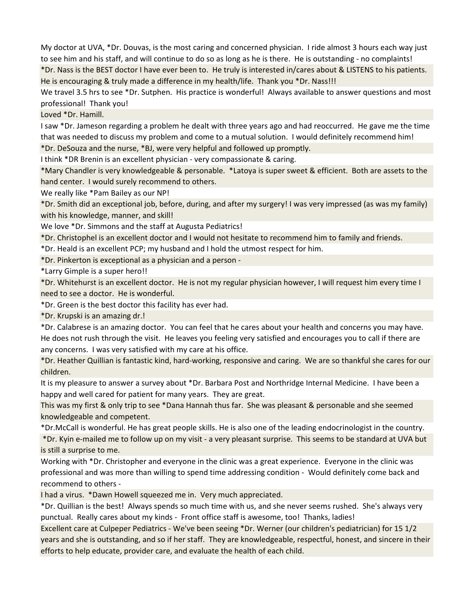My doctor at UVA, \*Dr. Douvas, is the most caring and concerned physician. I ride almost 3 hours each way just to see him and his staff, and will continue to do so as long as he is there. He is outstanding - no complaints!

\*Dr. Nass is the BEST doctor I have ever been to. He truly is interested in/cares about & LISTENS to his patients. He is encouraging & truly made a difference in my health/life. Thank you \*Dr. Nass!!!

We travel 3.5 hrs to see \*Dr. Sutphen. His practice is wonderful! Always available to answer questions and most professional! Thank you!

Loved \*Dr. Hamill.

I saw \*Dr. Jameson regarding a problem he dealt with three years ago and had reoccurred. He gave me the time that was needed to discuss my problem and come to a mutual solution. I would definitely recommend him! \*Dr. DeSouza and the nurse, \*BJ, were very helpful and followed up promptly.

I think \*DR Brenin is an excellent physician - very compassionate & caring.

\*Mary Chandler is very knowledgeable & personable. \*Latoya is super sweet & efficient. Both are assets to the hand center. I would surely recommend to others.

We really like \*Pam Bailey as our NP!

\*Dr. Smith did an exceptional job, before, during, and after my surgery! I was very impressed (as was my family) with his knowledge, manner, and skill!

We love \*Dr. Simmons and the staff at Augusta Pediatrics!

\*Dr. Christophel is an excellent doctor and I would not hesitate to recommend him to family and friends.

\*Dr. Heald is an excellent PCP; my husband and I hold the utmost respect for him.

\*Dr. Pinkerton is exceptional as a physician and a person -

\*Larry Gimple is a super hero!!

\*Dr. Whitehurst is an excellent doctor. He is not my regular physician however, I will request him every time I need to see a doctor. He is wonderful.

\*Dr. Green is the best doctor this facility has ever had.

\*Dr. Krupski is an amazing dr.!

\*Dr. Calabrese is an amazing doctor. You can feel that he cares about your health and concerns you may have. He does not rush through the visit. He leaves you feeling very satisfied and encourages you to call if there are any concerns. I was very satisfied with my care at his office.

\*Dr. Heather Quillian is fantastic kind, hard-working, responsive and caring. We are so thankful she cares for our children.

It is my pleasure to answer a survey about \*Dr. Barbara Post and Northridge Internal Medicine. I have been a happy and well cared for patient for many years. They are great.

This was my first & only trip to see \*Dana Hannah thus far. She was pleasant & personable and she seemed knowledgeable and competent.

\*Dr.McCall is wonderful. He has great people skills. He is also one of the leading endocrinologist in the country.

 \*Dr. Kyin e-mailed me to follow up on my visit - a very pleasant surprise. This seems to be standard at UVA but is still a surprise to me.

Working with \*Dr. Christopher and everyone in the clinic was a great experience. Everyone in the clinic was professional and was more than willing to spend time addressing condition - Would definitely come back and recommend to others -

I had a virus. \*Dawn Howell squeezed me in. Very much appreciated.

\*Dr. Quillian is the best! Always spends so much time with us, and she never seems rushed. She's always very punctual. Really cares about my kinds - Front office staff is awesome, too! Thanks, ladies!

Excellent care at Culpeper Pediatrics - We've been seeing \*Dr. Werner (our children's pediatrician) for 15 1/2 years and she is outstanding, and so if her staff. They are knowledgeable, respectful, honest, and sincere in their efforts to help educate, provider care, and evaluate the health of each child.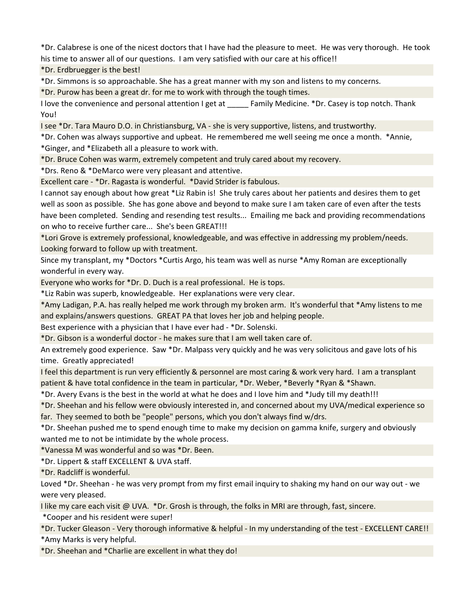\*Dr. Calabrese is one of the nicest doctors that I have had the pleasure to meet. He was very thorough. He took his time to answer all of our questions. I am very satisfied with our care at his office!!

\*Dr. Erdbruegger is the best!

\*Dr. Simmons is so approachable. She has a great manner with my son and listens to my concerns.

\*Dr. Purow has been a great dr. for me to work with through the tough times.

I love the convenience and personal attention I get at Family Medicine. \*Dr. Casey is top notch. Thank You!

I see \*Dr. Tara Mauro D.O. in Christiansburg, VA - she is very supportive, listens, and trustworthy.

\*Dr. Cohen was always supportive and upbeat. He remembered me well seeing me once a month. \*Annie,

\*Ginger, and \*Elizabeth all a pleasure to work with.

\*Dr. Bruce Cohen was warm, extremely competent and truly cared about my recovery.

\*Drs. Reno & \*DeMarco were very pleasant and attentive.

Excellent care - \*Dr. Ragasta is wonderful. \*David Strider is fabulous.

I cannot say enough about how great \*Liz Rabin is! She truly cares about her patients and desires them to get well as soon as possible. She has gone above and beyond to make sure I am taken care of even after the tests have been completed. Sending and resending test results... Emailing me back and providing recommendations on who to receive further care... She's been GREAT!!!

\*Lori Grove is extremely professional, knowledgeable, and was effective in addressing my problem/needs. Looking forward to follow up with treatment.

Since my transplant, my \*Doctors \*Curtis Argo, his team was well as nurse \*Amy Roman are exceptionally wonderful in every way.

Everyone who works for \*Dr. D. Duch is a real professional. He is tops.

\*Liz Rabin was superb, knowledgeable. Her explanations were very clear.

\*Amy Ladigan, P.A. has really helped me work through my broken arm. It's wonderful that \*Amy listens to me and explains/answers questions. GREAT PA that loves her job and helping people.

Best experience with a physician that I have ever had - \*Dr. Solenski.

\*Dr. Gibson is a wonderful doctor - he makes sure that I am well taken care of.

An extremely good experience. Saw \*Dr. Malpass very quickly and he was very solicitous and gave lots of his time. Greatly appreciated!

I feel this department is run very efficiently & personnel are most caring & work very hard. I am a transplant patient & have total confidence in the team in particular, \*Dr. Weber, \*Beverly \*Ryan & \*Shawn.

\*Dr. Avery Evans is the best in the world at what he does and I love him and \*Judy till my death!!!

\*Dr. Sheehan and his fellow were obviously interested in, and concerned about my UVA/medical experience so far. They seemed to both be "people" persons, which you don't always find w/drs.

\*Dr. Sheehan pushed me to spend enough time to make my decision on gamma knife, surgery and obviously wanted me to not be intimidate by the whole process.

\*Vanessa M was wonderful and so was \*Dr. Been.

\*Dr. Lippert & staff EXCELLENT & UVA staff.

\*Dr. Radcliff is wonderful.

Loved \*Dr. Sheehan - he was very prompt from my first email inquiry to shaking my hand on our way out - we were very pleased.

I like my care each visit @ UVA. \*Dr. Grosh is through, the folks in MRI are through, fast, sincere.

\*Cooper and his resident were super!

\*Dr. Tucker Gleason - Very thorough informative & helpful - In my understanding of the test - EXCELLENT CARE!! \*Amy Marks is very helpful.

\*Dr. Sheehan and \*Charlie are excellent in what they do!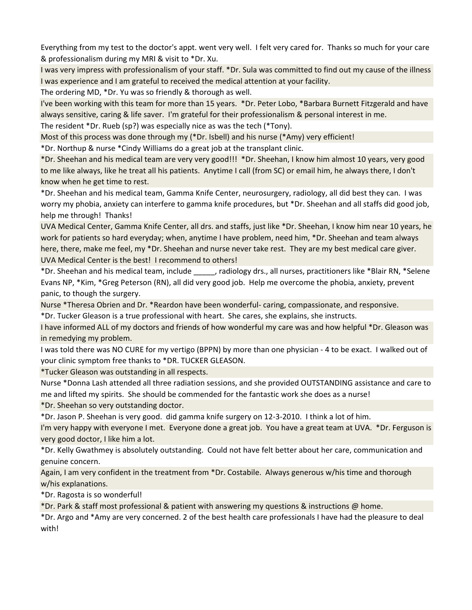Everything from my test to the doctor's appt. went very well. I felt very cared for. Thanks so much for your care & professionalism during my MRI & visit to \*Dr. Xu.

I was very impress with professionalism of your staff. \*Dr. Sula was committed to find out my cause of the illness I was experience and I am grateful to received the medical attention at your facility.

The ordering MD, \*Dr. Yu was so friendly & thorough as well.

I've been working with this team for more than 15 years. \*Dr. Peter Lobo, \*Barbara Burnett Fitzgerald and have always sensitive, caring & life saver. I'm grateful for their professionalism & personal interest in me.

The resident \*Dr. Rueb (sp?) was especially nice as was the tech (\*Tony).

Most of this process was done through my (\*Dr. Isbell) and his nurse (\*Amy) very efficient!

\*Dr. Northup & nurse \*Cindy Williams do a great job at the transplant clinic.

\*Dr. Sheehan and his medical team are very very good!!! \*Dr. Sheehan, I know him almost 10 years, very good to me like always, like he treat all his patients. Anytime I call (from SC) or email him, he always there, I don't know when he get time to rest.

\*Dr. Sheehan and his medical team, Gamma Knife Center, neurosurgery, radiology, all did best they can. I was worry my phobia, anxiety can interfere to gamma knife procedures, but \*Dr. Sheehan and all staffs did good job, help me through! Thanks!

UVA Medical Center, Gamma Knife Center, all drs. and staffs, just like \*Dr. Sheehan, I know him near 10 years, he work for patients so hard everyday; when, anytime I have problem, need him, \*Dr. Sheehan and team always here, there, make me feel, my \*Dr. Sheehan and nurse never take rest. They are my best medical care giver. UVA Medical Center is the best! I recommend to others!

\*Dr. Sheehan and his medical team, include \_\_\_\_\_, radiology drs., all nurses, practitioners like \*Blair RN, \*Selene Evans NP, \*Kim, \*Greg Peterson (RN), all did very good job. Help me overcome the phobia, anxiety, prevent panic, to though the surgery.

Nurse \*Theresa Obrien and Dr. \*Reardon have been wonderful- caring, compassionate, and responsive.

\*Dr. Tucker Gleason is a true professional with heart. She cares, she explains, she instructs.

I have informed ALL of my doctors and friends of how wonderful my care was and how helpful \*Dr. Gleason was in remedying my problem.

I was told there was NO CURE for my vertigo (BPPN) by more than one physician - 4 to be exact. I walked out of your clinic symptom free thanks to \*DR. TUCKER GLEASON.

\*Tucker Gleason was outstanding in all respects.

Nurse \*Donna Lash attended all three radiation sessions, and she provided OUTSTANDING assistance and care to me and lifted my spirits. She should be commended for the fantastic work she does as a nurse!

\*Dr. Sheehan so very outstanding doctor.

\*Dr. Jason P. Sheehan is very good. did gamma knife surgery on 12-3-2010. I think a lot of him.

I'm very happy with everyone I met. Everyone done a great job. You have a great team at UVA. \*Dr. Ferguson is very good doctor, I like him a lot.

\*Dr. Kelly Gwathmey is absolutely outstanding. Could not have felt better about her care, communication and genuine concern.

Again, I am very confident in the treatment from \*Dr. Costabile. Always generous w/his time and thorough w/his explanations.

\*Dr. Ragosta is so wonderful!

\*Dr. Park & staff most professional & patient with answering my questions & instructions @ home.

\*Dr. Argo and \*Amy are very concerned. 2 of the best health care professionals I have had the pleasure to deal with!